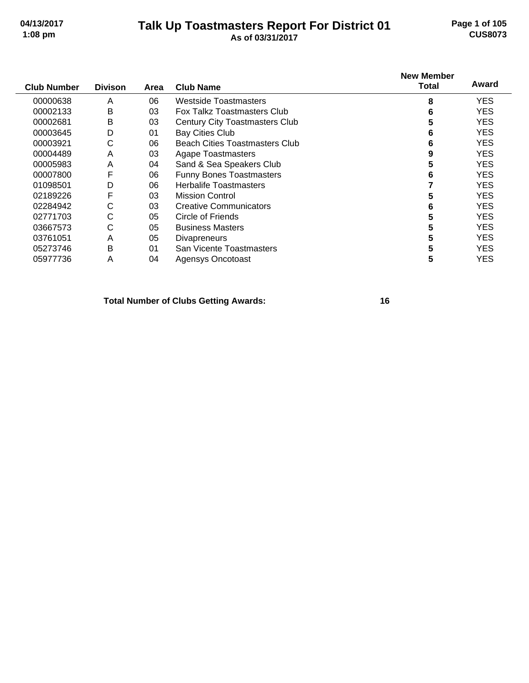#### **Talk Up Toastmasters Report For District 01 04/13/2017 Page 1 of 105 1:08 pm As of 03/31/2017 CUS8073**

| <b>Club Number</b> | <b>Divison</b> | Area | <b>Club Name</b>                      | <b>New Member</b><br><b>Total</b> | Award      |
|--------------------|----------------|------|---------------------------------------|-----------------------------------|------------|
| 00000638           | A              | 06   | Westside Toastmasters                 | 8                                 | <b>YES</b> |
| 00002133           | B              | 03   | Fox Talkz Toastmasters Club           | 6                                 | YES        |
| 00002681           | Β              | 03   | <b>Century City Toastmasters Club</b> | 5                                 | <b>YES</b> |
| 00003645           | D              | 01   | <b>Bay Cities Club</b>                | 6                                 | <b>YES</b> |
| 00003921           | С              | 06   | <b>Beach Cities Toastmasters Club</b> | 6                                 | <b>YES</b> |
| 00004489           | A              | 03   | <b>Agape Toastmasters</b>             | 9                                 | YES        |
| 00005983           | A              | 04   | Sand & Sea Speakers Club              | 5                                 | <b>YES</b> |
| 00007800           | F              | 06   | <b>Funny Bones Toastmasters</b>       | 6                                 | <b>YES</b> |
| 01098501           | D              | 06   | <b>Herbalife Toastmasters</b>         |                                   | <b>YES</b> |
| 02189226           | F              | 03   | <b>Mission Control</b>                | 5                                 | <b>YES</b> |
| 02284942           | С              | 03   | <b>Creative Communicators</b>         | 6                                 | <b>YES</b> |
| 02771703           | С              | 05   | Circle of Friends                     | 5                                 | <b>YES</b> |
| 03667573           | С              | 05   | <b>Business Masters</b>               | 5                                 | <b>YES</b> |
| 03761051           | Α              | 05   | <b>Divapreneurs</b>                   | 5                                 | YES        |
| 05273746           | B              | 01   | San Vicente Toastmasters              | 5                                 | <b>YES</b> |
| 05977736           | A              | 04   | Agensys Oncotoast                     | 5                                 | <b>YES</b> |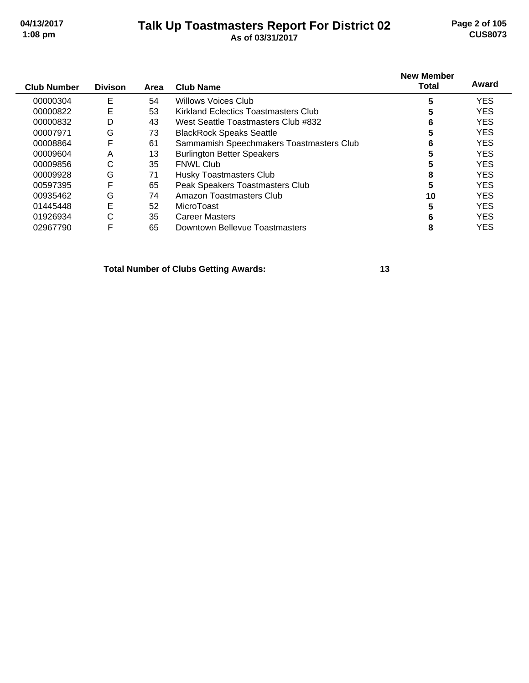#### **Talk Up Toastmasters Report For District 02 04/13/2017 Page 2 of 105 1:08 pm As of 03/31/2017 CUS8073**

| <b>Club Number</b> | <b>Divison</b> | Area | <b>Club Name</b>                         | <b>New Member</b><br>Total | Award      |
|--------------------|----------------|------|------------------------------------------|----------------------------|------------|
| 00000304           | E              | 54   | <b>Willows Voices Club</b>               | 5                          | <b>YES</b> |
| 00000822           | E              | 53   | Kirkland Eclectics Toastmasters Club     | 5                          | <b>YES</b> |
| 00000832           | D              | 43   | West Seattle Toastmasters Club #832      | 6                          | <b>YES</b> |
| 00007971           | G              | 73   | <b>BlackRock Speaks Seattle</b>          | 5                          | <b>YES</b> |
| 00008864           | F              | 61   | Sammamish Speechmakers Toastmasters Club | 6                          | <b>YES</b> |
| 00009604           | Α              | 13   | <b>Burlington Better Speakers</b>        | 5                          | <b>YES</b> |
| 00009856           | С              | 35   | <b>FNWL Club</b>                         |                            | <b>YES</b> |
| 00009928           | G              | 71   | Husky Toastmasters Club                  | 8                          | <b>YES</b> |
| 00597395           | F              | 65   | Peak Speakers Toastmasters Club          | 5                          | <b>YES</b> |
| 00935462           | G              | 74   | Amazon Toastmasters Club                 | 10                         | <b>YES</b> |
| 01445448           | E              | 52   | MicroToast                               | 5                          | <b>YES</b> |
| 01926934           | C              | 35   | <b>Career Masters</b>                    | 6                          | <b>YES</b> |
| 02967790           | F              | 65   | Downtown Bellevue Toastmasters           | 8                          | <b>YES</b> |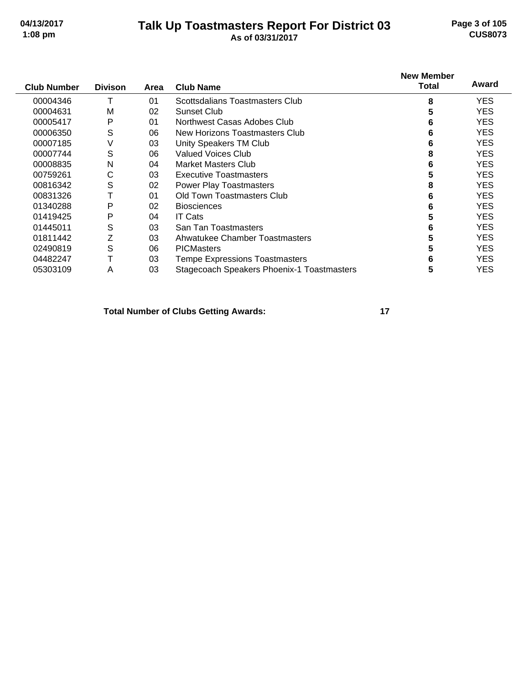#### **Talk Up Toastmasters Report For District 03 04/13/2017 Page 3 of 105 1:08 pm As of 03/31/2017 CUS8073**

| <b>Club Number</b> | <b>Divison</b> | Area | <b>Club Name</b>                           | <b>New Member</b><br>Total | Award      |
|--------------------|----------------|------|--------------------------------------------|----------------------------|------------|
| 00004346           | т              | 01   | Scottsdalians Toastmasters Club            | 8                          | <b>YES</b> |
| 00004631           | M              | 02   | Sunset Club                                | 5                          | <b>YES</b> |
| 00005417           | P              | 01   | Northwest Casas Adobes Club                | 6                          | <b>YES</b> |
| 00006350           | S              | 06   | New Horizons Toastmasters Club             | 6                          | <b>YES</b> |
| 00007185           | V              | 03   | Unity Speakers TM Club                     | 6                          | <b>YES</b> |
| 00007744           | S              | 06   | Valued Voices Club                         | 8                          | <b>YES</b> |
| 00008835           | Ν              | 04   | <b>Market Masters Club</b>                 | 6                          | <b>YES</b> |
| 00759261           | С              | 03   | <b>Executive Toastmasters</b>              | 5                          | <b>YES</b> |
| 00816342           | S              | 02   | <b>Power Play Toastmasters</b>             | 8                          | <b>YES</b> |
| 00831326           |                | 01   | Old Town Toastmasters Club                 | 6                          | <b>YES</b> |
| 01340288           | P              | 02   | <b>Biosciences</b>                         | 6                          | <b>YES</b> |
| 01419425           | P              | 04   | <b>IT Cats</b>                             | 5                          | <b>YES</b> |
| 01445011           | S              | 03   | San Tan Toastmasters                       | 6                          | YES.       |
| 01811442           | Z              | 03   | Ahwatukee Chamber Toastmasters             | 5                          | <b>YES</b> |
| 02490819           | S              | 06   | <b>PICMasters</b>                          | 5                          | <b>YES</b> |
| 04482247           | Т              | 03   | <b>Tempe Expressions Toastmasters</b>      | 6                          | <b>YES</b> |
| 05303109           | A              | 03   | Stagecoach Speakers Phoenix-1 Toastmasters | 5                          | YES        |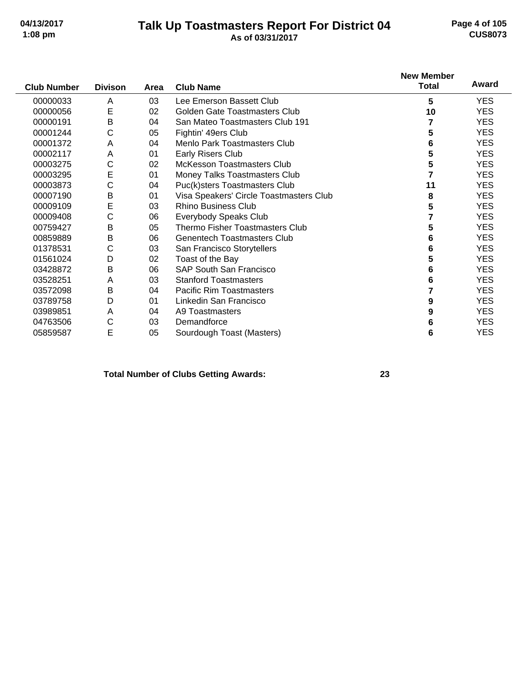#### **Talk Up Toastmasters Report For District 04 04/13/2017 Page 4 of 105 1:08 pm As of 03/31/2017 CUS8073**

|                    |                |      |                                         | <b>New Member</b> |            |
|--------------------|----------------|------|-----------------------------------------|-------------------|------------|
| <b>Club Number</b> | <b>Divison</b> | Area | <b>Club Name</b>                        | <b>Total</b>      | Award      |
| 00000033           | Α              | 03   | Lee Emerson Bassett Club                | 5                 | <b>YES</b> |
| 00000056           | Е              | 02   | Golden Gate Toastmasters Club           | 10                | <b>YES</b> |
| 00000191           | B              | 04   | San Mateo Toastmasters Club 191         | 7                 | <b>YES</b> |
| 00001244           | С              | 05   | Fightin' 49ers Club                     | 5                 | <b>YES</b> |
| 00001372           | Α              | 04   | Menlo Park Toastmasters Club            | 6                 | <b>YES</b> |
| 00002117           | Α              | 01   | Early Risers Club                       | 5                 | <b>YES</b> |
| 00003275           | С              | 02   | <b>McKesson Toastmasters Club</b>       | 5                 | <b>YES</b> |
| 00003295           | E              | 01   | Money Talks Toastmasters Club           | 7                 | <b>YES</b> |
| 00003873           | С              | 04   | Puc(k)sters Toastmasters Club           | 11                | <b>YES</b> |
| 00007190           | B              | 01   | Visa Speakers' Circle Toastmasters Club | 8                 | <b>YES</b> |
| 00009109           | E              | 03   | <b>Rhino Business Club</b>              | 5                 | <b>YES</b> |
| 00009408           | С              | 06   | Everybody Speaks Club                   | 7                 | <b>YES</b> |
| 00759427           | B              | 05   | Thermo Fisher Toastmasters Club         | 5                 | <b>YES</b> |
| 00859889           | B              | 06   | <b>Genentech Toastmasters Club</b>      | 6                 | <b>YES</b> |
| 01378531           | С              | 03   | San Francisco Storytellers              | 6                 | <b>YES</b> |
| 01561024           | D              | 02   | Toast of the Bay                        | 5                 | <b>YES</b> |
| 03428872           | B              | 06   | <b>SAP South San Francisco</b>          | 6                 | <b>YES</b> |
| 03528251           | Α              | 03   | <b>Stanford Toastmasters</b>            | 6                 | <b>YES</b> |
| 03572098           | B              | 04   | <b>Pacific Rim Toastmasters</b>         | 7                 | <b>YES</b> |
| 03789758           | D              | 01   | Linkedin San Francisco                  | 9                 | <b>YES</b> |
| 03989851           | Α              | 04   | A9 Toastmasters                         | 9                 | YES.       |
| 04763506           | С              | 03   | Demandforce                             | 6                 | <b>YES</b> |
| 05859587           | Е              | 05   | Sourdough Toast (Masters)               | 6                 | <b>YES</b> |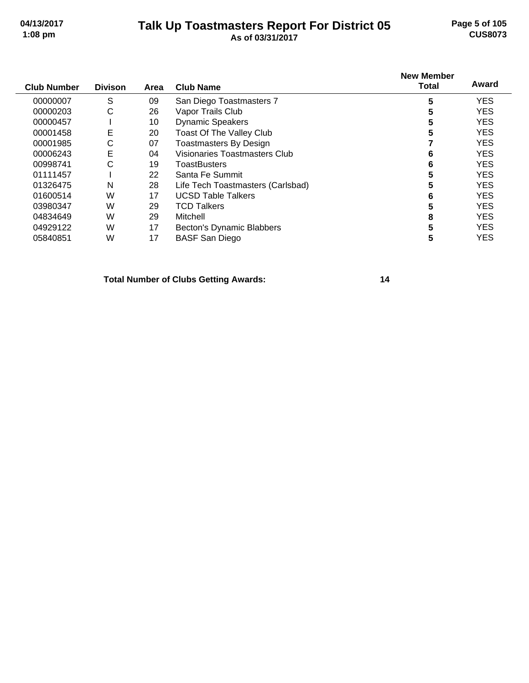#### **Talk Up Toastmasters Report For District 05 04/13/2017 Page 5 of 105 1:08 pm As of 03/31/2017 CUS8073**

| <b>Club Number</b> | <b>Divison</b> | Area | <b>Club Name</b>                     | <b>New Member</b><br><b>Total</b> | Award      |
|--------------------|----------------|------|--------------------------------------|-----------------------------------|------------|
| 00000007           | S              | 09   | San Diego Toastmasters 7             | 5                                 | <b>YES</b> |
| 00000203           | С              | 26   | Vapor Trails Club                    | 5                                 | <b>YES</b> |
| 00000457           |                | 10   | <b>Dynamic Speakers</b>              | 5                                 | <b>YES</b> |
| 00001458           | Е              | 20   | Toast Of The Valley Club             | 5                                 | <b>YES</b> |
| 00001985           | С              | 07   | <b>Toastmasters By Design</b>        |                                   | <b>YES</b> |
| 00006243           | E              | 04   | <b>Visionaries Toastmasters Club</b> | 6                                 | <b>YES</b> |
| 00998741           | С              | 19   | <b>ToastBusters</b>                  | 6                                 | <b>YES</b> |
| 01111457           |                | 22   | Santa Fe Summit                      | 5                                 | <b>YES</b> |
| 01326475           | N              | 28   | Life Tech Toastmasters (Carlsbad)    | 5                                 | <b>YES</b> |
| 01600514           | W              | 17   | <b>UCSD Table Talkers</b>            | 6                                 | <b>YES</b> |
| 03980347           | W              | 29   | <b>TCD Talkers</b>                   | 5                                 | <b>YES</b> |
| 04834649           | W              | 29   | Mitchell                             | 8                                 | <b>YES</b> |
| 04929122           | W              | 17   | Becton's Dynamic Blabbers            | 5                                 | <b>YES</b> |
| 05840851           | W              | 17   | <b>BASF San Diego</b>                | 5                                 | <b>YES</b> |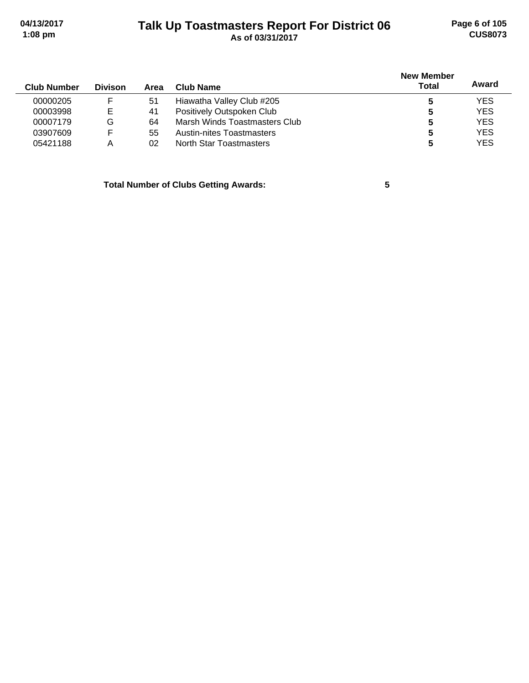# **Talk Up Toastmasters Report For District 06 04/13/2017 Page 6 of 105 1:08 pm As of 03/31/2017 CUS8073**

| <b>Club Number</b> | <b>Divison</b> | Area | Club Name                        | <b>New Member</b><br><b>Total</b> | Award      |
|--------------------|----------------|------|----------------------------------|-----------------------------------|------------|
| 00000205           | F              | 51   | Hiawatha Valley Club #205        |                                   | <b>YES</b> |
| 00003998           | Е              | 41   | Positively Outspoken Club        | 5                                 | <b>YES</b> |
| 00007179           | G              | 64   | Marsh Winds Toastmasters Club    | 5                                 | <b>YES</b> |
| 03907609           | F              | 55   | <b>Austin-nites Toastmasters</b> | 5                                 | <b>YES</b> |
| 05421188           | А              | 02   | North Star Toastmasters          | 5                                 | <b>YES</b> |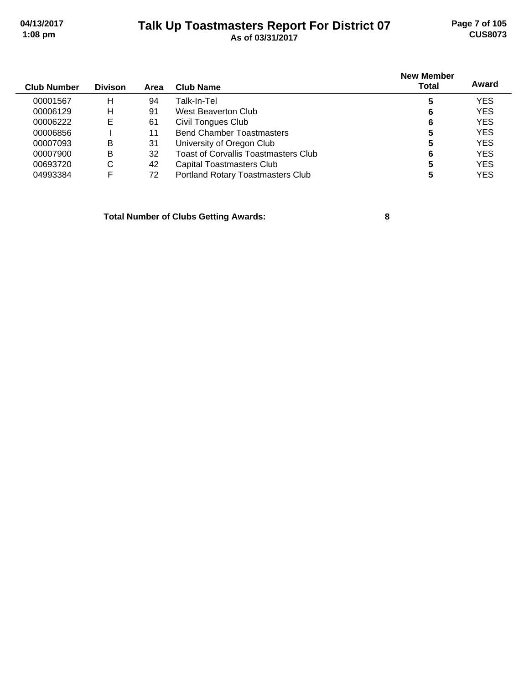#### **Talk Up Toastmasters Report For District 07 04/13/2017 Page 7 of 105 1:08 pm As of 03/31/2017 CUS8073**

| <b>Club Number</b> | <b>Divison</b> | Area | Club Name                            | <b>New Member</b><br>Total | Award      |
|--------------------|----------------|------|--------------------------------------|----------------------------|------------|
| 00001567           | н              | 94   | Talk-In-Tel                          | 5                          | <b>YES</b> |
| 00006129           | н              | 91   | West Beaverton Club                  | 6                          | <b>YES</b> |
| 00006222           | E              | 61   | Civil Tongues Club                   | 6                          | <b>YES</b> |
| 00006856           |                | 11   | <b>Bend Chamber Toastmasters</b>     | 5                          | <b>YES</b> |
| 00007093           | в              | 31   | University of Oregon Club            | 5                          | <b>YES</b> |
| 00007900           | B              | 32   | Toast of Corvallis Toastmasters Club | 6                          | <b>YES</b> |
| 00693720           | C              | 42   | Capital Toastmasters Club            | 5                          | <b>YES</b> |
| 04993384           | F              | 72   | Portland Rotary Toastmasters Club    |                            | YES        |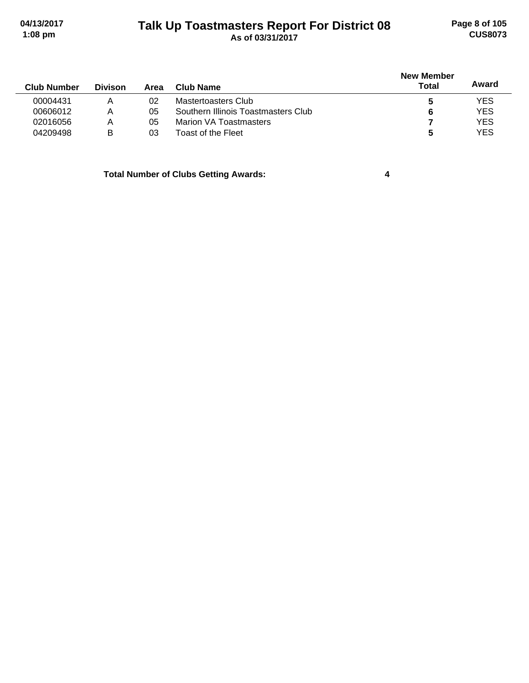#### **Talk Up Toastmasters Report For District 08 04/13/2017 Page 8 of 105 1:08 pm As of 03/31/2017 CUS8073**

| <b>Club Number</b> | <b>Divison</b> | Area | <b>Club Name</b>                    | New Member<br>Total | Award      |
|--------------------|----------------|------|-------------------------------------|---------------------|------------|
| 00004431           | Α              | 02   | Mastertoasters Club                 | C                   | <b>YES</b> |
| 00606012           | Α              | 05   | Southern Illinois Toastmasters Club | 6                   | <b>YES</b> |
| 02016056           | Α              | 05   | Marion VA Toastmasters              |                     | <b>YES</b> |
| 04209498           | B              | 03   | Toast of the Fleet                  | b                   | <b>YES</b> |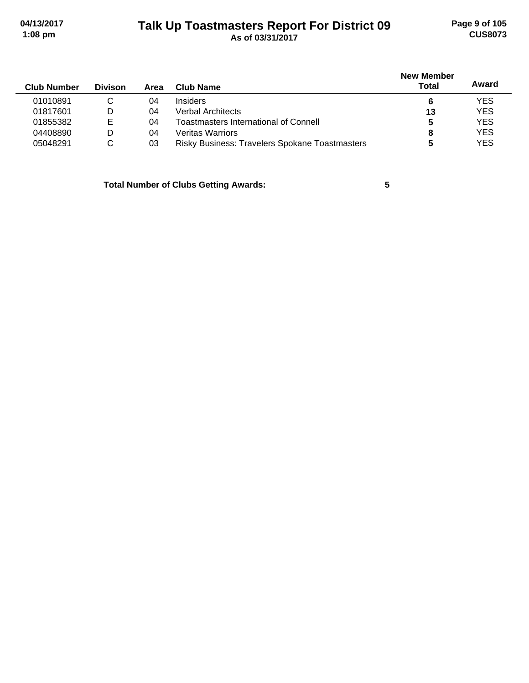# **Talk Up Toastmasters Report For District 09 04/13/2017 Page 9 of 105 1:08 pm As of 03/31/2017 CUS8073**

| <b>Club Number</b> | <b>Divison</b> | Area | Club Name                                      | <b>New Member</b><br><b>Total</b> | Award      |
|--------------------|----------------|------|------------------------------------------------|-----------------------------------|------------|
| 01010891           | С              | 04   | <b>Insiders</b>                                | 6                                 | YES        |
| 01817601           | D              | 04   | Verbal Architects                              | 13                                | <b>YES</b> |
| 01855382           | Е              | 04   | Toastmasters International of Connell          | 5                                 | <b>YES</b> |
| 04408890           | D              | 04   | <b>Veritas Warriors</b>                        | 8                                 | <b>YES</b> |
| 05048291           | С              | 03   | Risky Business: Travelers Spokane Toastmasters |                                   | YES        |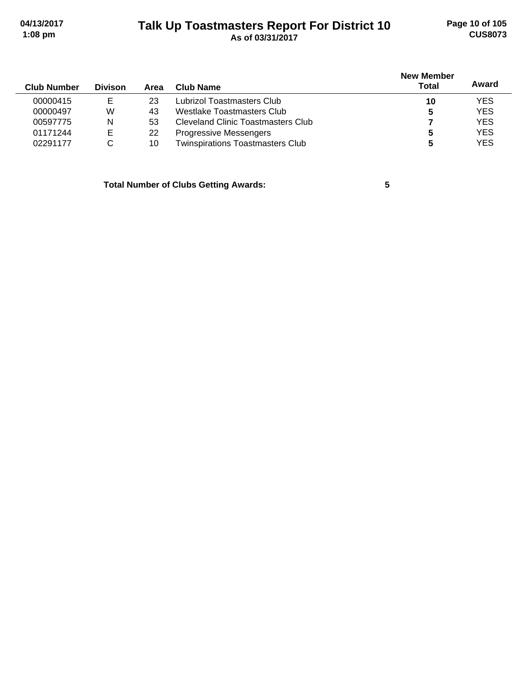# **Talk Up Toastmasters Report For District 10 04/13/2017 Page 10 of 105 1:08 pm As of 03/31/2017 CUS8073**

|                    |                |      |                                         | <b>New Member</b> |            |
|--------------------|----------------|------|-----------------------------------------|-------------------|------------|
| <b>Club Number</b> | <b>Divison</b> | Area | Club Name                               | Total             | Award      |
| 00000415           | Е              | 23   | Lubrizol Toastmasters Club              | 10                | <b>YES</b> |
| 00000497           | W              | 43   | Westlake Toastmasters Club              | 5                 | <b>YES</b> |
| 00597775           | N              | 53   | Cleveland Clinic Toastmasters Club      |                   | <b>YES</b> |
| 01171244           | E              | 22   | <b>Progressive Messengers</b>           |                   | <b>YES</b> |
| 02291177           | С              | 10   | <b>Twinspirations Toastmasters Club</b> | 5                 | <b>YES</b> |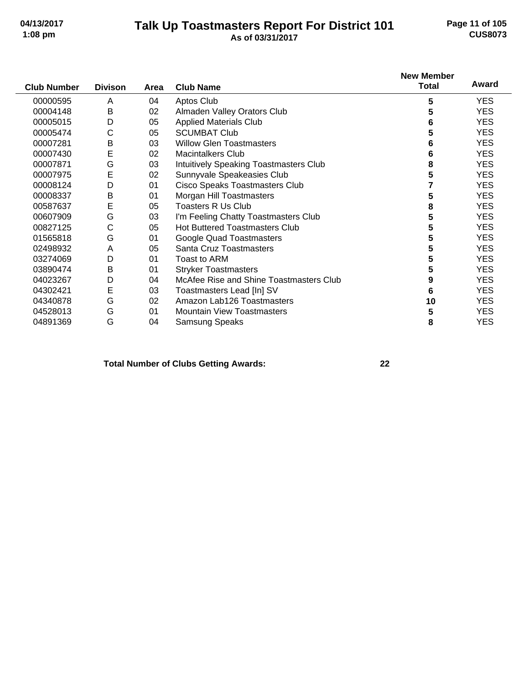#### **Talk Up Toastmasters Report For District 101 04/13/2017 Page 11 of 105 1:08 pm As of 03/31/2017 CUS8073**

|                    |                |      |                                         | <b>New Member</b> |            |
|--------------------|----------------|------|-----------------------------------------|-------------------|------------|
| <b>Club Number</b> | <b>Divison</b> | Area | <b>Club Name</b>                        | <b>Total</b>      | Award      |
| 00000595           | A              | 04   | Aptos Club                              | 5                 | <b>YES</b> |
| 00004148           | B              | 02   | Almaden Valley Orators Club             | 5                 | <b>YES</b> |
| 00005015           | D              | 05   | <b>Applied Materials Club</b>           | 6                 | <b>YES</b> |
| 00005474           | С              | 05   | <b>SCUMBAT Club</b>                     | 5                 | <b>YES</b> |
| 00007281           | B              | 03   | <b>Willow Glen Toastmasters</b>         | 6                 | <b>YES</b> |
| 00007430           | E              | 02   | <b>Macintalkers Club</b>                | 6                 | <b>YES</b> |
| 00007871           | G              | 03   | Intuitively Speaking Toastmasters Club  | 8                 | <b>YES</b> |
| 00007975           | Е              | 02   | Sunnyvale Speakeasies Club              | 5                 | <b>YES</b> |
| 00008124           | D              | 01   | Cisco Speaks Toastmasters Club          |                   | <b>YES</b> |
| 00008337           | B              | 01   | Morgan Hill Toastmasters                | 5                 | <b>YES</b> |
| 00587637           | E              | 05   | Toasters R Us Club                      | 8                 | <b>YES</b> |
| 00607909           | G              | 03   | I'm Feeling Chatty Toastmasters Club    | 5                 | <b>YES</b> |
| 00827125           | С              | 05   | <b>Hot Buttered Toastmasters Club</b>   | 5                 | <b>YES</b> |
| 01565818           | G              | 01   | Google Quad Toastmasters                | 5                 | <b>YES</b> |
| 02498932           | Α              | 05   | Santa Cruz Toastmasters                 | 5                 | <b>YES</b> |
| 03274069           | D              | 01   | Toast to ARM                            | 5                 | <b>YES</b> |
| 03890474           | B              | 01   | <b>Stryker Toastmasters</b>             | 5                 | <b>YES</b> |
| 04023267           | D              | 04   | McAfee Rise and Shine Toastmasters Club | 9                 | <b>YES</b> |
| 04302421           | E              | 03   | Toastmasters Lead [In] SV               | 6                 | <b>YES</b> |
| 04340878           | G              | 02   | Amazon Lab126 Toastmasters              | 10                | <b>YES</b> |
| 04528013           | G              | 01   | <b>Mountain View Toastmasters</b>       | 5                 | <b>YES</b> |
| 04891369           | G              | 04   | Samsung Speaks                          | 8                 | <b>YES</b> |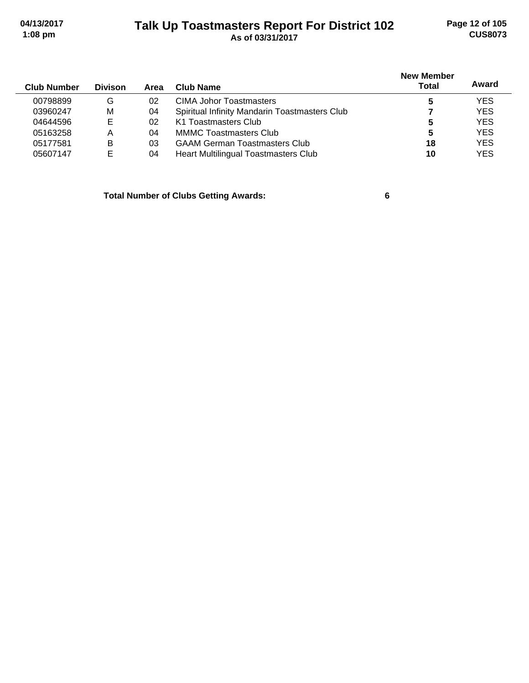#### **Talk Up Toastmasters Report For District 102 04/13/2017 Page 12 of 105 1:08 pm As of 03/31/2017 CUS8073**

| <b>Club Number</b> | <b>Divison</b> | Area | Club Name                                     | <b>New Member</b><br><b>Total</b> | Award      |
|--------------------|----------------|------|-----------------------------------------------|-----------------------------------|------------|
| 00798899           | G              | 02   | CIMA Johor Toastmasters                       | 5                                 | <b>YES</b> |
| 03960247           | М              | 04   | Spiritual Infinity Mandarin Toastmasters Club |                                   | <b>YES</b> |
| 04644596           | Е              | 02   | K1 Toastmasters Club                          | 5                                 | <b>YES</b> |
| 05163258           | Α              | 04   | <b>MMMC Toastmasters Club</b>                 | 5                                 | <b>YES</b> |
| 05177581           | B              | 03   | <b>GAAM German Toastmasters Club</b>          | 18                                | <b>YES</b> |
| 05607147           | Е              | 04   | Heart Multilingual Toastmasters Club          | 10                                | <b>YES</b> |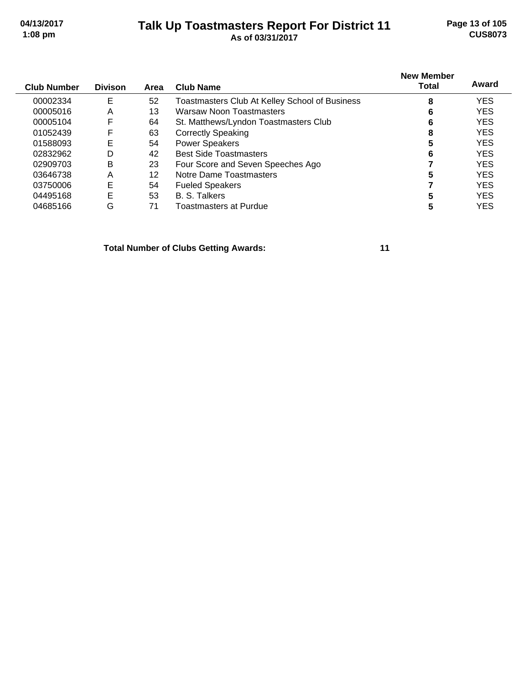#### **Talk Up Toastmasters Report For District 11 04/13/2017 Page 13 of 105 1:08 pm As of 03/31/2017 CUS8073**

| <b>Club Number</b> | <b>Divison</b> | Area | Club Name                                      | <b>New Member</b><br>Total | Award      |
|--------------------|----------------|------|------------------------------------------------|----------------------------|------------|
| 00002334           | E              | 52   | Toastmasters Club At Kelley School of Business | 8                          | <b>YES</b> |
| 00005016           | A              | 13   | <b>Warsaw Noon Toastmasters</b>                | 6                          | <b>YES</b> |
| 00005104           | F              | 64   | St. Matthews/Lyndon Toastmasters Club          | 6                          | <b>YES</b> |
| 01052439           | F              | 63   | <b>Correctly Speaking</b>                      | 8                          | <b>YES</b> |
| 01588093           | E              | 54   | <b>Power Speakers</b>                          | 5                          | <b>YES</b> |
| 02832962           | D              | 42   | <b>Best Side Toastmasters</b>                  | 6                          | <b>YES</b> |
| 02909703           | В              | 23   | Four Score and Seven Speeches Ago              |                            | <b>YES</b> |
| 03646738           | A              | 12   | Notre Dame Toastmasters                        | 5                          | <b>YES</b> |
| 03750006           | E              | 54   | <b>Fueled Speakers</b>                         |                            | <b>YES</b> |
| 04495168           | E              | 53   | <b>B. S. Talkers</b>                           | 5                          | <b>YES</b> |
| 04685166           | G              | 71   | Toastmasters at Purdue                         |                            | YES        |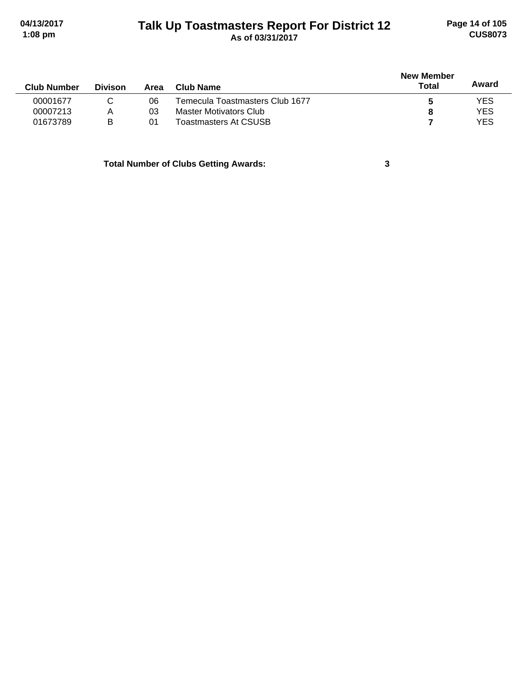# **Talk Up Toastmasters Report For District 12 04/13/2017 Page 14 of 105 1:08 pm As of 03/31/2017 CUS8073**

|                |      |                                 | <b>New Member</b> |            |  |
|----------------|------|---------------------------------|-------------------|------------|--|
| <b>Divison</b> | Area | Club Name                       | <b>Total</b>      | Award      |  |
|                | 06   | Temecula Toastmasters Club 1677 | b                 | <b>YES</b> |  |
| А              | 03   | Master Motivators Club          |                   | <b>YES</b> |  |
| B              | 01   | Toastmasters At CSUSB           |                   | <b>YES</b> |  |
|                |      |                                 |                   |            |  |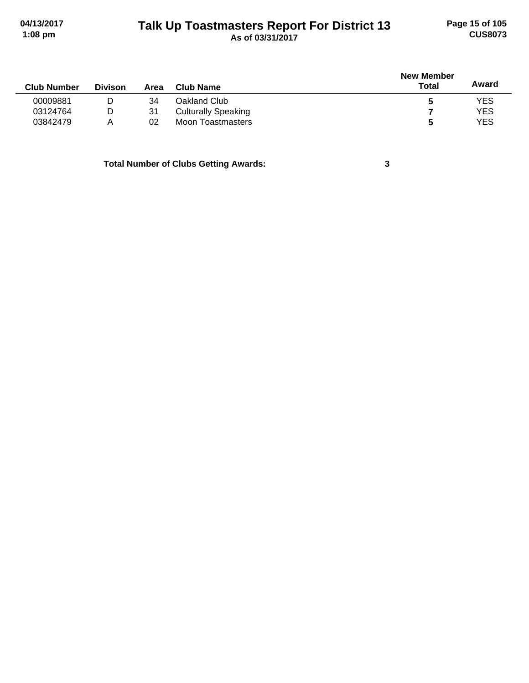#### **Talk Up Toastmasters Report For District 13 04/13/2017 Page 15 of 105 1:08 pm As of 03/31/2017 CUS8073**

|                |      |                            | <b>New Member</b> |            |
|----------------|------|----------------------------|-------------------|------------|
| <b>Divison</b> | Area | Club Name                  | Total             | Award      |
| D              | 34   | Oakland Club               | C                 | <b>YES</b> |
| D              | 31   | <b>Culturally Speaking</b> |                   | <b>YES</b> |
| A              | 02   | Moon Toastmasters          | 5                 | <b>YES</b> |
|                |      |                            |                   |            |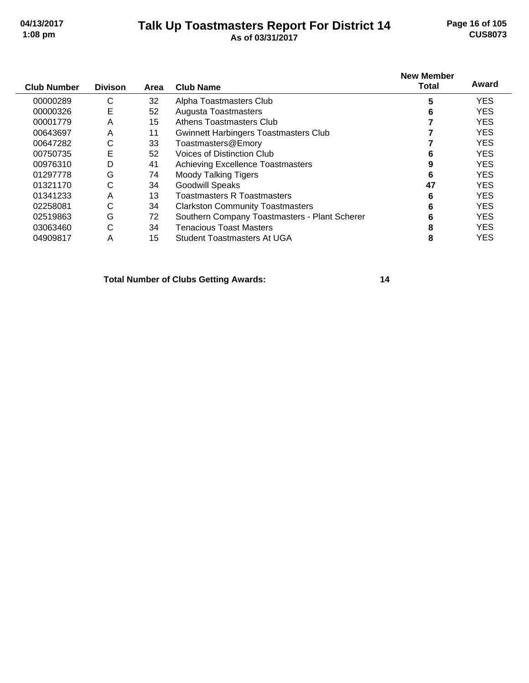#### **Talk Up Toastmasters Report For District 14 04/13/2017 Page 16 of 105 1:08 pm As of 03/31/2017 CUS8073**

| <b>Club Number</b> | <b>Divison</b> | Area | <b>Club Name</b>                              | <b>New Member</b><br><b>Total</b> | Award      |
|--------------------|----------------|------|-----------------------------------------------|-----------------------------------|------------|
| 00000289           | С              | 32   | Alpha Toastmasters Club                       | 5                                 | <b>YES</b> |
| 00000326           | Е              | 52   | <b>Augusta Toastmasters</b>                   | 6                                 | <b>YES</b> |
| 00001779           | A              | 15   | Athens Toastmasters Club                      |                                   | <b>YES</b> |
| 00643697           | Α              | 11   | <b>Gwinnett Harbingers Toastmasters Club</b>  |                                   | <b>YES</b> |
| 00647282           | C              | 33   | Toastmasters@Emory                            |                                   | <b>YES</b> |
| 00750735           | Е              | 52   | Voices of Distinction Club                    | 6                                 | <b>YES</b> |
| 00976310           | D              | 41   | <b>Achieving Excellence Toastmasters</b>      | 9                                 | <b>YES</b> |
| 01297778           | G              | 74   | <b>Moody Talking Tigers</b>                   | 6                                 | <b>YES</b> |
| 01321170           | C              | 34   | <b>Goodwill Speaks</b>                        | 47                                | <b>YES</b> |
| 01341233           | Α              | 13   | <b>Toastmasters R Toastmasters</b>            | 6                                 | <b>YES</b> |
| 02258081           | C              | 34   | <b>Clarkston Community Toastmasters</b>       | 6                                 | <b>YES</b> |
| 02519863           | G              | 72   | Southern Company Toastmasters - Plant Scherer | 6                                 | <b>YES</b> |
| 03063460           | C              | 34   | Tenacious Toast Masters                       | 8                                 | <b>YES</b> |
| 04909817           | Α              | 15   | Student Toastmasters At UGA                   | 8                                 | <b>YES</b> |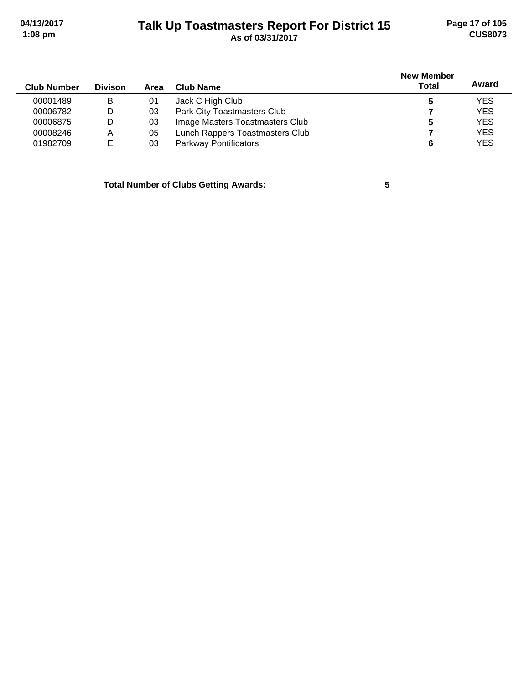#### **Talk Up Toastmasters Report For District 15 04/13/2017 Page 17 of 105 1:08 pm As of 03/31/2017 CUS8073**

| <b>Club Number</b> | <b>Divison</b> | Area | Club Name                       | <b>New Member</b><br><b>Total</b> | Award      |
|--------------------|----------------|------|---------------------------------|-----------------------------------|------------|
| 00001489           | в              | 01   | Jack C High Club                |                                   | <b>YES</b> |
| 00006782           | D              | 03   | Park City Toastmasters Club     |                                   | <b>YES</b> |
| 00006875           | D              | 03   | Image Masters Toastmasters Club | 5                                 | <b>YES</b> |
| 00008246           | Α              | 05   | Lunch Rappers Toastmasters Club |                                   | <b>YES</b> |
| 01982709           | E              | 03   | <b>Parkway Pontificators</b>    | 6                                 | <b>YES</b> |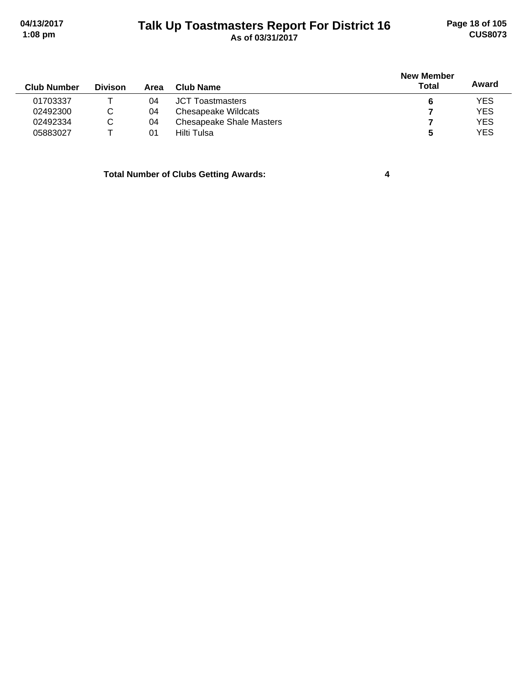#### **Talk Up Toastmasters Report For District 16 04/13/2017 Page 18 of 105 1:08 pm As of 03/31/2017 CUS8073**

| <b>Club Number</b> | <b>Divison</b> | Area | Club Name                       | <b>New Member</b><br><b>Total</b> | Award      |
|--------------------|----------------|------|---------------------------------|-----------------------------------|------------|
| 01703337           |                | 04   | <b>JCT Toastmasters</b>         | 6                                 | <b>YES</b> |
| 02492300           | С              | 04   | <b>Chesapeake Wildcats</b>      |                                   | <b>YES</b> |
| 02492334           | C              | 04   | <b>Chesapeake Shale Masters</b> |                                   | <b>YES</b> |
| 05883027           |                | 01   | Hilti Tulsa                     | 5                                 | <b>YES</b> |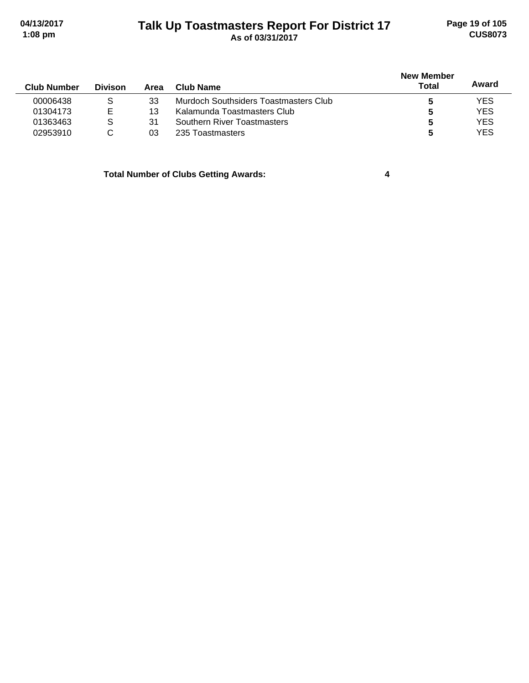## **Talk Up Toastmasters Report For District 17 04/13/2017 Page 19 of 105 1:08 pm As of 03/31/2017 CUS8073**

| <b>Club Number</b> | <b>Divison</b> | Area | Club Name                             | <b>New Member</b><br>Total | Award      |
|--------------------|----------------|------|---------------------------------------|----------------------------|------------|
| 00006438           | S              | 33   | Murdoch Southsiders Toastmasters Club |                            | <b>YES</b> |
| 01304173           | E              | 13   | Kalamunda Toastmasters Club           | 5                          | <b>YES</b> |
| 01363463           | S              | 31   | Southern River Toastmasters           | 5                          | <b>YES</b> |
| 02953910           |                | 03   | 235 Toastmasters                      | 5                          | <b>YES</b> |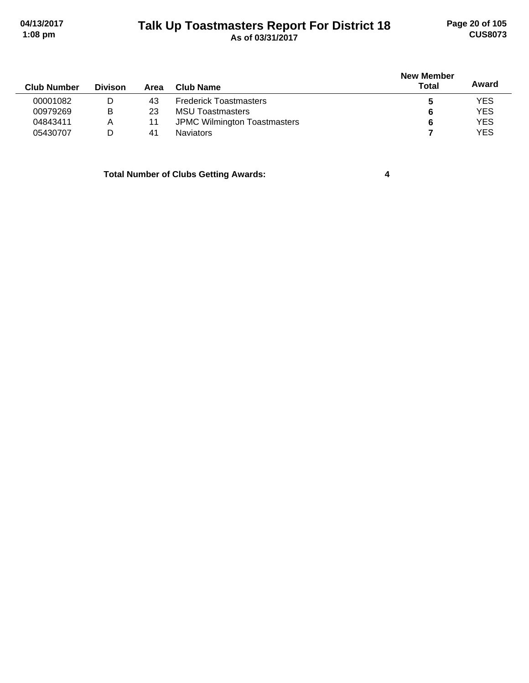# **Talk Up Toastmasters Report For District 18 04/13/2017 Page 20 of 105 1:08 pm As of 03/31/2017 CUS8073**

| <b>Club Number</b> | <b>Divison</b> | Area | Club Name                           | <b>New Member</b><br>Total | Award      |
|--------------------|----------------|------|-------------------------------------|----------------------------|------------|
| 00001082           | D              | 43   | <b>Frederick Toastmasters</b>       | 5                          | <b>YES</b> |
| 00979269           | в              | 23   | <b>MSU Toastmasters</b>             | 6                          | <b>YES</b> |
| 04843411           | А              | 11   | <b>JPMC Wilmington Toastmasters</b> | 6                          | <b>YES</b> |
| 05430707           | D              | 41   | <b>Naviators</b>                    |                            | <b>YES</b> |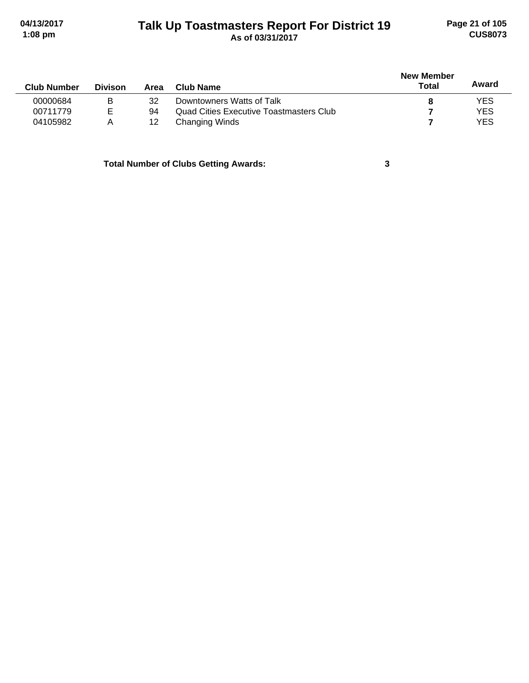#### **Talk Up Toastmasters Report For District 19 04/13/2017 Page 21 of 105 1:08 pm As of 03/31/2017 CUS8073**

|                    |                |      |                                                | <b>New Member</b> | Award      |
|--------------------|----------------|------|------------------------------------------------|-------------------|------------|
| <b>Club Number</b> | <b>Divison</b> | Area | Club Name                                      | Total             |            |
| 00000684           | B              | 32   | Downtowners Watts of Talk                      |                   | <b>YES</b> |
| 00711779           | E              | 94   | <b>Quad Cities Executive Toastmasters Club</b> |                   | <b>YES</b> |
| 04105982           | A              | 12   | Changing Winds                                 |                   | <b>YES</b> |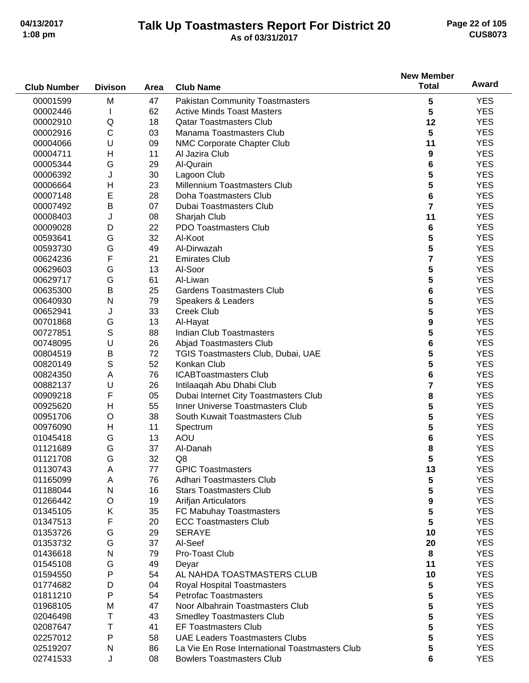#### **Talk Up Toastmasters Report For District 20 04/13/2017 Page 22 of 105 1:08 pm As of 03/31/2017 CUS8073**

|                    |                |      |                                                                           | <b>New Member</b>       |            |
|--------------------|----------------|------|---------------------------------------------------------------------------|-------------------------|------------|
| <b>Club Number</b> | <b>Divison</b> | Area | <b>Club Name</b>                                                          | <b>Total</b>            | Award      |
| 00001599           | M              | 47   | <b>Pakistan Community Toastmasters</b>                                    |                         | <b>YES</b> |
|                    |                | 62   | <b>Active Minds Toast Masters</b>                                         | 5<br>5                  | <b>YES</b> |
| 00002446           |                |      | <b>Qatar Toastmasters Club</b>                                            |                         |            |
| 00002910           | Q              | 18   |                                                                           | 12                      | <b>YES</b> |
| 00002916           | $\mathsf{C}$   | 03   | Manama Toastmasters Club                                                  | 5                       | <b>YES</b> |
| 00004066           | U              | 09   | NMC Corporate Chapter Club                                                | 11                      | <b>YES</b> |
| 00004711           | Н              | 11   | Al Jazira Club                                                            | 9                       | <b>YES</b> |
| 00005344           | G              | 29   | Al-Qurain                                                                 | 6                       | <b>YES</b> |
| 00006392           | J              | 30   | Lagoon Club                                                               | 5                       | <b>YES</b> |
| 00006664           | $\mathsf{H}$   | 23   | <b>Millennium Toastmasters Club</b>                                       | 5                       | <b>YES</b> |
| 00007148           | E              | 28   | Doha Toastmasters Club                                                    | 6                       | <b>YES</b> |
| 00007492           | B              | 07   | Dubai Toastmasters Club                                                   | $\overline{7}$          | <b>YES</b> |
| 00008403           | J              | 08   | Sharjah Club                                                              | 11                      | <b>YES</b> |
| 00009028           | D              | 22   | <b>PDO Toastmasters Club</b>                                              | 6                       | <b>YES</b> |
| 00593641           | G              | 32   | Al-Koot                                                                   | 5                       | <b>YES</b> |
| 00593730           | G              | 49   | Al-Dirwazah                                                               | $\overline{\mathbf{5}}$ | <b>YES</b> |
| 00624236           | F              | 21   | <b>Emirates Club</b>                                                      | $\overline{\mathbf{7}}$ | <b>YES</b> |
| 00629603           | G              | 13   | Al-Soor                                                                   | 5                       | <b>YES</b> |
| 00629717           | G              | 61   | Al-Liwan                                                                  | 5                       | <b>YES</b> |
| 00635300           | B              | 25   | <b>Gardens Toastmasters Club</b>                                          | 6                       | <b>YES</b> |
| 00640930           | N              | 79   | Speakers & Leaders                                                        | 5                       | <b>YES</b> |
| 00652941           | J              | 33   | <b>Creek Club</b>                                                         | 5                       | <b>YES</b> |
| 00701868           | G              | 13   | Al-Hayat                                                                  | 9                       | <b>YES</b> |
| 00727851           | S              | 88   | <b>Indian Club Toastmasters</b>                                           | 5                       | <b>YES</b> |
| 00748095           | U              | 26   | Abjad Toastmasters Club                                                   | 6                       | <b>YES</b> |
| 00804519           | B              | 72   | TGIS Toastmasters Club, Dubai, UAE                                        | 5                       | <b>YES</b> |
| 00820149           | S              | 52   | Konkan Club                                                               | 5                       | <b>YES</b> |
| 00824350           | A              | 76   | <b>ICABToastmasters Club</b>                                              | 6                       | <b>YES</b> |
|                    | U              | 26   |                                                                           |                         | <b>YES</b> |
| 00882137           |                |      | Intilaaqah Abu Dhabi Club                                                 | 7                       |            |
| 00909218           | F              | 05   | Dubai Internet City Toastmasters Club<br>Inner Universe Toastmasters Club | 8                       | <b>YES</b> |
| 00925620           | H              | 55   |                                                                           | 5                       | <b>YES</b> |
| 00951706           | O              | 38   | South Kuwait Toastmasters Club                                            | 5                       | <b>YES</b> |
| 00976090           | Н              | 11   | Spectrum                                                                  | 5                       | <b>YES</b> |
| 01045418           | G              | 13   | <b>AOU</b>                                                                | 6                       | <b>YES</b> |
| 01121689           | G              | 37   | Al-Danah                                                                  | 8                       | <b>YES</b> |
| 01121708           | G              | 32   | Q8                                                                        | 5                       | <b>YES</b> |
| 01130743           | Α              | 77   | <b>GPIC Toastmasters</b>                                                  | 13                      | <b>YES</b> |
| 01165099           | Α              | 76   | Adhari Toastmasters Club                                                  | 5                       | <b>YES</b> |
| 01188044           | N              | 16   | <b>Stars Toastmasters Club</b>                                            | 5                       | <b>YES</b> |
| 01266442           | O              | 19   | Arifjan Articulators                                                      | 9                       | <b>YES</b> |
| 01345105           | Κ              | 35   | FC Mabuhay Toastmasters                                                   | 5                       | <b>YES</b> |
| 01347513           | F              | 20   | <b>ECC Toastmasters Club</b>                                              | 5                       | <b>YES</b> |
| 01353726           | G              | 29   | <b>SERAYE</b>                                                             | 10                      | <b>YES</b> |
| 01353732           | G              | 37   | Al-Seef                                                                   | 20                      | <b>YES</b> |
| 01436618           | N              | 79   | Pro-Toast Club                                                            | 8                       | <b>YES</b> |
| 01545108           | G              | 49   | Deyar                                                                     | 11                      | <b>YES</b> |
| 01594550           | P              | 54   | AL NAHDA TOASTMASTERS CLUB                                                | 10                      | <b>YES</b> |
| 01774682           | D              | 04   | Royal Hospital Toastmasters                                               | 5                       | <b>YES</b> |
| 01811210           | P              | 54   | <b>Petrofac Toastmasters</b>                                              | 5                       | <b>YES</b> |
| 01968105           | M              | 47   | Noor Albahrain Toastmasters Club                                          | 5                       | <b>YES</b> |
| 02046498           | Τ              | 43   | <b>Smedley Toastmasters Club</b>                                          | 5                       | <b>YES</b> |
| 02087647           | Τ              | 41   | <b>EF Toastmasters Club</b>                                               | 5                       | <b>YES</b> |
| 02257012           | P              | 58   | <b>UAE Leaders Toastmasters Clubs</b>                                     | 5                       | <b>YES</b> |
| 02519207           | N              | 86   | La Vie En Rose International Toastmasters Club                            | 5                       | <b>YES</b> |
| 02741533           | J              | 08   | <b>Bowlers Toastmasters Club</b>                                          | 6                       | <b>YES</b> |
|                    |                |      |                                                                           |                         |            |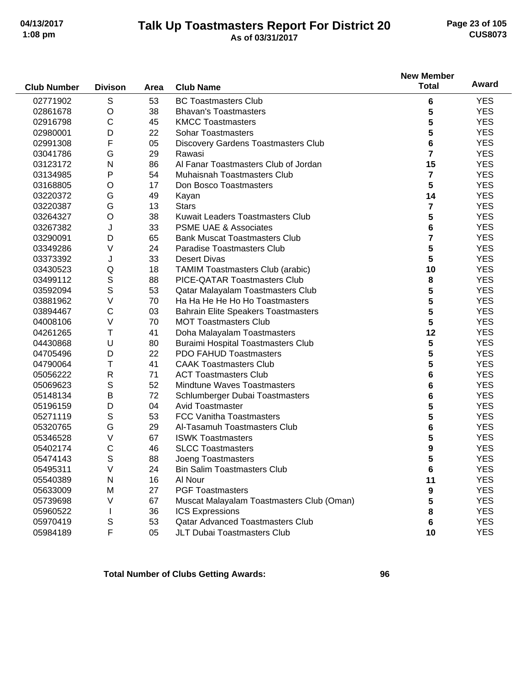#### **Talk Up Toastmasters Report For District 20 04/13/2017 Page 23 of 105 1:08 pm As of 03/31/2017 CUS8073**

**New Member**

#### **Club Number Divison Area Club Name Total Award Area** 02771902 S 53 BC Toastmasters Club **6** YES 02861678 O 38 Bhavan's Toastmasters **5** YES 02916798 C 45 KMCC Toastmasters **5** YES 02980001 D 22 Sohar Toastmasters **5** YES 02991308 F 05 Discovery Gardens Toastmasters Club **6** YES 03041786 G 29 Rawasi **7** YES 03123172 N 86 Al Fanar Toastmasters Club of Jordan **15** YES 03134985 P 54 Muhaisnah Toastmasters Club **7** YES 03168805 O 17 Don Bosco Toastmasters **5** YES 03220372 G 49 Kayan **14** YES 03220387 G 13 Stars **7** YES 03264327 O 38 Kuwait Leaders Toastmasters Club **5** YES 03267382 J 33 PSME UAE & Associates **6** YES 03290091 D 65 Bank Muscat Toastmasters Club **7** YES 03349286 V 24 Paradise Toastmasters Club **5** YES 03373392 J 33 Desert Divas **5** YES 03430523 Q 18 TAMIM Toastmasters Club (arabic) **10** YES 03499112 S 88 PICE-QATAR Toastmasters Club **8** YES 03592094 S 53 Qatar Malayalam Toastmasters Club **5** YES 03881962 V 70 Ha Ha He He Ho Ho Toastmasters **5** YES 03894467 C 03 Bahrain Elite Speakers Toastmasters **5** YES 04008106 V 70 MOT Toastmasters Club **5** YES 04261265 T 41 Doha Malayalam Toastmasters **12** YES 04430868 U 80 Buraimi Hospital Toastmasters Club **5** YES 04705496 D 22 PDO FAHUD Toastmasters **5** YES 04790064 T 41 CAAK Toastmasters Club **5** YES 05056222 R 71 ACT Toastmasters Club **6** YES 05069623 S 52 Mindtune Waves Toastmasters **6** YES 05148134 B 72 Schlumberger Dubai Toastmasters **6** YES 05196159 D 04 Avid Toastmaster **5** YES 05271119 S 53 FCC Vanitha Toastmasters **5** 5 5 5 5 5 5 5 5 5 5 5 7 FS 05320765 G 29 Al-Tasamuh Toastmasters Club **6** YES 05346528 V 67 ISWK Toastmasters **5** YES 05402174 C 46 SLCC Toastmasters **9** YES 05474143 S 88 Joeng Toastmasters **5** YES 05495311 V 24 Bin Salim Toastmasters Club **6** YES 05540389 N 16 Al Nour **11** YES 05633009 M 27 PGF Toastmasters **9** YES 05739698 V 67 Muscat Malayalam Toastmasters Club (Oman) **5** YES 05960522 I 36 ICS Expressions **8** YES 05970419 S 53 Qatar Advanced Toastmasters Club **6** YES 05984189 F 05 JLT Dubai Toastmasters Club **10** YES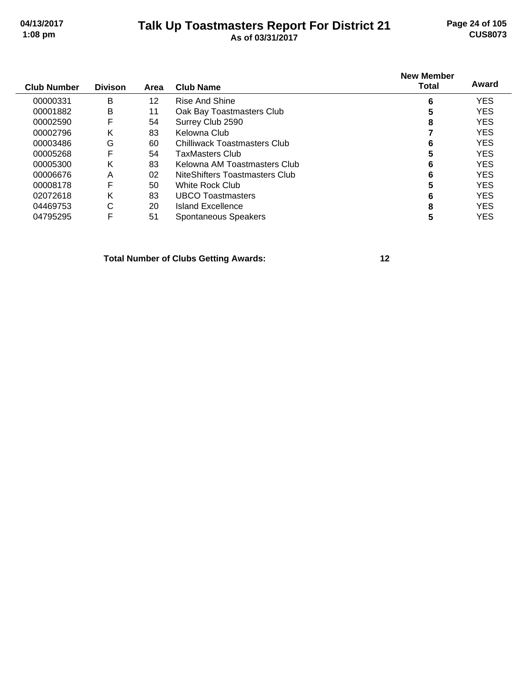#### **Talk Up Toastmasters Report For District 21 04/13/2017 Page 24 of 105 1:08 pm As of 03/31/2017 CUS8073**

| <b>Club Number</b> | <b>Divison</b> | Area | <b>Club Name</b>               | <b>New Member</b><br><b>Total</b> | Award      |
|--------------------|----------------|------|--------------------------------|-----------------------------------|------------|
| 00000331           | B              | 12   | Rise And Shine                 | 6                                 | <b>YES</b> |
| 00001882           | B              | 11   | Oak Bay Toastmasters Club      | 5                                 | <b>YES</b> |
| 00002590           | F              | 54   | Surrey Club 2590               | 8                                 | <b>YES</b> |
| 00002796           | Κ              | 83   | Kelowna Club                   |                                   | <b>YES</b> |
| 00003486           | G              | 60   | Chilliwack Toastmasters Club   | 6                                 | <b>YES</b> |
| 00005268           | F              | 54   | TaxMasters Club                | 5                                 | <b>YES</b> |
| 00005300           | κ              | 83   | Kelowna AM Toastmasters Club   | 6                                 | <b>YES</b> |
| 00006676           | A              | 02   | NiteShifters Toastmasters Club | 6                                 | <b>YES</b> |
| 00008178           | F              | 50   | White Rock Club                | 5                                 | <b>YES</b> |
| 02072618           | ĸ              | 83   | <b>UBCO Toastmasters</b>       | 6                                 | <b>YES</b> |
| 04469753           | С              | 20   | Island Excellence              | 8                                 | <b>YES</b> |
| 04795295           | F              | 51   | Spontaneous Speakers           | 5                                 | <b>YES</b> |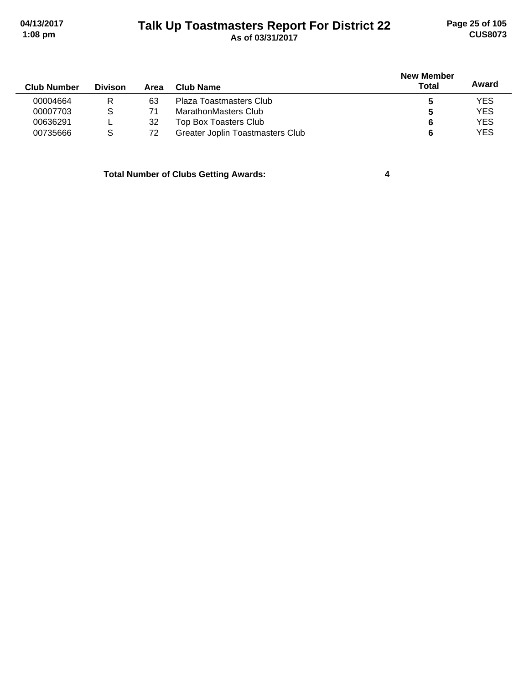# **Talk Up Toastmasters Report For District 22 04/13/2017 Page 25 of 105 1:08 pm As of 03/31/2017 CUS8073**

| <b>Club Number</b> | <b>Divison</b> | Area | Club Name                        | New Member<br>Total | Award      |
|--------------------|----------------|------|----------------------------------|---------------------|------------|
| 00004664           | R              | 63   | Plaza Toastmasters Club          | э                   | <b>YES</b> |
| 00007703           | S              |      | MarathonMasters Club             | C                   | <b>YES</b> |
| 00636291           |                | 32   | Top Box Toasters Club            | 6                   | <b>YES</b> |
| 00735666           | S              | 72   | Greater Joplin Toastmasters Club | 6                   | YES        |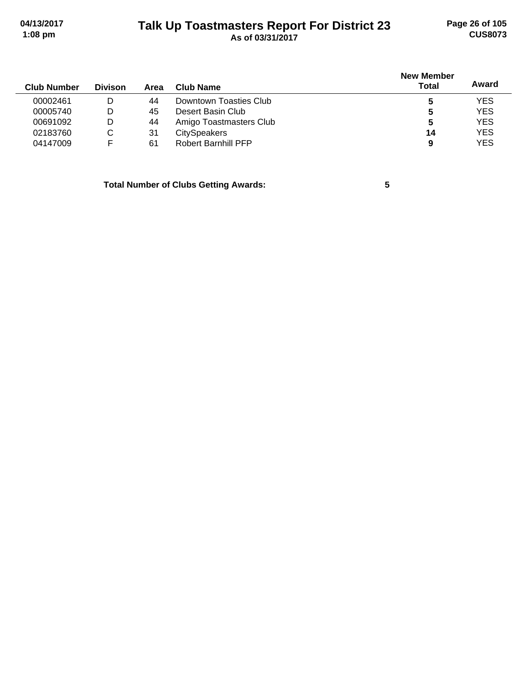#### **Talk Up Toastmasters Report For District 23 04/13/2017 Page 26 of 105 1:08 pm As of 03/31/2017 CUS8073**

| <b>Divison</b> | Area | Club Name                  | <b>New Member</b><br><b>Total</b> | Award      |
|----------------|------|----------------------------|-----------------------------------|------------|
| D              | 44   | Downtown Toasties Club     |                                   | <b>YES</b> |
| D              | 45   | Desert Basin Club          | 5                                 | <b>YES</b> |
| D              | 44   | Amigo Toastmasters Club    | 5                                 | <b>YES</b> |
| C              | 31   | <b>CitySpeakers</b>        | 14                                | <b>YES</b> |
|                | 61   | <b>Robert Barnhill PFP</b> | 9                                 | <b>YES</b> |
|                |      |                            |                                   |            |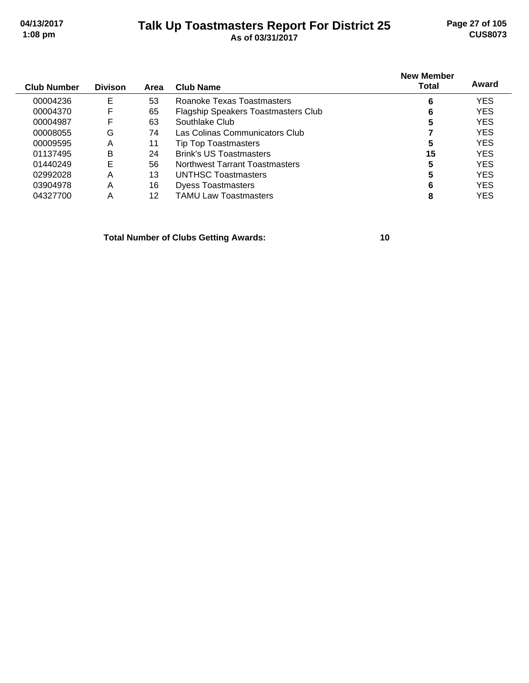# **Talk Up Toastmasters Report For District 25 04/13/2017 Page 27 of 105**

| $1:08$ pm   |                |         |           | As of 03/31/2017 |                                   | <b>CUS8073</b> |
|-------------|----------------|---------|-----------|------------------|-----------------------------------|----------------|
| Club Number | <b>Divison</b> | $A$ roo | Club Namo |                  | <b>New Member</b><br><b>Total</b> | Award          |

| 6  | <b>YES</b> |
|----|------------|
| 6  | <b>YES</b> |
| 5  | <b>YES</b> |
|    | <b>YES</b> |
| 5  | <b>YES</b> |
| 15 | <b>YES</b> |
| 5  | <b>YES</b> |
| 5  | <b>YES</b> |
| 6  | <b>YES</b> |
|    | <b>YES</b> |
|    |            |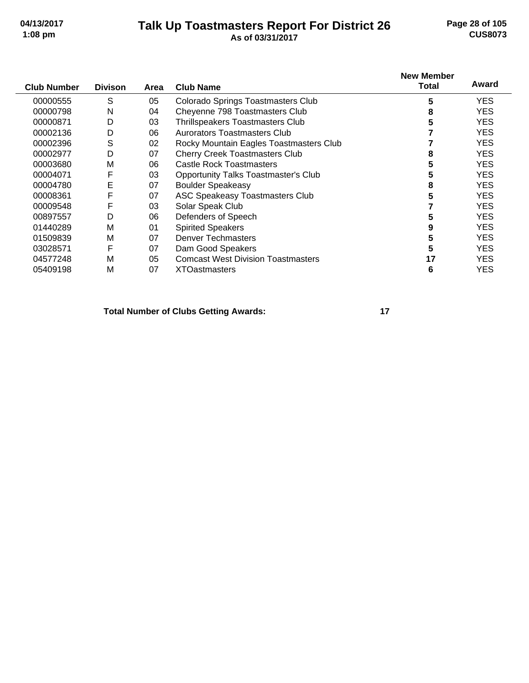#### **Talk Up Toastmasters Report For District 26 04/13/2017 Page 28 of 105 1:08 pm As of 03/31/2017 CUS8073**

| <b>Club Number</b> | <b>Divison</b> | Area | <b>Club Name</b>                            | <b>New Member</b><br>Total | Award      |
|--------------------|----------------|------|---------------------------------------------|----------------------------|------------|
|                    |                |      |                                             |                            |            |
| 00000555           | S              | 05   | <b>Colorado Springs Toastmasters Club</b>   | 5                          | YES.       |
| 00000798           | N              | 04   | Cheyenne 798 Toastmasters Club              | 8                          | <b>YES</b> |
| 00000871           | D              | 03   | Thrillspeakers Toastmasters Club            | 5                          | YES.       |
| 00002136           | D              | 06   | Aurorators Toastmasters Club                |                            | YES.       |
| 00002396           | S              | 02   | Rocky Mountain Eagles Toastmasters Club     |                            | <b>YES</b> |
| 00002977           | D              | 07   | <b>Cherry Creek Toastmasters Club</b>       | 8                          | <b>YES</b> |
| 00003680           | M              | 06   | Castle Rock Toastmasters                    | 5                          | <b>YES</b> |
| 00004071           | F              | 03   | <b>Opportunity Talks Toastmaster's Club</b> | 5                          | YES.       |
| 00004780           | Е              | 07   | <b>Boulder Speakeasy</b>                    | 8                          | YES.       |
| 00008361           | F              | 07   | ASC Speakeasy Toastmasters Club             | 5                          | <b>YES</b> |
| 00009548           | F              | 03   | Solar Speak Club                            |                            | YES.       |
| 00897557           | D              | 06   | Defenders of Speech                         | 5                          | YES.       |
| 01440289           | М              | 01   | <b>Spirited Speakers</b>                    | 9                          | YES.       |
| 01509839           | M              | 07   | <b>Denver Techmasters</b>                   | 5                          | <b>YES</b> |
| 03028571           | F              | 07   | Dam Good Speakers                           | 5                          | YES.       |
| 04577248           | M              | 05   | <b>Comcast West Division Toastmasters</b>   | 17                         | YES.       |
| 05409198           | M              | 07   | <b>XTOastmasters</b>                        | 6                          | <b>YES</b> |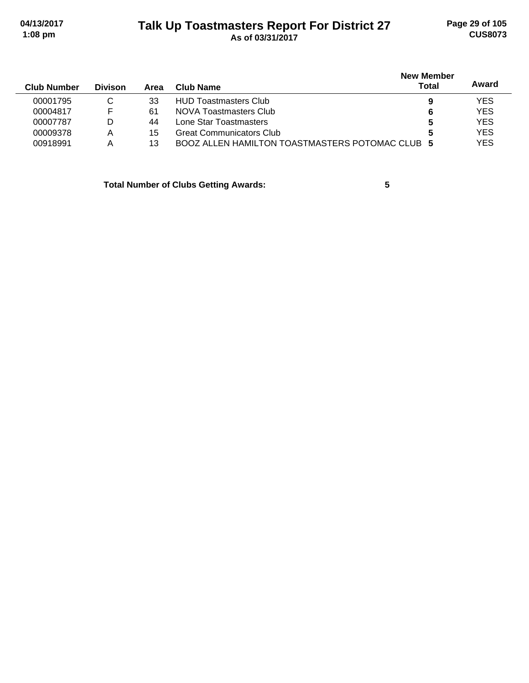# **Talk Up Toastmasters Report For District 27 04/13/2017 Page 29 of 105 1:08 pm As of 03/31/2017 CUS8073**

| <b>Club Number</b> | <b>Divison</b> | Area | <b>Club Name</b>                                | <b>New Member</b><br><b>Total</b> | Award      |
|--------------------|----------------|------|-------------------------------------------------|-----------------------------------|------------|
| 00001795           | C              | 33   | <b>HUD Toastmasters Club</b>                    | 9                                 | <b>YES</b> |
| 00004817           | F              | 61   | NOVA Toastmasters Club                          | 6                                 | <b>YES</b> |
| 00007787           | D              | 44   | Lone Star Toastmasters                          | 5                                 | <b>YES</b> |
| 00009378           | Α              | 15   | <b>Great Communicators Club</b>                 | 5                                 | <b>YES</b> |
| 00918991           | Α              | 13   | BOOZ ALLEN HAMILTON TOASTMASTERS POTOMAC CLUB 5 |                                   | <b>YES</b> |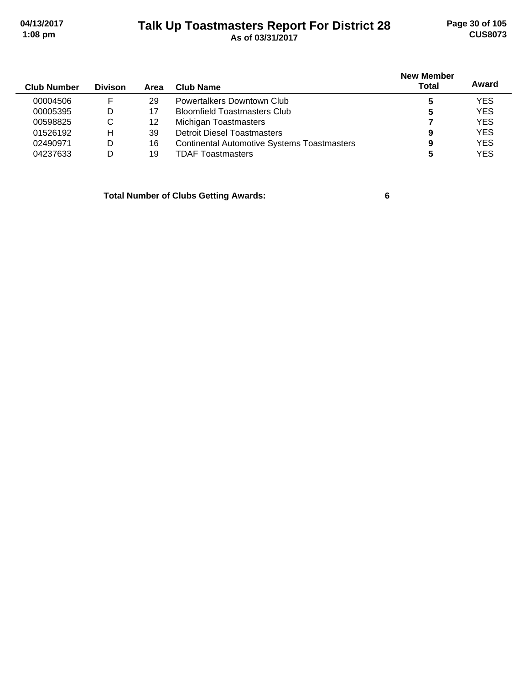#### **Talk Up Toastmasters Report For District 28 04/13/2017 Page 30 of 105 1:08 pm As of 03/31/2017 CUS8073**

| <b>Club Number</b> | <b>Divison</b> | Area | Club Name                                          | <b>New Member</b><br><b>Total</b> | Award      |
|--------------------|----------------|------|----------------------------------------------------|-----------------------------------|------------|
| 00004506           | F              | 29   | Powertalkers Downtown Club                         |                                   | <b>YES</b> |
| 00005395           | D              | 17   | <b>Bloomfield Toastmasters Club</b>                | 5                                 | <b>YES</b> |
| 00598825           | C              | 12   | Michigan Toastmasters                              |                                   | <b>YES</b> |
| 01526192           | н              | 39   | <b>Detroit Diesel Toastmasters</b>                 | 9                                 | <b>YES</b> |
| 02490971           | D              | 16   | <b>Continental Automotive Systems Toastmasters</b> | 9                                 | <b>YES</b> |
| 04237633           | D              | 19   | <b>TDAF Toastmasters</b>                           | 5                                 | <b>YES</b> |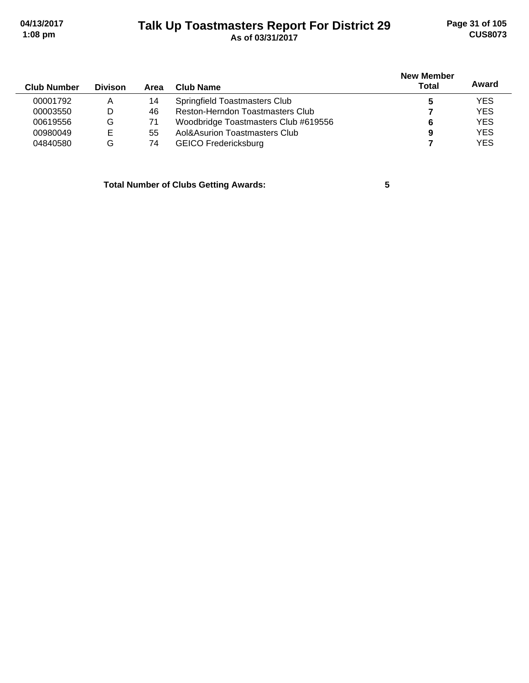#### **Talk Up Toastmasters Report For District 29 04/13/2017 Page 31 of 105 1:08 pm As of 03/31/2017 CUS8073**

| <b>Club Number</b> | <b>Divison</b> | Area | Club Name                            | <b>New Member</b><br>Total | Award      |
|--------------------|----------------|------|--------------------------------------|----------------------------|------------|
| 00001792           | Α              | 14   | Springfield Toastmasters Club        |                            | <b>YES</b> |
| 00003550           | D              | 46   | Reston-Herndon Toastmasters Club     |                            | <b>YES</b> |
| 00619556           | G              |      | Woodbridge Toastmasters Club #619556 |                            | <b>YES</b> |
| 00980049           | Е              | 55   | Aol&Asurion Toastmasters Club        | 9                          | <b>YES</b> |
| 04840580           | G              | 74   | <b>GEICO Fredericksburg</b>          |                            | <b>YES</b> |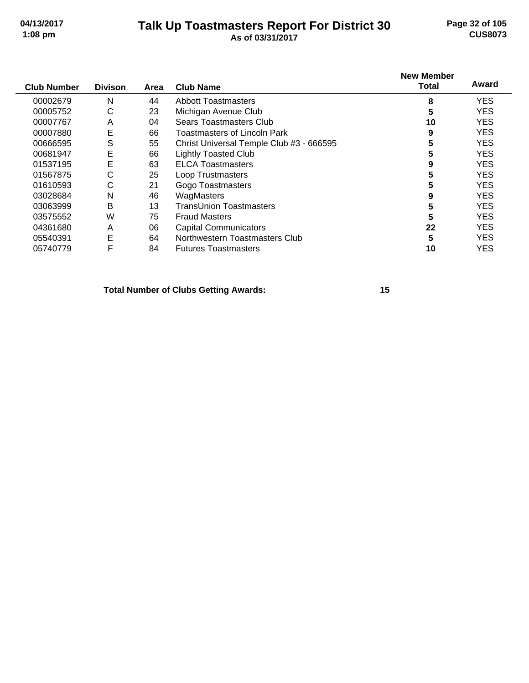#### **Talk Up Toastmasters Report For District 30 04/13/2017 Page 32 of 105 1:08 pm As of 03/31/2017 CUS8073**

| <b>Club Number</b> | <b>Divison</b> | Area | <b>Club Name</b>                         | <b>New Member</b><br><b>Total</b> | Award      |
|--------------------|----------------|------|------------------------------------------|-----------------------------------|------------|
| 00002679           | N              | 44   | <b>Abbott Toastmasters</b>               | 8                                 | <b>YES</b> |
| 00005752           | C              | 23   | Michigan Avenue Club                     | 5                                 | <b>YES</b> |
| 00007767           | A              | 04   | Sears Toastmasters Club                  | 10                                | <b>YES</b> |
| 00007880           | E              | 66   | Toastmasters of Lincoln Park             | 9                                 | <b>YES</b> |
| 00666595           | S              | 55   | Christ Universal Temple Club #3 - 666595 | 5                                 | <b>YES</b> |
| 00681947           | E              | 66   | <b>Lightly Toasted Club</b>              | 5                                 | <b>YES</b> |
| 01537195           | E              | 63   | <b>ELCA Toastmasters</b>                 | 9                                 | <b>YES</b> |
| 01567875           | С              | 25   | Loop Trustmasters                        | 5                                 | <b>YES</b> |
| 01610593           | С              | 21   | Gogo Toastmasters                        | 5                                 | <b>YES</b> |
| 03028684           | N              | 46   | WagMasters                               | 9                                 | <b>YES</b> |
| 03063999           | B              | 13   | TransUnion Toastmasters                  | 5                                 | <b>YES</b> |
| 03575552           | W              | 75   | <b>Fraud Masters</b>                     | 5                                 | <b>YES</b> |
| 04361680           | A              | 06   | <b>Capital Communicators</b>             | 22                                | <b>YES</b> |
| 05540391           | E              | 64   | Northwestern Toastmasters Club           | 5                                 | <b>YES</b> |
| 05740779           | F              | 84   | <b>Futures Toastmasters</b>              | 10                                | <b>YES</b> |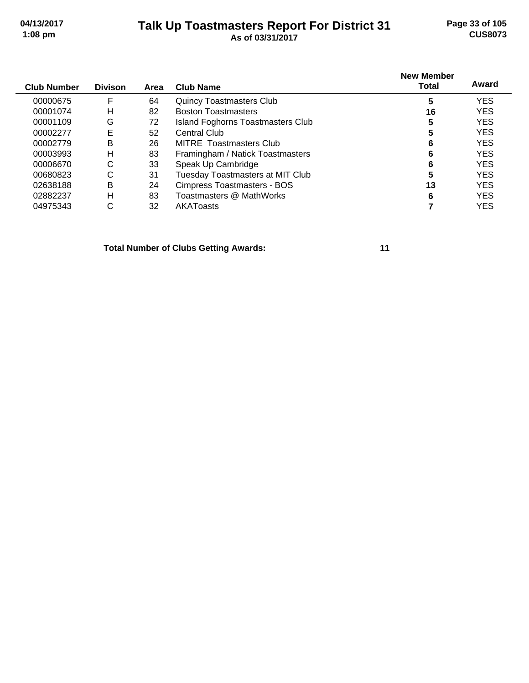#### **Talk Up Toastmasters Report For District 31 04/13/2017 Page 33 of 105 1:08 pm As of 03/31/2017 CUS8073**

| <b>Club Number</b> | <b>Divison</b> | Area | <b>Club Name</b>                         | <b>New Member</b><br><b>Total</b> | Award      |
|--------------------|----------------|------|------------------------------------------|-----------------------------------|------------|
| 00000675           | F              | 64   | <b>Quincy Toastmasters Club</b>          | 5                                 | <b>YES</b> |
| 00001074           | н              | 82   | <b>Boston Toastmasters</b>               | 16                                | <b>YES</b> |
| 00001109           | G              | 72   | <b>Island Foghorns Toastmasters Club</b> | 5                                 | <b>YES</b> |
| 00002277           | Е              | 52   | Central Club                             | 5                                 | <b>YES</b> |
| 00002779           | B              | 26   | MITRE Toastmasters Club                  | 6                                 | <b>YES</b> |
| 00003993           | н              | 83   | Framingham / Natick Toastmasters         | 6                                 | <b>YES</b> |
| 00006670           | С              | 33   | Speak Up Cambridge                       | 6                                 | <b>YES</b> |
| 00680823           | С              | 31   | Tuesday Toastmasters at MIT Club         | 5                                 | <b>YES</b> |
| 02638188           | B              | 24   | <b>Cimpress Toastmasters - BOS</b>       | 13                                | <b>YES</b> |
| 02882237           | н              | 83   | Toastmasters @ MathWorks                 | 6                                 | <b>YES</b> |
| 04975343           | С              | 32   | AKAToasts                                |                                   | YES        |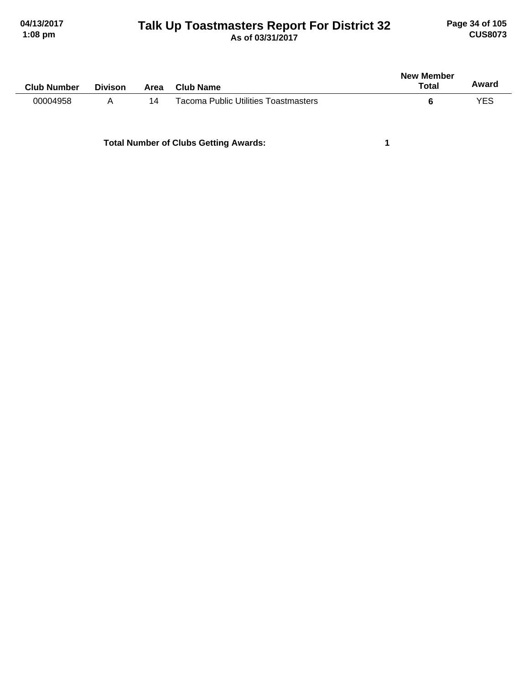#### **Talk Up Toastmasters Report For District 32 04/13/2017 Page 34 of 105 1:08 pm As of 03/31/2017 CUS8073**

| <b>Club Number</b> | <b>Divison</b> | Area | Club Name                                   | New Member<br>Total | Award |
|--------------------|----------------|------|---------------------------------------------|---------------------|-------|
| 00004958           | А              | 14   | <b>Tacoma Public Utilities Toastmasters</b> |                     | YES   |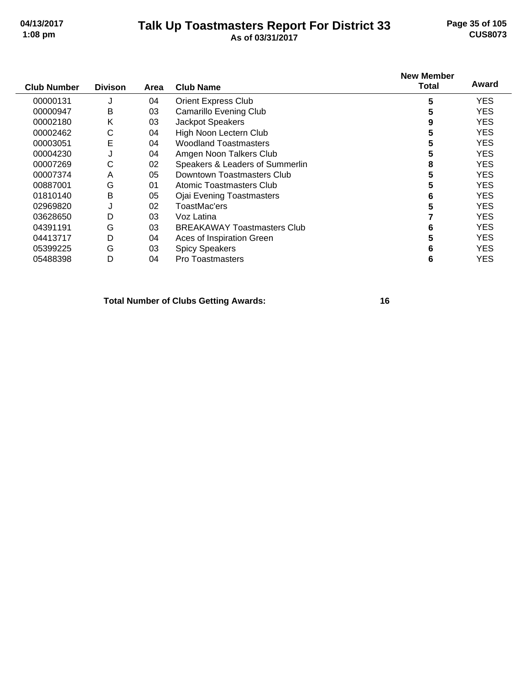#### **Talk Up Toastmasters Report For District 33 04/13/2017 Page 35 of 105 1:08 pm As of 03/31/2017 CUS8073**

| <b>Club Number</b> | <b>Divison</b> | Area | <b>Club Name</b>                   | <b>New Member</b><br>Total | Award      |
|--------------------|----------------|------|------------------------------------|----------------------------|------------|
| 00000131           | J              | 04   | <b>Orient Express Club</b>         | 5                          | YES.       |
| 00000947           | B              | 03   | <b>Camarillo Evening Club</b>      | 5                          | <b>YES</b> |
| 00002180           | Κ              | 03   | Jackpot Speakers                   | 9                          | <b>YES</b> |
| 00002462           | С              | 04   | High Noon Lectern Club             | 5                          | <b>YES</b> |
| 00003051           | E              | 04   | <b>Woodland Toastmasters</b>       | 5                          | <b>YES</b> |
| 00004230           | J              | 04   | Amgen Noon Talkers Club            | 5                          | <b>YES</b> |
| 00007269           | С              | 02   | Speakers & Leaders of Summerlin    | 8                          | <b>YES</b> |
| 00007374           | Α              | 05   | Downtown Toastmasters Club         | 5                          | <b>YES</b> |
| 00887001           | G              | 01   | Atomic Toastmasters Club           | 5                          | <b>YES</b> |
| 01810140           | B              | 05   | <b>Ojai Evening Toastmasters</b>   | 6                          | <b>YES</b> |
| 02969820           | J              | 02   | ToastMac'ers                       | 5                          | <b>YES</b> |
| 03628650           | D              | 03   | Voz Latina                         |                            | <b>YES</b> |
| 04391191           | G              | 03   | <b>BREAKAWAY Toastmasters Club</b> | 6                          | YES.       |
| 04413717           | D              | 04   | Aces of Inspiration Green          | 5                          | <b>YES</b> |
| 05399225           | G              | 03   | <b>Spicy Speakers</b>              | 6                          | <b>YES</b> |
| 05488398           | D              | 04   | <b>Pro Toastmasters</b>            | 6                          | YES        |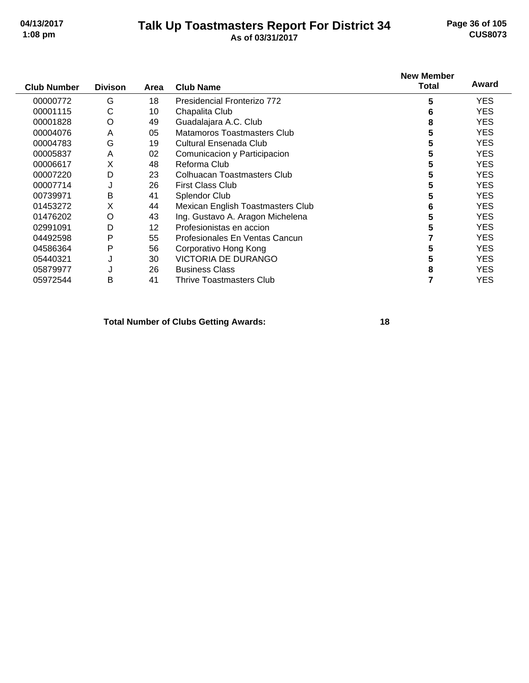#### **Talk Up Toastmasters Report For District 34 04/13/2017 Page 36 of 105 1:08 pm As of 03/31/2017 CUS8073**

| <b>Club Number</b> | <b>Divison</b> | Area | <b>Club Name</b>                  | <b>New Member</b><br><b>Total</b> | Award      |
|--------------------|----------------|------|-----------------------------------|-----------------------------------|------------|
| 00000772           | G              | 18   | Presidencial Fronterizo 772       | 5                                 | <b>YES</b> |
| 00001115           | С              | 10   | Chapalita Club                    | 6                                 | <b>YES</b> |
| 00001828           | O              | 49   | Guadalajara A.C. Club             | 8                                 | <b>YES</b> |
| 00004076           | A              | 05   | Matamoros Toastmasters Club       | 5                                 | <b>YES</b> |
| 00004783           | G              | 19   | Cultural Ensenada Club            | 5                                 | <b>YES</b> |
| 00005837           | A              | 02   | Comunicacion y Participacion      | 5                                 | <b>YES</b> |
| 00006617           | X              | 48   | Reforma Club                      | 5                                 | <b>YES</b> |
| 00007220           | D              | 23   | Colhuacan Toastmasters Club       | 5                                 | <b>YES</b> |
| 00007714           | J              | 26   | <b>First Class Club</b>           | 5                                 | <b>YES</b> |
| 00739971           | B              | 41   | Splendor Club                     | 5                                 | <b>YES</b> |
| 01453272           | X              | 44   | Mexican English Toastmasters Club | 6                                 | <b>YES</b> |
| 01476202           | O              | 43   | Ing. Gustavo A. Aragon Michelena  | 5                                 | <b>YES</b> |
| 02991091           | D              | 12   | Profesionistas en accion          | 5                                 | <b>YES</b> |
| 04492598           | P              | 55   | Profesionales En Ventas Cancun    |                                   | <b>YES</b> |
| 04586364           | P              | 56   | Corporativo Hong Kong             | 5                                 | <b>YES</b> |
| 05440321           | J              | 30   | VICTORIA DE DURANGO               | 5                                 | <b>YES</b> |
| 05879977           |                | 26   | <b>Business Class</b>             | 8                                 | <b>YES</b> |
| 05972544           | в              | 41   | <b>Thrive Toastmasters Club</b>   |                                   | <b>YES</b> |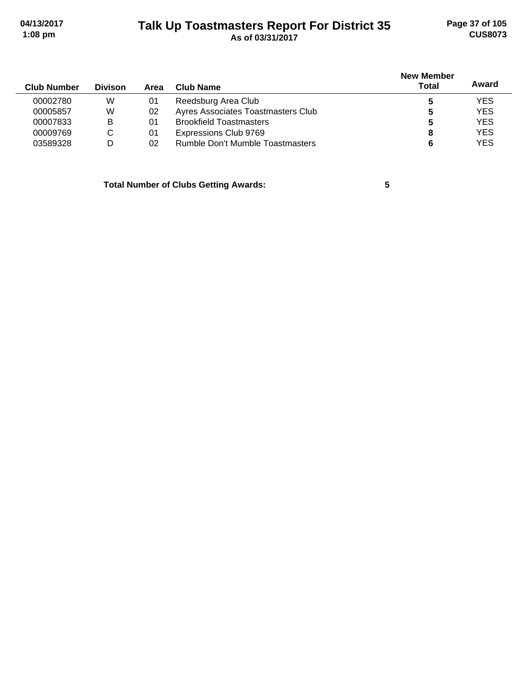# **Talk Up Toastmasters Report For District 35 04/13/2017 Page 37 of 105 1:08 pm As of 03/31/2017 CUS8073**

| <b>Club Number</b> | <b>Divison</b> | Area | Club Name                          | <b>New Member</b><br><b>Total</b> | Award      |
|--------------------|----------------|------|------------------------------------|-----------------------------------|------------|
| 00002780           | W              | 01   | Reedsburg Area Club                |                                   | <b>YES</b> |
| 00005857           | W              | 02   | Ayres Associates Toastmasters Club |                                   | <b>YES</b> |
| 00007833           | в              | 01   | <b>Brookfield Toastmasters</b>     | 5                                 | <b>YES</b> |
| 00009769           | C              | 01   | Expressions Club 9769              | 8                                 | <b>YES</b> |
| 03589328           | D              | 02   | Rumble Don't Mumble Toastmasters   |                                   | <b>YES</b> |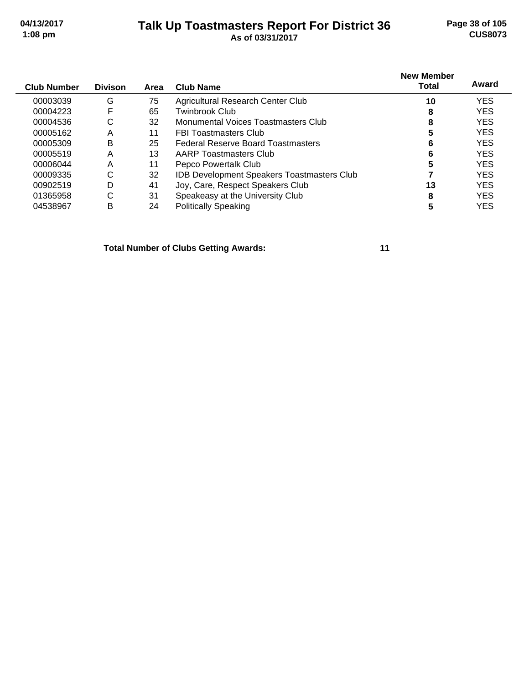#### **Talk Up Toastmasters Report For District 36 04/13/2017 Page 38 of 105 1:08 pm As of 03/31/2017 CUS8073**

| <b>Club Number</b> | <b>Divison</b> | Area | <b>Club Name</b>                                  | <b>New Member</b><br><b>Total</b> | Award      |
|--------------------|----------------|------|---------------------------------------------------|-----------------------------------|------------|
|                    |                |      |                                                   |                                   |            |
| 00003039           | G              | 75   | Agricultural Research Center Club                 | 10                                | <b>YES</b> |
| 00004223           | F              | 65   | Twinbrook Club                                    | 8                                 | <b>YES</b> |
| 00004536           | С              | 32   | Monumental Voices Toastmasters Club               | 8                                 | <b>YES</b> |
| 00005162           | Α              | 11   | <b>FBI Toastmasters Club</b>                      |                                   | <b>YES</b> |
| 00005309           | B              | 25   | <b>Federal Reserve Board Toastmasters</b>         | 6                                 | <b>YES</b> |
| 00005519           | Α              | 13   | AARP Toastmasters Club                            | 6                                 | <b>YES</b> |
| 00006044           | Α              | 11   | Pepco Powertalk Club                              | 5                                 | <b>YES</b> |
| 00009335           | C              | 32   | <b>IDB Development Speakers Toastmasters Club</b> |                                   | <b>YES</b> |
| 00902519           | D              | 41   | Joy, Care, Respect Speakers Club                  | 13                                | <b>YES</b> |
| 01365958           | С              | 31   | Speakeasy at the University Club                  | 8                                 | <b>YES</b> |
| 04538967           | в              | 24   | <b>Politically Speaking</b>                       |                                   | <b>YES</b> |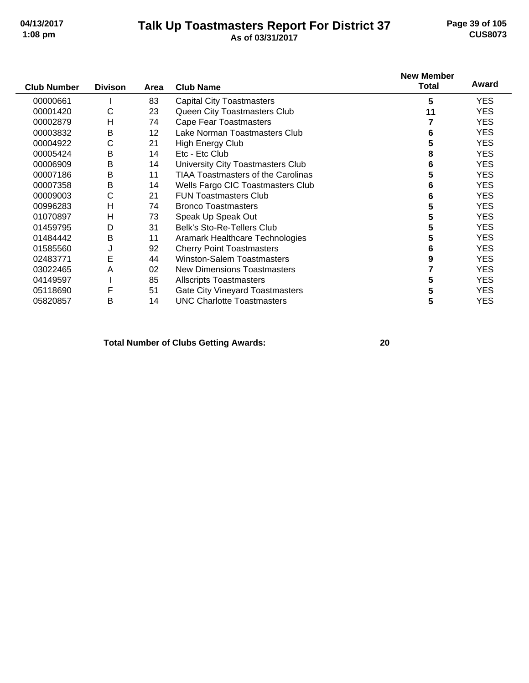#### **Talk Up Toastmasters Report For District 37 04/13/2017 Page 39 of 105 1:08 pm As of 03/31/2017 CUS8073**

|                    |                |                 |                                           | <b>New Member</b> | Award      |
|--------------------|----------------|-----------------|-------------------------------------------|-------------------|------------|
| <b>Club Number</b> | <b>Divison</b> | Area            | <b>Club Name</b>                          | <b>Total</b>      |            |
| 00000661           |                | 83              | <b>Capital City Toastmasters</b>          | 5                 | <b>YES</b> |
| 00001420           | С              | 23              | Queen City Toastmasters Club              | 11                | <b>YES</b> |
| 00002879           | н              | 74              | <b>Cape Fear Toastmasters</b>             |                   | <b>YES</b> |
| 00003832           | B              | 12 <sup>2</sup> | Lake Norman Toastmasters Club             | 6                 | <b>YES</b> |
| 00004922           | С              | 21              | <b>High Energy Club</b>                   | 5                 | <b>YES</b> |
| 00005424           | Β              | 14              | Etc - Etc Club                            | 8                 | <b>YES</b> |
| 00006909           | B              | 14              | University City Toastmasters Club         | 6                 | <b>YES</b> |
| 00007186           | Β              | 11              | <b>TIAA Toastmasters of the Carolinas</b> | 5                 | <b>YES</b> |
| 00007358           | B              | 14              | Wells Fargo CIC Toastmasters Club         | 6                 | <b>YES</b> |
| 00009003           | C              | 21              | <b>FUN Toastmasters Club</b>              | 6                 | <b>YES</b> |
| 00996283           | н              | 74              | <b>Bronco Toastmasters</b>                | 5                 | <b>YES</b> |
| 01070897           | Н              | 73              | Speak Up Speak Out                        | 5                 | <b>YES</b> |
| 01459795           | D              | 31              | <b>Belk's Sto-Re-Tellers Club</b>         | 5                 | <b>YES</b> |
| 01484442           | Β              | 11              | Aramark Healthcare Technologies           | 5                 | <b>YES</b> |
| 01585560           | J              | 92              | <b>Cherry Point Toastmasters</b>          | 6                 | <b>YES</b> |
| 02483771           | E              | 44              | <b>Winston-Salem Toastmasters</b>         | 9                 | <b>YES</b> |
| 03022465           | A              | 02              | New Dimensions Toastmasters               |                   | <b>YES</b> |
| 04149597           |                | 85              | <b>Allscripts Toastmasters</b>            | 5                 | <b>YES</b> |
| 05118690           | F              | 51              | <b>Gate City Vineyard Toastmasters</b>    | 5                 | <b>YES</b> |
| 05820857           | Β              | 14              | <b>UNC Charlotte Toastmasters</b>         | 5                 | <b>YES</b> |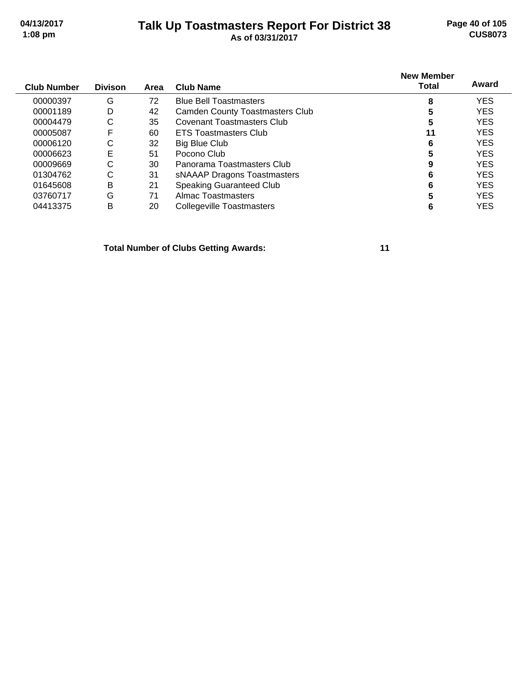# **Talk Up Toastmasters Report For District 38 04/13/2017 Page 40 of 105 1:08 pm As of 03/31/2017 CUS8073**

|  | As of 03/31/2017 |  |
|--|------------------|--|
|  |                  |  |

| <b>Club Number</b> | <b>Divison</b> | Area | <b>Club Name</b>                       | <b>New Member</b><br>Total | Award      |
|--------------------|----------------|------|----------------------------------------|----------------------------|------------|
| 00000397           | G              | 72   | <b>Blue Bell Toastmasters</b>          | 8                          | <b>YES</b> |
| 00001189           | D              | 42   | <b>Camden County Toastmasters Club</b> |                            | <b>YES</b> |
| 00004479           | С              | 35   | Covenant Toastmasters Club             | 5                          | <b>YES</b> |
| 00005087           | F              | 60   | <b>ETS Toastmasters Club</b>           | 11                         | <b>YES</b> |
| 00006120           | С              | 32   | Big Blue Club                          | 6                          | <b>YES</b> |
| 00006623           | E              | 51   | Pocono Club                            |                            | <b>YES</b> |
| 00009669           | С              | 30   | Panorama Toastmasters Club             | 9                          | <b>YES</b> |
| 01304762           | С              | 31   | sNAAAP Dragons Toastmasters            | 6                          | <b>YES</b> |
| 01645608           | B              | 21   | Speaking Guaranteed Club               | 6                          | <b>YES</b> |
| 03760717           | G              | 71   | Almac Toastmasters                     |                            | <b>YES</b> |
| 04413375           | в              | 20   | Collegeville Toastmasters              |                            | <b>YES</b> |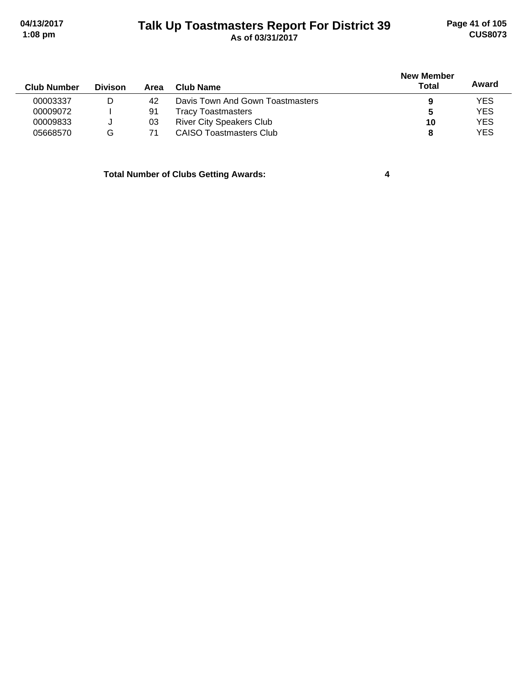# **Talk Up Toastmasters Report For District 39 04/13/2017 Page 41 of 105 1:08 pm As of 03/31/2017 CUS8073**

|                    |                |      |                                  | <b>New Member</b> |            |
|--------------------|----------------|------|----------------------------------|-------------------|------------|
| <b>Club Number</b> | <b>Divison</b> | Area | Club Name                        | Total             | Award      |
| 00003337           | D              | 42   | Davis Town And Gown Toastmasters | 9                 | <b>YES</b> |
| 00009072           |                | 91   | <b>Tracy Toastmasters</b>        | 5                 | <b>YES</b> |
| 00009833           |                | 03   | <b>River City Speakers Club</b>  | 10                | YES        |
| 05668570           | G              |      | CAISO Toastmasters Club          | 8                 | <b>YES</b> |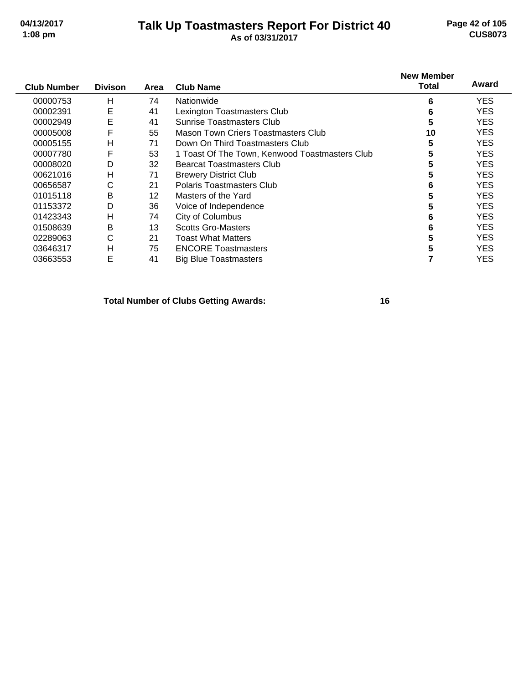#### **Talk Up Toastmasters Report For District 40 04/13/2017 Page 42 of 105 1:08 pm As of 03/31/2017 CUS8073**

| <b>Club Number</b> | <b>Divison</b> | Area | <b>Club Name</b>                               | <b>New Member</b><br>Total | Award      |
|--------------------|----------------|------|------------------------------------------------|----------------------------|------------|
| 00000753           | H              | 74   | Nationwide                                     | 6                          | <b>YES</b> |
| 00002391           | Ε              | 41   | Lexington Toastmasters Club                    | 6                          | <b>YES</b> |
| 00002949           | E              | 41   | Sunrise Toastmasters Club                      | 5                          | <b>YES</b> |
| 00005008           | F              | 55   | Mason Town Criers Toastmasters Club            | 10                         | <b>YES</b> |
| 00005155           | H              | 71   | Down On Third Toastmasters Club                | 5                          | <b>YES</b> |
| 00007780           | F              | 53   | 1 Toast Of The Town, Kenwood Toastmasters Club | 5                          | <b>YES</b> |
| 00008020           | D              | 32   | <b>Bearcat Toastmasters Club</b>               |                            | <b>YES</b> |
| 00621016           | H              | 71   | <b>Brewery District Club</b>                   | 5                          | <b>YES</b> |
| 00656587           | $\mathsf{C}$   | 21   | Polaris Toastmasters Club                      | 6                          | <b>YES</b> |
| 01015118           | B              | 12   | Masters of the Yard                            |                            | <b>YES</b> |
| 01153372           | D              | 36   | Voice of Independence                          |                            | <b>YES</b> |
| 01423343           | H              | 74   | City of Columbus                               | 6                          | <b>YES</b> |
| 01508639           | B              | 13   | <b>Scotts Gro-Masters</b>                      | 6                          | <b>YES</b> |
| 02289063           | C              | 21   | <b>Toast What Matters</b>                      |                            | <b>YES</b> |
| 03646317           | H              | 75   | <b>ENCORE Toastmasters</b>                     |                            | <b>YES</b> |
| 03663553           | E              | 41   | <b>Big Blue Toastmasters</b>                   |                            | YES        |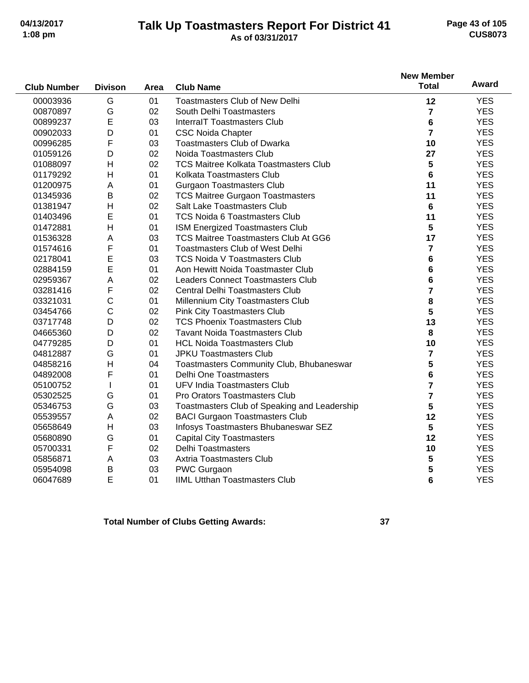#### **Talk Up Toastmasters Report For District 41 04/13/2017 Page 43 of 105 1:08 pm As of 03/31/2017 CUS8073**

|                    |                |      |                                              | <b>New Member</b>       |              |
|--------------------|----------------|------|----------------------------------------------|-------------------------|--------------|
| <b>Club Number</b> | <b>Divison</b> | Area | <b>Club Name</b>                             | <b>Total</b>            | <b>Award</b> |
| 00003936           | G              | 01   | <b>Toastmasters Club of New Delhi</b>        | 12                      | <b>YES</b>   |
| 00870897           | G              | 02   | South Delhi Toastmasters                     | $\overline{7}$          | <b>YES</b>   |
| 00899237           | E              | 03   | <b>InterralT Toastmasters Club</b>           | 6                       | <b>YES</b>   |
| 00902033           | D              | 01   | <b>CSC Noida Chapter</b>                     | $\overline{7}$          | <b>YES</b>   |
| 00996285           | F              | 03   | <b>Toastmasters Club of Dwarka</b>           | 10                      | <b>YES</b>   |
| 01059126           | D              | 02   | Noida Toastmasters Club                      | 27                      | <b>YES</b>   |
| 01088097           | H              | 02   | <b>TCS Maitree Kolkata Toastmasters Club</b> | 5                       | <b>YES</b>   |
| 01179292           | H              | 01   | Kolkata Toastmasters Club                    | 6                       | <b>YES</b>   |
| 01200975           | A              | 01   | <b>Gurgaon Toastmasters Club</b>             | 11                      | <b>YES</b>   |
| 01345936           | B              | 02   | <b>TCS Maitree Gurgaon Toastmasters</b>      | 11                      | <b>YES</b>   |
| 01381947           | H              | 02   | Salt Lake Toastmasters Club                  | 6                       | <b>YES</b>   |
| 01403496           | E              | 01   | <b>TCS Noida 6 Toastmasters Club</b>         | 11                      | <b>YES</b>   |
| 01472881           | H              | 01   | ISM Energized Toastmasters Club              | 5                       | <b>YES</b>   |
| 01536328           | A              | 03   | <b>TCS Maitree Toastmasters Club At GG6</b>  | 17                      | <b>YES</b>   |
| 01574616           | F              | 01   | <b>Toastmasters Club of West Delhi</b>       | $\overline{\mathbf{r}}$ | <b>YES</b>   |
| 02178041           | E              | 03   | <b>TCS Noida V Toastmasters Club</b>         | 6                       | <b>YES</b>   |
| 02884159           | E              | 01   | Aon Hewitt Noida Toastmaster Club            | 6                       | <b>YES</b>   |
| 02959367           | Α              | 02   | <b>Leaders Connect Toastmasters Club</b>     | 6                       | <b>YES</b>   |
| 03281416           | F              | 02   | <b>Central Delhi Toastmasters Club</b>       | 7                       | <b>YES</b>   |
| 03321031           | C              | 01   | Millennium City Toastmasters Club            | 8                       | <b>YES</b>   |
| 03454766           | C              | 02   | <b>Pink City Toastmasters Club</b>           | 5                       | <b>YES</b>   |
| 03717748           | D              | 02   | <b>TCS Phoenix Toastmasters Club</b>         | 13                      | <b>YES</b>   |
| 04665360           | D              | 02   | <b>Tavant Noida Toastmasters Club</b>        | 8                       | <b>YES</b>   |
| 04779285           | D              | 01   | <b>HCL Noida Toastmasters Club</b>           | 10                      | <b>YES</b>   |
| 04812887           | G              | 01   | <b>JPKU Toastmasters Club</b>                | 7                       | <b>YES</b>   |
| 04858216           | $\overline{H}$ | 04   | Toastmasters Community Club, Bhubaneswar     | 5                       | <b>YES</b>   |
| 04892008           | F              | 01   | <b>Delhi One Toastmasters</b>                | 6                       | <b>YES</b>   |
| 05100752           | I              | 01   | UFV India Toastmasters Club                  | $\overline{7}$          | <b>YES</b>   |
| 05302525           | G              | 01   | Pro Orators Toastmasters Club                | $\overline{\mathbf{r}}$ | <b>YES</b>   |
| 05346753           | G              | 03   | Toastmasters Club of Speaking and Leadership | 5                       | <b>YES</b>   |
| 05539557           | A              | 02   | <b>BACI Gurgaon Toastmasters Club</b>        | 12                      | <b>YES</b>   |
| 05658649           | H              | 03   | Infosys Toastmasters Bhubaneswar SEZ         | 5                       | <b>YES</b>   |
| 05680890           | G              | 01   | <b>Capital City Toastmasters</b>             | 12                      | <b>YES</b>   |
| 05700331           | F              | 02   | <b>Delhi Toastmasters</b>                    | 10                      | <b>YES</b>   |
| 05856871           | Α              | 03   | <b>Axtria Toastmasters Club</b>              | 5                       | <b>YES</b>   |
| 05954098           | B              | 03   | PWC Gurgaon                                  | 5                       | <b>YES</b>   |
| 06047689           | E              | 01   | <b>IIML Utthan Toastmasters Club</b>         | 6                       | <b>YES</b>   |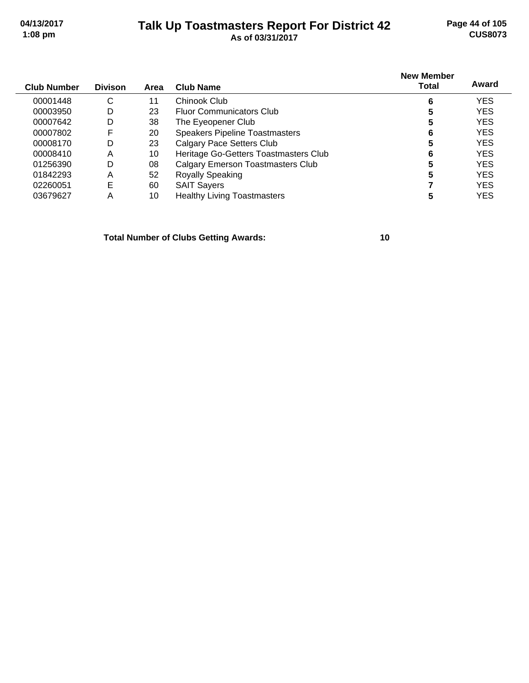#### **Talk Up Toastmasters Report For District 42 04/13/2017 Page 44 of 105 1:08 pm As of 03/31/2017 CUS8073**

| Club Number | <b>Divison</b> | Area | <b>Club Name</b>                         | <b>New Member</b><br>Total | Award      |
|-------------|----------------|------|------------------------------------------|----------------------------|------------|
| 00001448    | С              | 11   | Chinook Club                             | 6                          | <b>YES</b> |
| 00003950    | D              | 23   | <b>Fluor Communicators Club</b>          | 5                          | <b>YES</b> |
| 00007642    | D              | 38   | The Eyeopener Club                       | 5                          | <b>YES</b> |
| 00007802    | F              | 20   | <b>Speakers Pipeline Toastmasters</b>    | 6                          | <b>YES</b> |
| 00008170    | D              | 23   | <b>Calgary Pace Setters Club</b>         | 5                          | <b>YES</b> |
| 00008410    | Α              | 10   | Heritage Go-Getters Toastmasters Club    | 6                          | <b>YES</b> |
| 01256390    | D              | 08   | <b>Calgary Emerson Toastmasters Club</b> | 5                          | <b>YES</b> |
| 01842293    | Α              | 52   | <b>Royally Speaking</b>                  | 5                          | <b>YES</b> |
| 02260051    | E              | 60   | <b>SAIT Sayers</b>                       |                            | <b>YES</b> |

03679627 A 10 Healthy Living Toastmasters **5** YES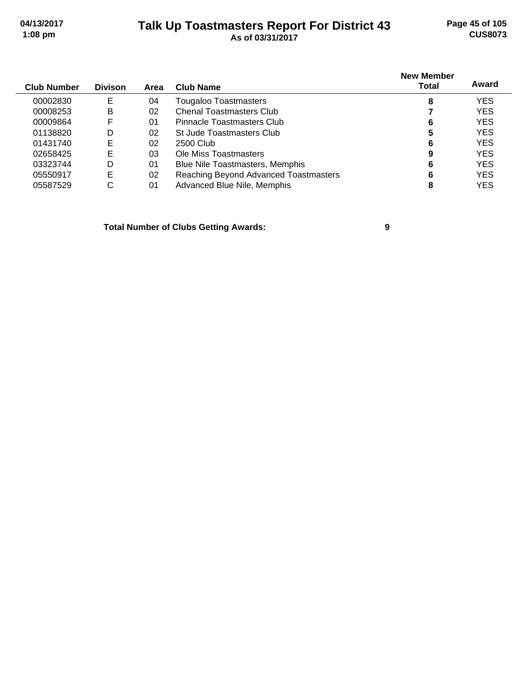# **Talk Up Toastmasters Report For District 43 04/13/2017 Page 45 of 105 1:08 pm As of 03/31/2017 CUS8073**

| <b>Club Number</b> | <b>Divison</b> | Area | <b>Club Name</b>                       | <b>New Member</b><br>Total | Award      |
|--------------------|----------------|------|----------------------------------------|----------------------------|------------|
|                    |                |      |                                        |                            |            |
| 00002830           | Е              | 04   | Tougaloo Toastmasters                  | 8                          | <b>YES</b> |
| 00008253           | Β              | 02   | <b>Chenal Toastmasters Club</b>        |                            | <b>YES</b> |
| 00009864           | F              | 01   | Pinnacle Toastmasters Club             | 6                          | <b>YES</b> |
| 01138820           | D              | 02   | St Jude Toastmasters Club              | 5                          | <b>YES</b> |
| 01431740           | E              | 02   | 2500 Club                              | 6                          | <b>YES</b> |
| 02658425           | E              | 03   | Ole Miss Toastmasters                  | 9                          | <b>YES</b> |
| 03323744           | D              | 01   | <b>Blue Nile Toastmasters, Memphis</b> | 6                          | <b>YES</b> |
| 05550917           | E              | 02   | Reaching Beyond Advanced Toastmasters  | 6                          | <b>YES</b> |
| 05587529           | С              | 01   | Advanced Blue Nile, Memphis            | 8                          | YES        |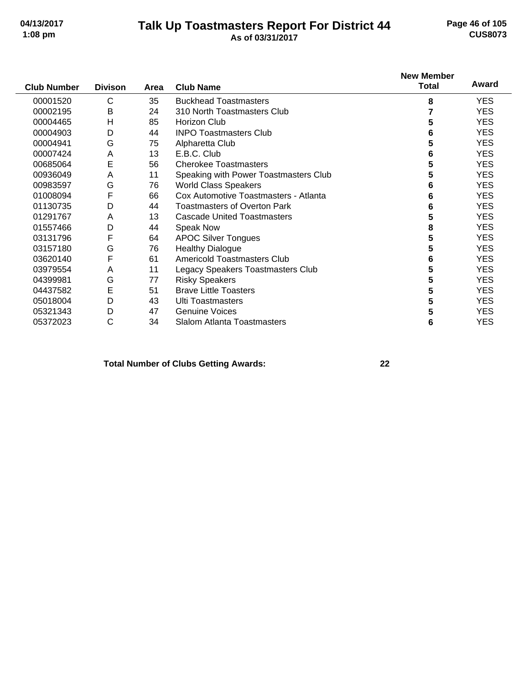#### **Talk Up Toastmasters Report For District 44 04/13/2017 Page 46 of 105 1:08 pm As of 03/31/2017 CUS8073**

|                    |                |      |                                       | <b>New Member</b> |            |
|--------------------|----------------|------|---------------------------------------|-------------------|------------|
| <b>Club Number</b> | <b>Divison</b> | Area | <b>Club Name</b>                      | <b>Total</b>      | Award      |
| 00001520           | C              | 35   | <b>Buckhead Toastmasters</b>          | 8                 | <b>YES</b> |
| 00002195           | B              | 24   | 310 North Toastmasters Club           |                   | <b>YES</b> |
| 00004465           | H              | 85   | Horizon Club                          | 5                 | <b>YES</b> |
| 00004903           | D              | 44   | <b>INPO Toastmasters Club</b>         | 6                 | <b>YES</b> |
| 00004941           | G              | 75   | Alpharetta Club                       | 5                 | <b>YES</b> |
| 00007424           | A              | 13   | E.B.C. Club                           | 6                 | <b>YES</b> |
| 00685064           | E              | 56   | <b>Cherokee Toastmasters</b>          | 5                 | <b>YES</b> |
| 00936049           | A              | 11   | Speaking with Power Toastmasters Club | 5                 | <b>YES</b> |
| 00983597           | G              | 76   | <b>World Class Speakers</b>           | 6                 | <b>YES</b> |
| 01008094           | F              | 66   | Cox Automotive Toastmasters - Atlanta | 6                 | <b>YES</b> |
| 01130735           | D              | 44   | <b>Toastmasters of Overton Park</b>   | 6                 | <b>YES</b> |
| 01291767           | Α              | 13   | <b>Cascade United Toastmasters</b>    | 5                 | <b>YES</b> |
| 01557466           | D              | 44   | <b>Speak Now</b>                      | 8                 | <b>YES</b> |
| 03131796           | F              | 64   | <b>APOC Silver Tongues</b>            | 5                 | <b>YES</b> |
| 03157180           | G              | 76   | <b>Healthy Dialogue</b>               | 5                 | <b>YES</b> |
| 03620140           | F              | 61   | Americold Toastmasters Club           | 6                 | <b>YES</b> |
| 03979554           | A              | 11   | Legacy Speakers Toastmasters Club     | 5                 | <b>YES</b> |
| 04399981           | G              | 77   | <b>Risky Speakers</b>                 | 5                 | <b>YES</b> |
| 04437582           | Е              | 51   | <b>Brave Little Toasters</b>          | 5                 | <b>YES</b> |
| 05018004           | D              | 43   | <b>Ulti Toastmasters</b>              | 5                 | <b>YES</b> |
| 05321343           | D              | 47   | <b>Genuine Voices</b>                 | 5                 | <b>YES</b> |
| 05372023           | C              | 34   | <b>Slalom Atlanta Toastmasters</b>    | 6                 | <b>YES</b> |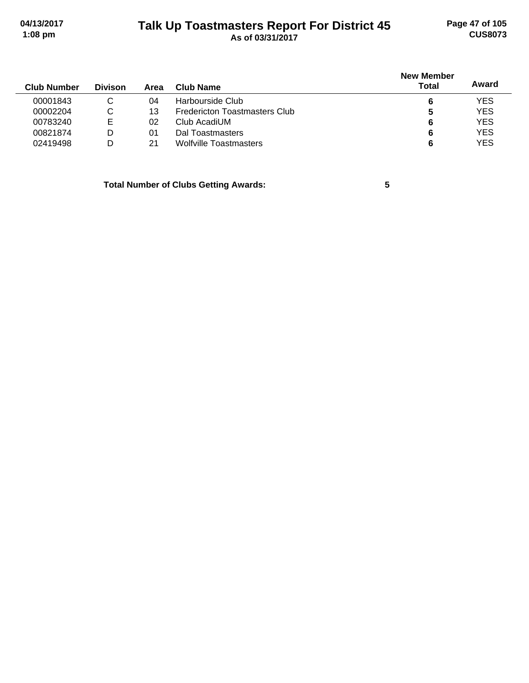# **Talk Up Toastmasters Report For District 45 04/13/2017 Page 47 of 105 1:08 pm As of 03/31/2017 CUS8073**

| <b>Club Number</b> | <b>Divison</b> | Area | Club Name                     | <b>New Member</b><br><b>Total</b> | Award      |
|--------------------|----------------|------|-------------------------------|-----------------------------------|------------|
| 00001843           |                | 04   | Harbourside Club              | 6                                 | <b>YES</b> |
| 00002204           | С              | 13   | Fredericton Toastmasters Club | 5                                 | <b>YES</b> |
| 00783240           | Е              | 02   | Club AcadiUM                  | 6                                 | <b>YES</b> |
| 00821874           | D              | 01   | Dal Toastmasters              | 6                                 | <b>YES</b> |
| 02419498           | D              | 21   | <b>Wolfville Toastmasters</b> | 6                                 | <b>YES</b> |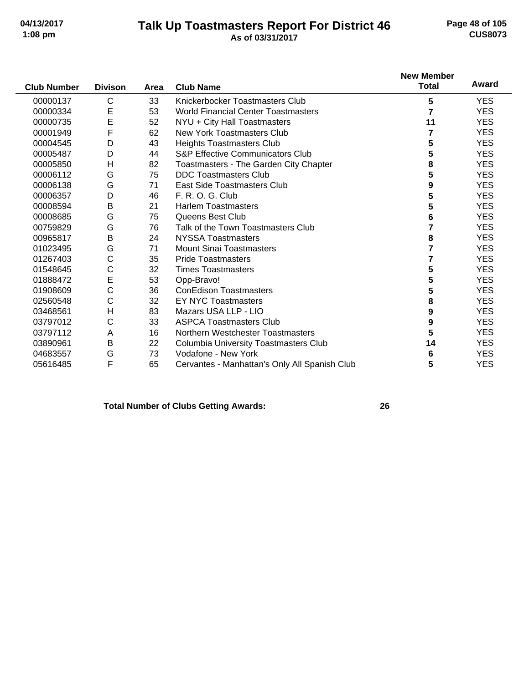#### **Talk Up Toastmasters Report For District 46 04/13/2017 Page 48 of 105 1:08 pm As of 03/31/2017 CUS8073**

|                    |                |      |                                               | <b>New Member</b> |            |
|--------------------|----------------|------|-----------------------------------------------|-------------------|------------|
| <b>Club Number</b> | <b>Divison</b> | Area | <b>Club Name</b>                              | <b>Total</b>      | Award      |
| 00000137           | C              | 33   | Knickerbocker Toastmasters Club               | 5                 | <b>YES</b> |
| 00000334           | Е              | 53   | <b>World Financial Center Toastmasters</b>    | $\overline{7}$    | <b>YES</b> |
| 00000735           | E              | 52   | NYU + City Hall Toastmasters                  | 11                | <b>YES</b> |
| 00001949           | F              | 62   | <b>New York Toastmasters Club</b>             |                   | <b>YES</b> |
| 00004545           | D              | 43   | <b>Heights Toastmasters Club</b>              | 5                 | <b>YES</b> |
| 00005487           | D              | 44   | <b>S&amp;P Effective Communicators Club</b>   |                   | YES.       |
| 00005850           | H              | 82   | Toastmasters - The Garden City Chapter        | 8                 | <b>YES</b> |
| 00006112           | G              | 75   | <b>DDC Toastmasters Club</b>                  | 5                 | <b>YES</b> |
| 00006138           | G              | 71   | East Side Toastmasters Club                   | 9                 | YES.       |
| 00006357           | D              | 46   | F. R. O. G. Club                              | 5                 | <b>YES</b> |
| 00008594           | B              | 21   | <b>Harlem Toastmasters</b>                    | 5                 | <b>YES</b> |
| 00008685           | G              | 75   | Queens Best Club                              | 6                 | YES.       |
| 00759829           | G              | 76   | Talk of the Town Toastmasters Club            |                   | <b>YES</b> |
| 00965817           | B              | 24   | <b>NYSSA Toastmasters</b>                     | 8                 | <b>YES</b> |
| 01023495           | G              | 71   | <b>Mount Sinai Toastmasters</b>               | 7                 | <b>YES</b> |
| 01267403           | С              | 35   | <b>Pride Toastmasters</b>                     |                   | <b>YES</b> |
| 01548645           | С              | 32   | <b>Times Toastmasters</b>                     | 5                 | <b>YES</b> |
| 01888472           | E              | 53   | Opp-Bravo!                                    | 5                 | <b>YES</b> |
| 01908609           | С              | 36   | <b>ConEdison Toastmasters</b>                 | 5                 | <b>YES</b> |
| 02560548           | C              | 32   | <b>EY NYC Toastmasters</b>                    | 8                 | <b>YES</b> |
| 03468561           | H              | 83   | Mazars USA LLP - LIO                          | 9                 | <b>YES</b> |
| 03797012           | C              | 33   | <b>ASPCA Toastmasters Club</b>                | 9                 | <b>YES</b> |
| 03797112           | A              | 16   | Northern Westchester Toastmasters             | 5                 | <b>YES</b> |
| 03890961           | B              | 22   | <b>Columbia University Toastmasters Club</b>  | 14                | <b>YES</b> |
| 04683557           | G              | 73   | Vodafone - New York                           | 6                 | <b>YES</b> |
| 05616485           | F              | 65   | Cervantes - Manhattan's Only All Spanish Club | 5                 | <b>YES</b> |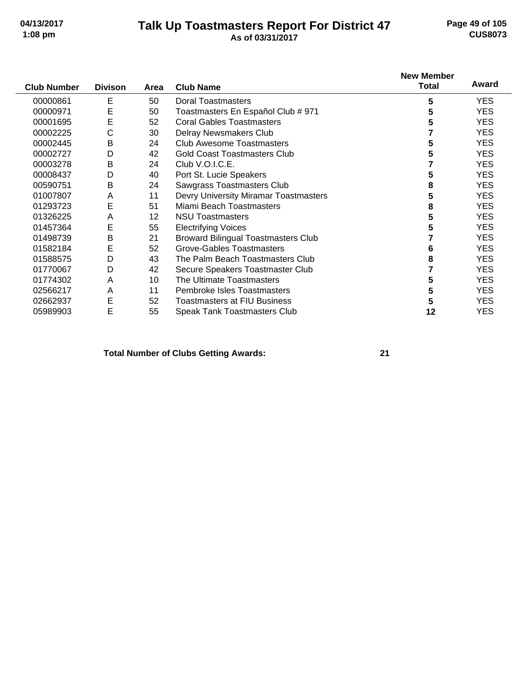#### **Talk Up Toastmasters Report For District 47 04/13/2017 Page 49 of 105 1:08 pm As of 03/31/2017 CUS8073**

|                    |                |      |                                            | <b>New Member</b> |            |
|--------------------|----------------|------|--------------------------------------------|-------------------|------------|
| <b>Club Number</b> | <b>Divison</b> | Area | <b>Club Name</b>                           | <b>Total</b>      | Award      |
| 00000861           | E              | 50   | <b>Doral Toastmasters</b>                  | 5                 | <b>YES</b> |
| 00000971           | E              | 50   | Toastmasters En Español Club # 971         | 5                 | <b>YES</b> |
| 00001695           | E              | 52   | <b>Coral Gables Toastmasters</b>           | 5                 | <b>YES</b> |
| 00002225           | С              | 30   | Delray Newsmakers Club                     |                   | <b>YES</b> |
| 00002445           | В              | 24   | <b>Club Awesome Toastmasters</b>           | 5                 | <b>YES</b> |
| 00002727           | D              | 42   | <b>Gold Coast Toastmasters Club</b>        | 5                 | <b>YES</b> |
| 00003278           | B              | 24   | Club V.O.I.C.E.                            |                   | <b>YES</b> |
| 00008437           | D              | 40   | Port St. Lucie Speakers                    | 5                 | <b>YES</b> |
| 00590751           | B              | 24   | Sawgrass Toastmasters Club                 | 8                 | <b>YES</b> |
| 01007807           | A              | 11   | Devry University Miramar Toastmasters      | 5                 | <b>YES</b> |
| 01293723           | E              | 51   | Miami Beach Toastmasters                   | 8                 | <b>YES</b> |
| 01326225           | Α              | 12   | <b>NSU Toastmasters</b>                    | 5                 | <b>YES</b> |
| 01457364           | E              | 55   | <b>Electrifying Voices</b>                 | 5                 | <b>YES</b> |
| 01498739           | В              | 21   | <b>Broward Bilingual Toastmasters Club</b> |                   | <b>YES</b> |
| 01582184           | E              | 52   | Grove-Gables Toastmasters                  | 6                 | <b>YES</b> |
| 01588575           | D              | 43   | The Palm Beach Toastmasters Club           | 8                 | <b>YES</b> |
| 01770067           | D              | 42   | Secure Speakers Toastmaster Club           |                   | <b>YES</b> |
| 01774302           | Α              | 10   | The Ultimate Toastmasters                  | 5                 | <b>YES</b> |
| 02566217           | Α              | 11   | Pembroke Isles Toastmasters                | 5                 | YES.       |
| 02662937           | Е              | 52   | <b>Toastmasters at FIU Business</b>        | 5                 | <b>YES</b> |
| 05989903           | E              | 55   | <b>Speak Tank Toastmasters Club</b>        | 12                | <b>YES</b> |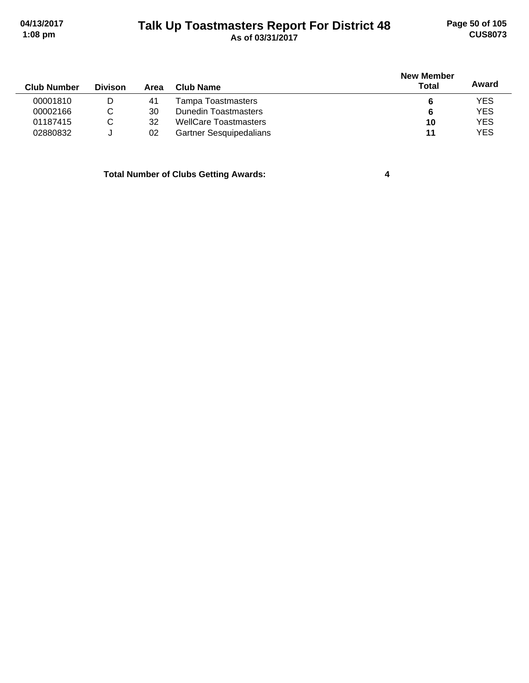# **Talk Up Toastmasters Report For District 48 04/13/2017 Page 50 of 105 1:08 pm As of 03/31/2017 CUS8073**

| <b>Club Number</b> | <b>Divison</b> | Area | Club Name                      | <b>New Member</b><br><b>Total</b> | Award      |
|--------------------|----------------|------|--------------------------------|-----------------------------------|------------|
| 00001810           | D              | 41   | Tampa Toastmasters             |                                   | <b>YES</b> |
| 00002166           | С              | 30   | <b>Dunedin Toastmasters</b>    | 6                                 | <b>YES</b> |
| 01187415           | C              | 32   | <b>WellCare Toastmasters</b>   | 10                                | <b>YES</b> |
| 02880832           | J              | 02   | <b>Gartner Sesquipedalians</b> | 11                                | <b>YES</b> |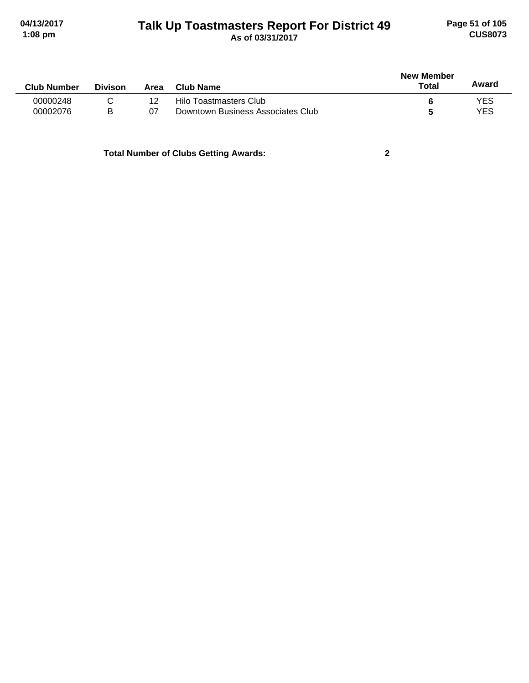# **Talk Up Toastmasters Report For District 49 04/13/2017 Page 51 of 105 1:08 pm As of 03/31/2017 CUS8073**

|                    |                |      |                                   | <b>New Member</b> |       |
|--------------------|----------------|------|-----------------------------------|-------------------|-------|
| <b>Club Number</b> | <b>Divison</b> | Area | Club Name                         | Total             | Award |
| 00000248           |                | 12   | Hilo Toastmasters Club            |                   | YES   |
| 00002076           | B              | 07   | Downtown Business Associates Club |                   | YES   |
|                    |                |      |                                   |                   |       |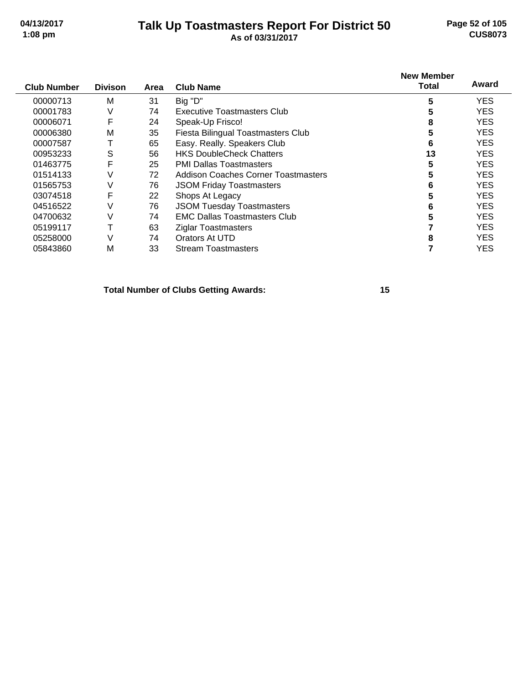# **Talk Up Toastmasters Report For District 50 04/13/2017 Page 52 of 105**

# **1:08 pm As of 03/31/2017 CUS8073**

| <b>Club Number</b> | <b>Divison</b> | Area | <b>Club Name</b>                    | <b>New Member</b><br><b>Total</b> | Award      |
|--------------------|----------------|------|-------------------------------------|-----------------------------------|------------|
|                    |                |      |                                     |                                   |            |
| 00000713           | M              | 31   | Big "D"                             | 5                                 | <b>YES</b> |
| 00001783           | ٧              | 74   | Executive Toastmasters Club         | 5                                 | <b>YES</b> |
| 00006071           | F              | 24   | Speak-Up Frisco!                    | 8                                 | <b>YES</b> |
| 00006380           | M              | 35   | Fiesta Bilingual Toastmasters Club  | 5                                 | <b>YES</b> |
| 00007587           |                | 65   | Easy. Really. Speakers Club         | 6                                 | <b>YES</b> |
| 00953233           | S              | 56   | <b>HKS DoubleCheck Chatters</b>     | 13                                | <b>YES</b> |
| 01463775           | F              | 25   | <b>PMI Dallas Toastmasters</b>      | 5                                 | <b>YES</b> |
| 01514133           | V              | 72   | Addison Coaches Corner Toastmasters | 5                                 | <b>YES</b> |
| 01565753           | V              | 76   | <b>JSOM Friday Toastmasters</b>     | 6                                 | <b>YES</b> |
| 03074518           | F              | 22   | Shops At Legacy                     | 5                                 | <b>YES</b> |
| 04516522           | V              | 76   | <b>JSOM Tuesday Toastmasters</b>    | 6                                 | <b>YES</b> |
| 04700632           | V              | 74   | <b>EMC Dallas Toastmasters Club</b> | 5                                 | <b>YES</b> |
| 05199117           |                | 63   | <b>Ziglar Toastmasters</b>          |                                   | <b>YES</b> |
| 05258000           | V              | 74   | Orators At UTD                      | 8                                 | <b>YES</b> |
| 05843860           | M              | 33   | <b>Stream Toastmasters</b>          |                                   | <b>YES</b> |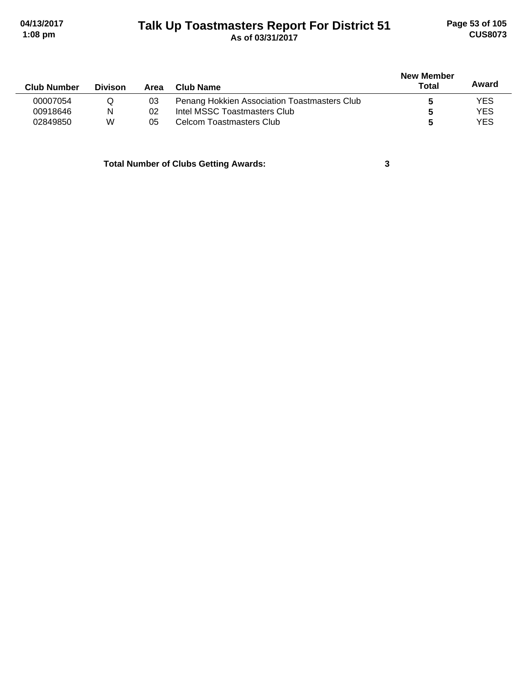# **Talk Up Toastmasters Report For District 51 04/13/2017 Page 53 of 105 1:08 pm As of 03/31/2017 CUS8073**

| <b>Club Number</b> | <b>Divison</b> | Area | Club Name                                    | <b>New Member</b><br>Total | Award      |
|--------------------|----------------|------|----------------------------------------------|----------------------------|------------|
| 00007054           | Q              | 03   | Penang Hokkien Association Toastmasters Club |                            | YES        |
| 00918646           | N              | 02   | Intel MSSC Toastmasters Club                 |                            | <b>YES</b> |
| 02849850           | W              | 05   | Celcom Toastmasters Club                     |                            | YES        |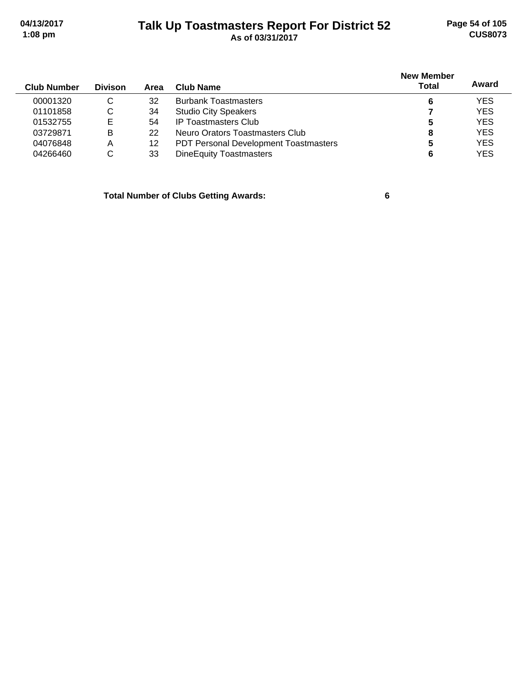# **Talk Up Toastmasters Report For District 52 04/13/2017 Page 54 of 105 1:08 pm As of 03/31/2017 CUS8073**

| <b>Club Number</b> | <b>Divison</b> | Area | Club Name                                    | <b>New Member</b><br><b>Total</b> | Award      |
|--------------------|----------------|------|----------------------------------------------|-----------------------------------|------------|
| 00001320           | C              | 32   | <b>Burbank Toastmasters</b>                  | 6                                 | <b>YES</b> |
| 01101858           | C              | 34   | <b>Studio City Speakers</b>                  |                                   | <b>YES</b> |
| 01532755           | Е              | 54   | <b>IP Toastmasters Club</b>                  | 5                                 | <b>YES</b> |
| 03729871           | в              | 22   | Neuro Orators Toastmasters Club              | 8                                 | <b>YES</b> |
| 04076848           | Α              | 12   | <b>PDT Personal Development Toastmasters</b> | 5                                 | <b>YES</b> |
| 04266460           | C              | 33   | <b>DineEquity Toastmasters</b>               | 6                                 | <b>YES</b> |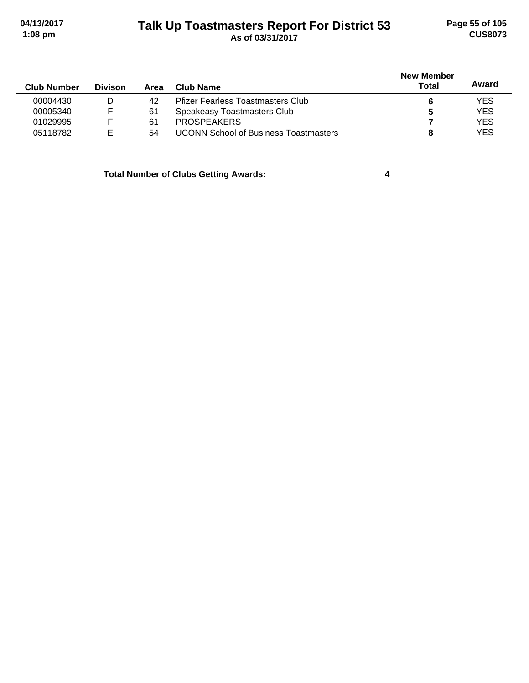# **Talk Up Toastmasters Report For District 53 04/13/2017 Page 55 of 105 1:08 pm As of 03/31/2017 CUS8073**

| <b>Club Number</b> | <b>Divison</b> | Area | Club Name                                    | <b>New Member</b><br>Total | Award      |
|--------------------|----------------|------|----------------------------------------------|----------------------------|------------|
| 00004430           | D              | 42   | <b>Pfizer Fearless Toastmasters Club</b>     |                            | <b>YES</b> |
| 00005340           |                | 61   | Speakeasy Toastmasters Club                  |                            | <b>YES</b> |
| 01029995           |                | 61   | <b>PROSPEAKERS</b>                           |                            | <b>YES</b> |
| 05118782           |                | 54   | <b>UCONN School of Business Toastmasters</b> |                            | <b>YES</b> |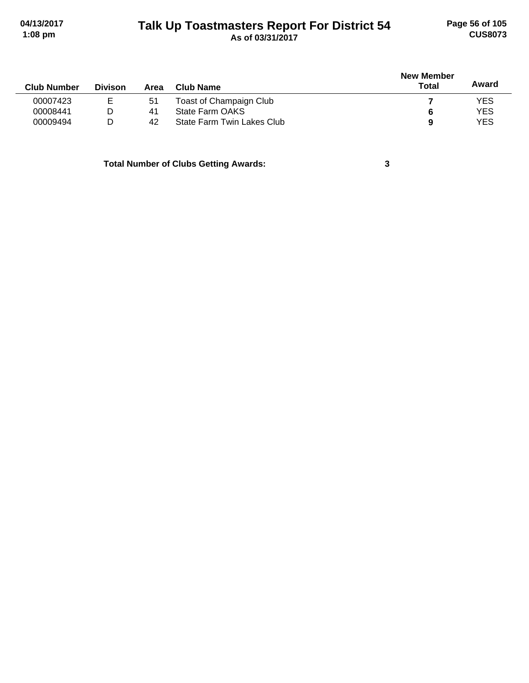# **Talk Up Toastmasters Report For District 54 04/13/2017 Page 56 of 105 1:08 pm As of 03/31/2017 CUS8073**

|                |      |                            | <b>New Member</b> |            |  |
|----------------|------|----------------------------|-------------------|------------|--|
| <b>Divison</b> | Area | Club Name                  | <b>Total</b>      | Award      |  |
| ᄇ              | 51   | Toast of Champaign Club    |                   | <b>YES</b> |  |
| D              | 41   | State Farm OAKS            | 6                 | <b>YES</b> |  |
| D              | 42   | State Farm Twin Lakes Club | 9                 | <b>YES</b> |  |
|                |      |                            |                   |            |  |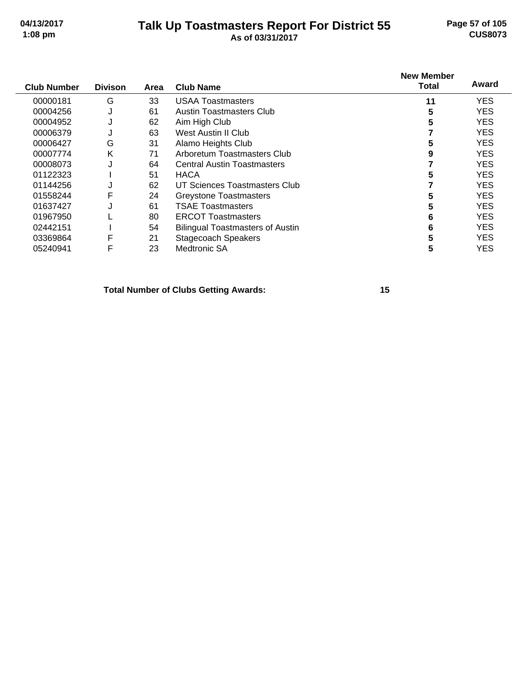## **Talk Up Toastmasters Report For District 55 04/13/2017 Page 57 of 105 1:08 pm As of 03/31/2017 CUS8073**

| <b>Club Number</b> | <b>Divison</b> | Area | <b>Club Name</b>                        | <b>New Member</b><br><b>Total</b> | Award      |
|--------------------|----------------|------|-----------------------------------------|-----------------------------------|------------|
| 00000181           | G              | 33   | <b>USAA Toastmasters</b>                | 11                                | <b>YES</b> |
| 00004256           | J              | 61   | Austin Toastmasters Club                | 5                                 | <b>YES</b> |
| 00004952           | J              | 62   | Aim High Club                           | 5                                 | <b>YES</b> |
| 00006379           | J              | 63   | West Austin II Club                     |                                   | <b>YES</b> |
| 00006427           | G              | 31   | Alamo Heights Club                      | 5                                 | <b>YES</b> |
| 00007774           | Κ              | 71   | Arboretum Toastmasters Club             | 9                                 | <b>YES</b> |
| 00008073           | J              | 64   | <b>Central Austin Toastmasters</b>      |                                   | <b>YES</b> |
| 01122323           |                | 51   | <b>HACA</b>                             |                                   | <b>YES</b> |
| 01144256           | J              | 62   | UT Sciences Toastmasters Club           |                                   | <b>YES</b> |
| 01558244           | F              | 24   | <b>Greystone Toastmasters</b>           |                                   | <b>YES</b> |
| 01637427           | J              | 61   | <b>TSAE Toastmasters</b>                | 5                                 | <b>YES</b> |
| 01967950           |                | 80   | <b>ERCOT Toastmasters</b>               | 6                                 | <b>YES</b> |
| 02442151           |                | 54   | <b>Bilingual Toastmasters of Austin</b> | 6                                 | <b>YES</b> |
| 03369864           | F              | 21   | <b>Stagecoach Speakers</b>              | 5                                 | <b>YES</b> |
| 05240941           | F              | 23   | <b>Medtronic SA</b>                     | 5                                 | <b>YES</b> |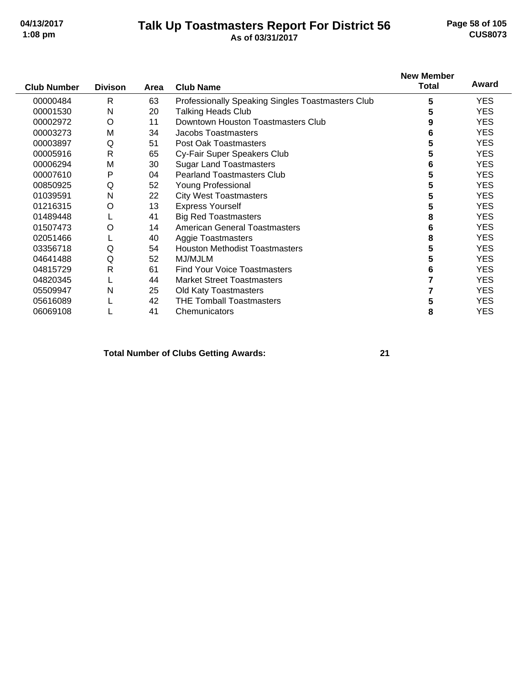#### **Talk Up Toastmasters Report For District 56 04/13/2017 Page 58 of 105 1:08 pm As of 03/31/2017 CUS8073**

|                    |                |      |                                                   | <b>New Member</b> |            |
|--------------------|----------------|------|---------------------------------------------------|-------------------|------------|
| <b>Club Number</b> | <b>Divison</b> | Area | <b>Club Name</b>                                  | <b>Total</b>      | Award      |
| 00000484           | R              | 63   | Professionally Speaking Singles Toastmasters Club | 5                 | <b>YES</b> |
| 00001530           | N              | 20   | <b>Talking Heads Club</b>                         | 5                 | <b>YES</b> |
| 00002972           | O              | 11   | Downtown Houston Toastmasters Club                | 9                 | <b>YES</b> |
| 00003273           | M              | 34   | Jacobs Toastmasters                               | 6                 | <b>YES</b> |
| 00003897           | Q              | 51   | Post Oak Toastmasters                             | 5                 | <b>YES</b> |
| 00005916           | R              | 65   | Cy-Fair Super Speakers Club                       | 5                 | <b>YES</b> |
| 00006294           | M              | 30   | <b>Sugar Land Toastmasters</b>                    | 6                 | <b>YES</b> |
| 00007610           | P              | 04   | <b>Pearland Toastmasters Club</b>                 | 5                 | <b>YES</b> |
| 00850925           | Q              | 52   | <b>Young Professional</b>                         | 5                 | <b>YES</b> |
| 01039591           | N              | 22   | <b>City West Toastmasters</b>                     | 5                 | <b>YES</b> |
| 01216315           | O              | 13   | <b>Express Yourself</b>                           | 5                 | <b>YES</b> |
| 01489448           |                | 41   | <b>Big Red Toastmasters</b>                       | 8                 | <b>YES</b> |
| 01507473           | O              | 14   | <b>American General Toastmasters</b>              | 6                 | <b>YES</b> |
| 02051466           |                | 40   | Aggie Toastmasters                                | 8                 | <b>YES</b> |
| 03356718           | Q              | 54   | <b>Houston Methodist Toastmasters</b>             | 5                 | <b>YES</b> |
| 04641488           | Q              | 52   | MJ/MJLM                                           | 5                 | <b>YES</b> |
| 04815729           | $\mathsf{R}$   | 61   | <b>Find Your Voice Toastmasters</b>               | 6                 | <b>YES</b> |
| 04820345           |                | 44   | <b>Market Street Toastmasters</b>                 |                   | <b>YES</b> |
| 05509947           | N              | 25   | Old Katy Toastmasters                             |                   | <b>YES</b> |
| 05616089           |                | 42   | <b>THE Tomball Toastmasters</b>                   | 5                 | <b>YES</b> |
| 06069108           |                | 41   | Chemunicators                                     | 8                 | <b>YES</b> |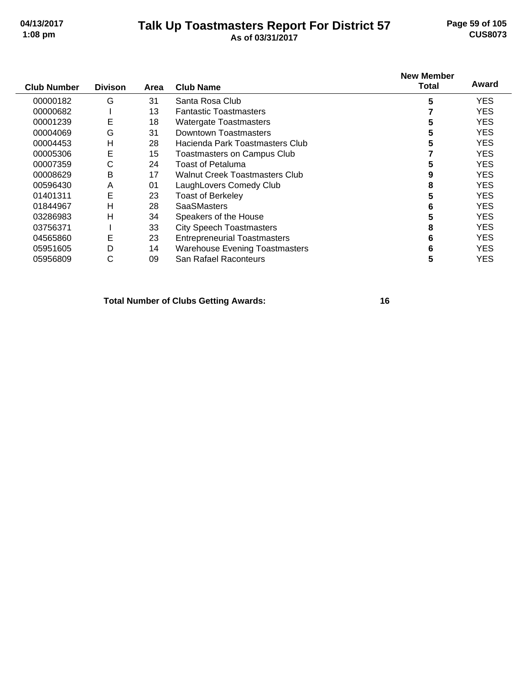## **Talk Up Toastmasters Report For District 57 04/13/2017 Page 59 of 105 1:08 pm As of 03/31/2017 CUS8073**

| <b>Club Number</b> | <b>Divison</b> | Area | <b>Club Name</b>                      | <b>New Member</b><br>Total | Award      |
|--------------------|----------------|------|---------------------------------------|----------------------------|------------|
| 00000182           | G              | 31   | Santa Rosa Club                       | 5                          | <b>YES</b> |
| 00000682           |                | 13   | <b>Fantastic Toastmasters</b>         |                            | <b>YES</b> |
| 00001239           | E              | 18   | <b>Watergate Toastmasters</b>         | 5                          | <b>YES</b> |
| 00004069           | G              | 31   | Downtown Toastmasters                 | 5                          | <b>YES</b> |
| 00004453           | н              | 28   | Hacienda Park Toastmasters Club       |                            | YES.       |
| 00005306           | E              | 15   | <b>Toastmasters on Campus Club</b>    |                            | <b>YES</b> |
| 00007359           | С              | 24   | <b>Toast of Petaluma</b>              | 5                          | <b>YES</b> |
| 00008629           | B              | 17   | <b>Walnut Creek Toastmasters Club</b> |                            | YES.       |
| 00596430           | A              | 01   | LaughLovers Comedy Club               | 8                          | <b>YES</b> |
| 01401311           | E              | 23   | <b>Toast of Berkeley</b>              | 5                          | <b>YES</b> |
| 01844967           | н              | 28   | <b>SaaSMasters</b>                    | 6                          | <b>YES</b> |
| 03286983           | н              | 34   | Speakers of the House                 | 5                          | <b>YES</b> |
| 03756371           |                | 33   | <b>City Speech Toastmasters</b>       | 8                          | <b>YES</b> |
| 04565860           | Е              | 23   | <b>Entrepreneurial Toastmasters</b>   | 6                          | <b>YES</b> |
| 05951605           | D              | 14   | <b>Warehouse Evening Toastmasters</b> | 6                          | <b>YES</b> |
| 05956809           | С              | 09   | San Rafael Raconteurs                 | 5                          | YES        |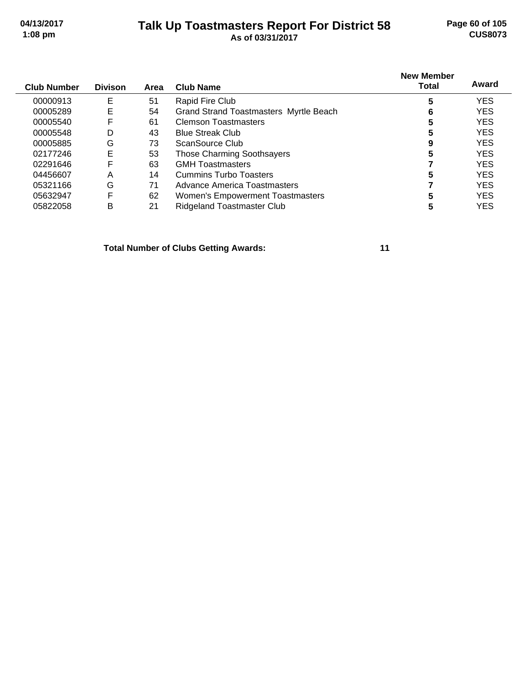#### **Talk Up Toastmasters Report For District 58 04/13/2017 Page 60 of 105 1:08 pm As of 03/31/2017 CUS8073**

| <b>Club Number</b> | <b>Divison</b> | Area | Club Name                                     | <b>New Member</b><br><b>Total</b> | Award      |
|--------------------|----------------|------|-----------------------------------------------|-----------------------------------|------------|
| 00000913           | Е              | 51   | Rapid Fire Club                               | 5                                 | <b>YES</b> |
| 00005289           | Е              | 54   | <b>Grand Strand Toastmasters Myrtle Beach</b> | 6                                 | <b>YES</b> |
| 00005540           | F              | 61   | <b>Clemson Toastmasters</b>                   | 5                                 | <b>YES</b> |
| 00005548           | D              | 43   | <b>Blue Streak Club</b>                       | 5                                 | <b>YES</b> |
| 00005885           | G              | 73   | ScanSource Club                               | 9                                 | <b>YES</b> |
| 02177246           | E              | 53   | <b>Those Charming Soothsayers</b>             | 5                                 | <b>YES</b> |
| 02291646           | F              | 63   | <b>GMH Toastmasters</b>                       |                                   | <b>YES</b> |
| 04456607           | Α              | 14   | <b>Cummins Turbo Toasters</b>                 | 5                                 | <b>YES</b> |
| 05321166           | G              | 71   | Advance America Toastmasters                  |                                   | <b>YES</b> |
| 05632947           | F              | 62   | Women's Empowerment Toastmasters              | 5                                 | <b>YES</b> |
| 05822058           | в              | 21   | <b>Ridgeland Toastmaster Club</b>             | 5                                 | <b>YES</b> |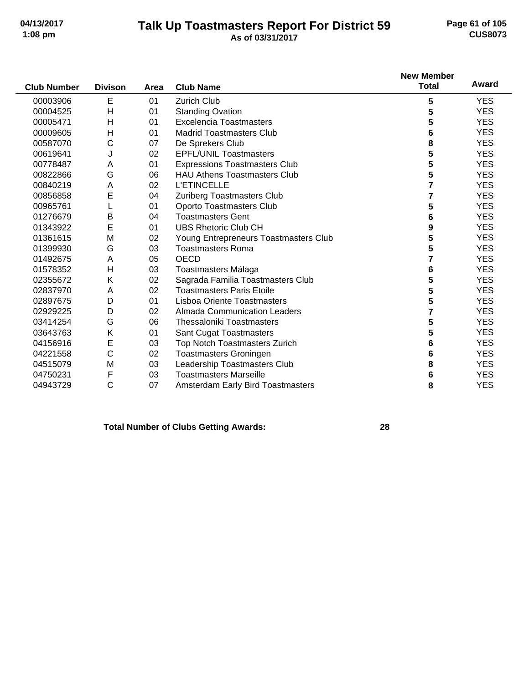#### **Talk Up Toastmasters Report For District 59 04/13/2017 Page 61 of 105 1:08 pm As of 03/31/2017 CUS8073**

|                    |                |      |                                          | <b>New Member</b><br><b>Total</b> | Award      |
|--------------------|----------------|------|------------------------------------------|-----------------------------------|------------|
| <b>Club Number</b> | <b>Divison</b> | Area | <b>Club Name</b>                         |                                   |            |
| 00003906           | Е              | 01   | Zurich Club                              | 5                                 | <b>YES</b> |
| 00004525           | $\mathsf{H}$   | 01   | <b>Standing Ovation</b>                  | 5                                 | <b>YES</b> |
| 00005471           | H              | 01   | <b>Excelencia Toastmasters</b>           | 5                                 | <b>YES</b> |
| 00009605           | $\mathsf{H}$   | 01   | <b>Madrid Toastmasters Club</b>          | 6                                 | <b>YES</b> |
| 00587070           | C              | 07   | De Sprekers Club                         | 8                                 | <b>YES</b> |
| 00619641           | J              | 02   | <b>EPFL/UNIL Toastmasters</b>            | 5                                 | <b>YES</b> |
| 00778487           | Α              | 01   | <b>Expressions Toastmasters Club</b>     | 5                                 | <b>YES</b> |
| 00822866           | G              | 06   | <b>HAU Athens Toastmasters Club</b>      | 5                                 | <b>YES</b> |
| 00840219           | A              | 02   | <b>L'ETINCELLE</b>                       | 7                                 | <b>YES</b> |
| 00856858           | E              | 04   | Zuriberg Toastmasters Club               | 7                                 | <b>YES</b> |
| 00965761           |                | 01   | Oporto Toastmasters Club                 | 5                                 | <b>YES</b> |
| 01276679           | B              | 04   | <b>Toastmasters Gent</b>                 | 6                                 | <b>YES</b> |
| 01343922           | E              | 01   | <b>UBS Rhetoric Club CH</b>              | 9                                 | <b>YES</b> |
| 01361615           | M              | 02   | Young Entrepreneurs Toastmasters Club    | 5                                 | <b>YES</b> |
| 01399930           | G              | 03   | <b>Toastmasters Roma</b>                 | 5                                 | <b>YES</b> |
| 01492675           | Α              | 05   | <b>OECD</b>                              | 7                                 | <b>YES</b> |
| 01578352           | H              | 03   | Toastmasters Málaga                      | 6                                 | <b>YES</b> |
| 02355672           | K              | 02   | Sagrada Familia Toastmasters Club        | 5                                 | <b>YES</b> |
| 02837970           | A              | 02   | <b>Toastmasters Paris Etoile</b>         | 5                                 | <b>YES</b> |
| 02897675           | D              | 01   | Lisboa Oriente Toastmasters              | 5                                 | <b>YES</b> |
| 02929225           | D              | 02   | <b>Almada Communication Leaders</b>      | $\overline{7}$                    | <b>YES</b> |
| 03414254           | G              | 06   | <b>Thessaloniki Toastmasters</b>         | 5                                 | <b>YES</b> |
| 03643763           | K              | 01   | Sant Cugat Toastmasters                  | 5                                 | <b>YES</b> |
| 04156916           | E              | 03   | Top Notch Toastmasters Zurich            | 6                                 | <b>YES</b> |
| 04221558           | C              | 02   | <b>Toastmasters Groningen</b>            | 6                                 | <b>YES</b> |
| 04515079           | M              | 03   | Leadership Toastmasters Club             | 8                                 | <b>YES</b> |
| 04750231           | F              | 03   | <b>Toastmasters Marseille</b>            | 6                                 | <b>YES</b> |
| 04943729           | $\mathsf{C}$   | 07   | <b>Amsterdam Early Bird Toastmasters</b> | 8                                 | <b>YES</b> |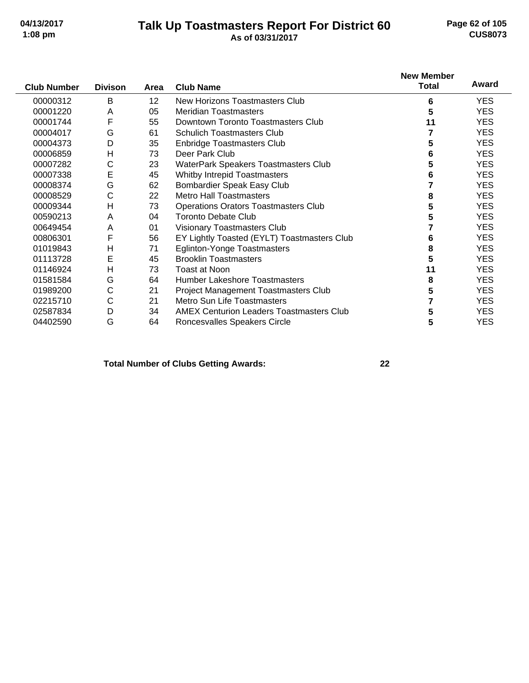#### **Talk Up Toastmasters Report For District 60 04/13/2017 Page 62 of 105 1:08 pm As of 03/31/2017 CUS8073**

|                    |                |                 |                                                 | <b>New Member</b> |            |
|--------------------|----------------|-----------------|-------------------------------------------------|-------------------|------------|
| <b>Club Number</b> | <b>Divison</b> | Area            | <b>Club Name</b>                                | <b>Total</b>      | Award      |
| 00000312           | В              | 12 <sup>2</sup> | New Horizons Toastmasters Club                  | 6                 | YES.       |
| 00001220           | A              | 05              | <b>Meridian Toastmasters</b>                    | 5                 | YES.       |
| 00001744           | F              | 55              | Downtown Toronto Toastmasters Club              | 11                | <b>YES</b> |
| 00004017           | G              | 61              | <b>Schulich Toastmasters Club</b>               |                   | YES.       |
| 00004373           | D              | 35              | <b>Enbridge Toastmasters Club</b>               | 5                 | <b>YES</b> |
| 00006859           | $\mathsf{H}$   | 73              | Deer Park Club                                  | 6                 | YES.       |
| 00007282           | C              | 23              | WaterPark Speakers Toastmasters Club            | 5                 | <b>YES</b> |
| 00007338           | E              | 45              | <b>Whitby Intrepid Toastmasters</b>             | 6                 | <b>YES</b> |
| 00008374           | G              | 62              | Bombardier Speak Easy Club                      |                   | <b>YES</b> |
| 00008529           | С              | 22              | <b>Metro Hall Toastmasters</b>                  | 8                 | <b>YES</b> |
| 00009344           | Н              | 73              | <b>Operations Orators Toastmasters Club</b>     | 5                 | <b>YES</b> |
| 00590213           | A              | 04              | <b>Toronto Debate Club</b>                      | 5                 | YES.       |
| 00649454           | Α              | 01              | Visionary Toastmasters Club                     |                   | YES.       |
| 00806301           | F              | 56              | EY Lightly Toasted (EYLT) Toastmasters Club     | 6                 | <b>YES</b> |
| 01019843           | Η              | 71              | <b>Eglinton-Yonge Toastmasters</b>              | 8                 | YES.       |
| 01113728           | Е              | 45              | <b>Brooklin Toastmasters</b>                    | 5                 | <b>YES</b> |
| 01146924           | н              | 73              | Toast at Noon                                   | 11                | <b>YES</b> |
| 01581584           | G              | 64              | <b>Humber Lakeshore Toastmasters</b>            | 8                 | <b>YES</b> |
| 01989200           | С              | 21              | Project Management Toastmasters Club            | 5                 | <b>YES</b> |
| 02215710           | С              | 21              | Metro Sun Life Toastmasters                     |                   | <b>YES</b> |
| 02587834           | D              | 34              | <b>AMEX Centurion Leaders Toastmasters Club</b> | 5                 | <b>YES</b> |
| 04402590           | G              | 64              | Roncesvalles Speakers Circle                    | 5                 | <b>YES</b> |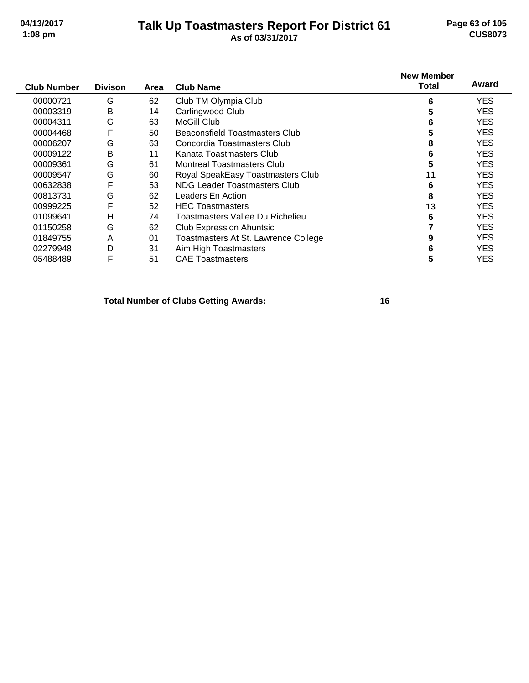#### **Talk Up Toastmasters Report For District 61 04/13/2017 Page 63 of 105 1:08 pm As of 03/31/2017 CUS8073**

| <b>Club Number</b> | <b>Divison</b> | Area | <b>Club Name</b>                      | <b>New Member</b><br>Total | Award      |
|--------------------|----------------|------|---------------------------------------|----------------------------|------------|
| 00000721           | G              | 62   | Club TM Olympia Club                  | 6                          | <b>YES</b> |
| 00003319           | B              | 14   | Carlingwood Club                      | 5                          | <b>YES</b> |
| 00004311           | G              | 63   | McGill Club                           | 6                          | <b>YES</b> |
| 00004468           | F              | 50   | <b>Beaconsfield Toastmasters Club</b> | 5                          | <b>YES</b> |
| 00006207           | G              | 63   | Concordia Toastmasters Club           | 8                          | <b>YES</b> |
| 00009122           | B              | 11   | Kanata Toastmasters Club              | 6                          | <b>YES</b> |
| 00009361           | G              | 61   | <b>Montreal Toastmasters Club</b>     | 5                          | <b>YES</b> |
| 00009547           | G              | 60   | Royal SpeakEasy Toastmasters Club     | 11                         | <b>YES</b> |
| 00632838           | F              | 53   | NDG Leader Toastmasters Club          | 6                          | <b>YES</b> |
| 00813731           | G              | 62   | Leaders En Action                     | 8                          | <b>YES</b> |
| 00999225           | F              | 52   | <b>HEC Toastmasters</b>               | 13                         | <b>YES</b> |
| 01099641           | Н              | 74   | Toastmasters Vallee Du Richelieu      | 6                          | <b>YES</b> |
| 01150258           | G              | 62   | <b>Club Expression Ahuntsic</b>       |                            | <b>YES</b> |
| 01849755           | A              | 01   | Toastmasters At St. Lawrence College  | 9                          | <b>YES</b> |
| 02279948           | D              | 31   | Aim High Toastmasters                 | 6                          | <b>YES</b> |
| 05488489           | F              | 51   | <b>CAE Toastmasters</b>               | 5                          | YES        |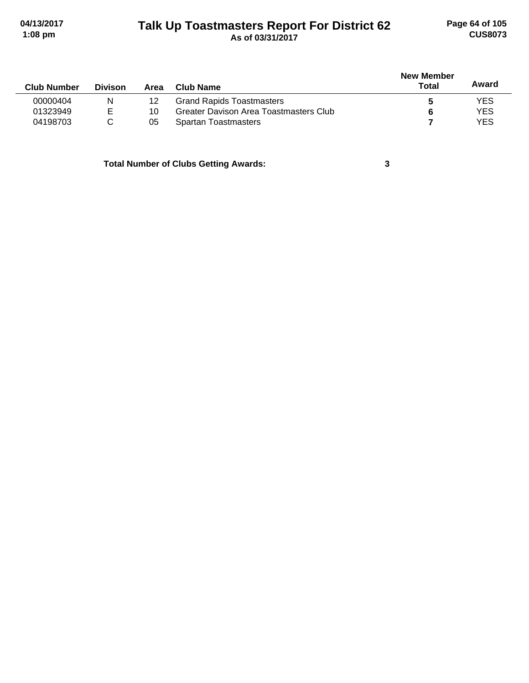# **Talk Up Toastmasters Report For District 62 04/13/2017 Page 64 of 105 1:08 pm As of 03/31/2017 CUS8073**

|                |      |                                        |       |            |  |  | <b>New Member</b> |  |  |
|----------------|------|----------------------------------------|-------|------------|--|--|-------------------|--|--|
| <b>Divison</b> | Area | Club Name                              | Total | Award      |  |  |                   |  |  |
| N              | 12   | <b>Grand Rapids Toastmasters</b>       |       | <b>YES</b> |  |  |                   |  |  |
| E              | 10   | Greater Davison Area Toastmasters Club |       | <b>YES</b> |  |  |                   |  |  |
|                | 05   | <b>Spartan Toastmasters</b>            |       | <b>YES</b> |  |  |                   |  |  |
|                |      |                                        |       |            |  |  |                   |  |  |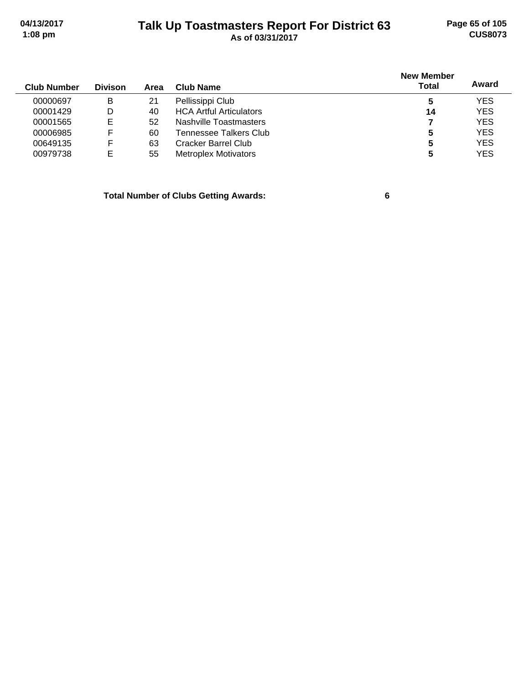# **Talk Up Toastmasters Report For District 63 04/13/2017 Page 65 of 105 1:08 pm As of 03/31/2017 CUS8073**

| <b>Club Number</b> | <b>Divison</b> | Area | Club Name                      | <b>New Member</b><br><b>Total</b> | Award      |
|--------------------|----------------|------|--------------------------------|-----------------------------------|------------|
| 00000697           | в              | 21   | Pellissippi Club               | 5                                 | <b>YES</b> |
| 00001429           | D              | 40   | <b>HCA Artful Articulators</b> | 14                                | <b>YES</b> |
| 00001565           | Е              | 52   | Nashville Toastmasters         |                                   | <b>YES</b> |
| 00006985           | F              | 60   | Tennessee Talkers Club         | 5                                 | <b>YES</b> |
| 00649135           | F              | 63   | Cracker Barrel Club            | 5                                 | <b>YES</b> |
| 00979738           | Е              | 55   | <b>Metroplex Motivators</b>    | 5                                 | <b>YES</b> |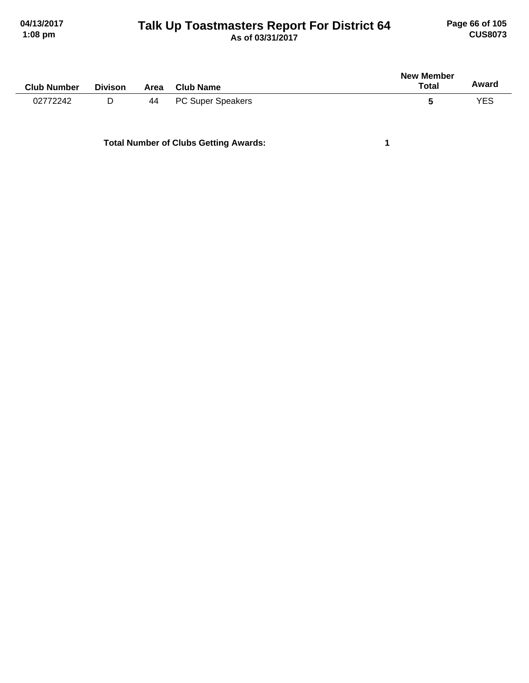# **Talk Up Toastmasters Report For District 64 04/13/2017 Page 66 of 105 1:08 pm As of 03/31/2017 CUS8073**

| <b>Club Number</b> | <b>Divison</b> | Area | <b>Club Name</b>         | New Member<br><b>Total</b> | Award      |
|--------------------|----------------|------|--------------------------|----------------------------|------------|
| 02772242           | D              | 44   | <b>PC Super Speakers</b> |                            | <b>YES</b> |
|                    |                |      |                          |                            |            |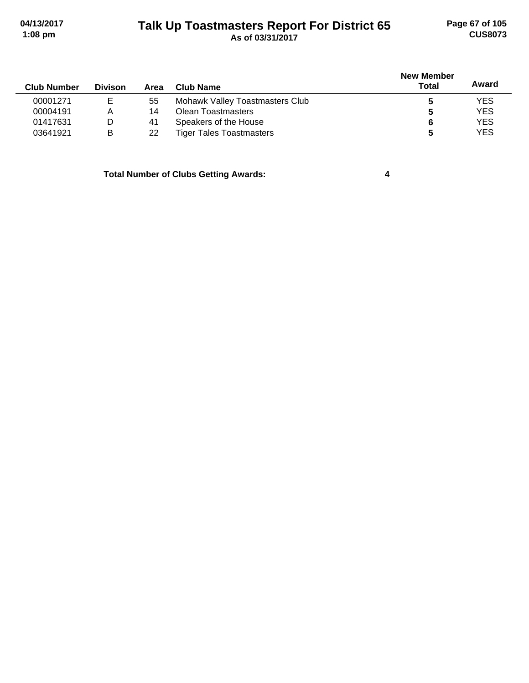# **Talk Up Toastmasters Report For District 65 04/13/2017 Page 67 of 105 1:08 pm As of 03/31/2017 CUS8073**

| <b>Club Number</b> | <b>Divison</b> | Area | Club Name                       | <b>New Member</b><br><b>Total</b> | Award      |
|--------------------|----------------|------|---------------------------------|-----------------------------------|------------|
| 00001271           | E              | 55   | Mohawk Valley Toastmasters Club |                                   | <b>YES</b> |
| 00004191           | Α              | 14   | Olean Toastmasters              | 5                                 | <b>YES</b> |
| 01417631           | D              | 41   | Speakers of the House           | 6                                 | <b>YES</b> |
| 03641921           | в              | 22   | <b>Tiger Tales Toastmasters</b> | 5                                 | <b>YES</b> |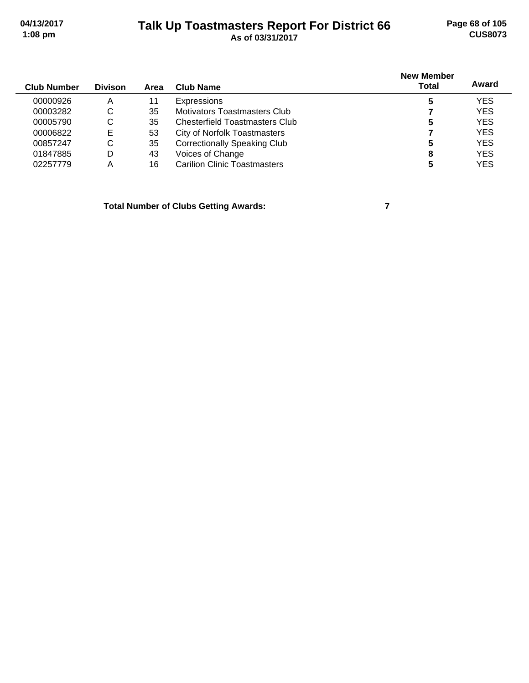# **Talk Up Toastmasters Report For District 66 04/13/2017 Page 68 of 105 1:08 pm As of 03/31/2017 CUS8073**

| <b>Club Number</b> | <b>Divison</b> | Area | <b>Club Name</b>                      | <b>New Member</b><br><b>Total</b> | Award      |
|--------------------|----------------|------|---------------------------------------|-----------------------------------|------------|
| 00000926           | A              |      | <b>Expressions</b>                    | 5                                 | <b>YES</b> |
| 00003282           | C              | 35   | Motivators Toastmasters Club          |                                   | <b>YES</b> |
| 00005790           | С              | 35   | <b>Chesterfield Toastmasters Club</b> | 5                                 | <b>YES</b> |
| 00006822           | Е              | 53   | <b>City of Norfolk Toastmasters</b>   |                                   | <b>YES</b> |
| 00857247           | C              | 35   | <b>Correctionally Speaking Club</b>   |                                   | <b>YES</b> |
| 01847885           | D              | 43   | Voices of Change                      | 8                                 | <b>YES</b> |
| 02257779           | Α              | 16   | <b>Carilion Clinic Toastmasters</b>   | 5                                 | <b>YES</b> |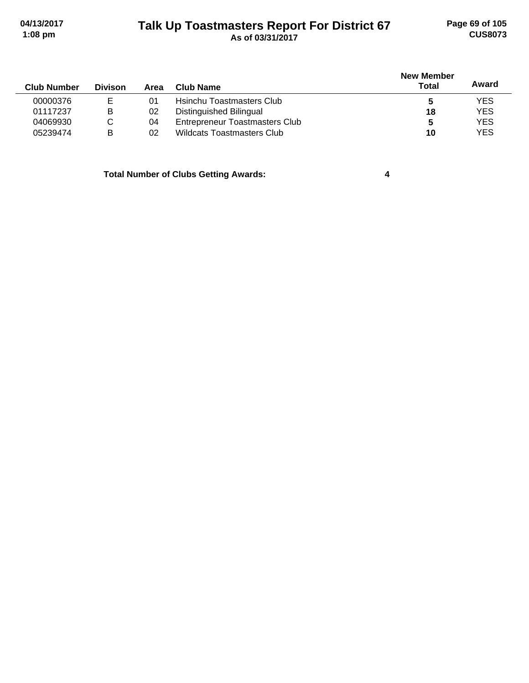# **Talk Up Toastmasters Report For District 67 04/13/2017 Page 69 of 105 1:08 pm As of 03/31/2017 CUS8073**

| <b>Club Number</b> | <b>Divison</b> | Area | Club Name                             | <b>New Member</b><br><b>Total</b> | Award      |
|--------------------|----------------|------|---------------------------------------|-----------------------------------|------------|
| 00000376           |                | 01   | Hsinchu Toastmasters Club             |                                   | <b>YES</b> |
| 01117237           | B              | 02   | Distinguished Bilingual               | 18                                | <b>YES</b> |
| 04069930           | С              | 04   | <b>Entrepreneur Toastmasters Club</b> |                                   | <b>YES</b> |
| 05239474           | в              | 02   | <b>Wildcats Toastmasters Club</b>     | 10                                | <b>YES</b> |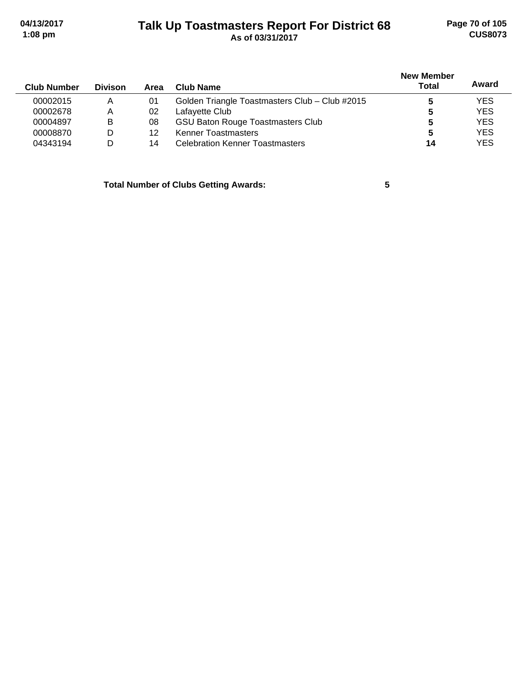# **Talk Up Toastmasters Report For District 68 04/13/2017 Page 70 of 105 1:08 pm As of 03/31/2017 CUS8073**

| <b>Club Number</b> | <b>Divison</b> | Area | Club Name                                      | <b>New Member</b><br>Total | Award      |
|--------------------|----------------|------|------------------------------------------------|----------------------------|------------|
| 00002015           | A              | 01   | Golden Triangle Toastmasters Club - Club #2015 |                            | <b>YES</b> |
| 00002678           | Α              | 02   | Lafayette Club                                 | 5                          | <b>YES</b> |
| 00004897           | в              | 08   | <b>GSU Baton Rouge Toastmasters Club</b>       | 5                          | <b>YES</b> |
| 00008870           | D              | 12   | <b>Kenner Toastmasters</b>                     | 5                          | <b>YES</b> |
| 04343194           | D              | 14   | <b>Celebration Kenner Toastmasters</b>         | 14                         | <b>YES</b> |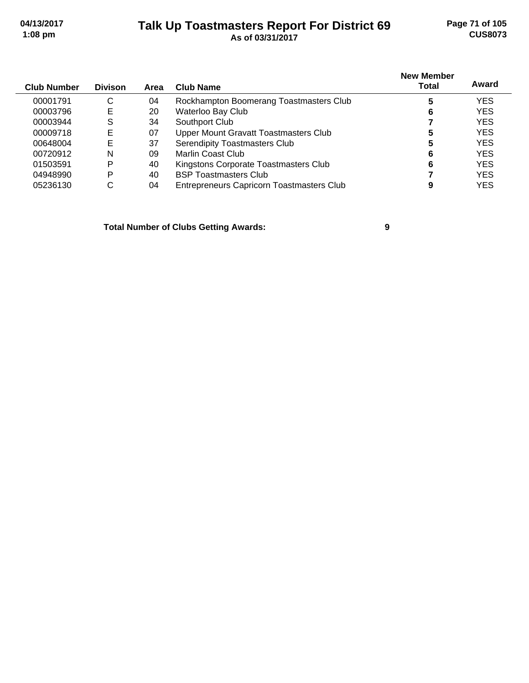# **Talk Up Toastmasters Report For District 69 04/13/2017 Page 71 of 105 1:08 pm As of 03/31/2017 CUS8073**

| <b>Club Number</b> | <b>Divison</b> | Area | Club Name                                        | <b>New Member</b><br>Total | Award      |
|--------------------|----------------|------|--------------------------------------------------|----------------------------|------------|
| 00001791           | С              | 04   | Rockhampton Boomerang Toastmasters Club          |                            | YES        |
| 00003796           | E              | 20   | Waterloo Bay Club                                |                            | <b>YES</b> |
| 00003944           | S              | 34   | Southport Club                                   |                            | <b>YES</b> |
| 00009718           | Е              | 07   | Upper Mount Gravatt Toastmasters Club            | 5                          | <b>YES</b> |
| 00648004           | Е              | 37   | Serendipity Toastmasters Club                    | 5                          | <b>YES</b> |
| 00720912           | N              | 09   | Marlin Coast Club                                | 6                          | <b>YES</b> |
| 01503591           | P              | 40   | Kingstons Corporate Toastmasters Club            | 6                          | <b>YES</b> |
| 04948990           | Þ              | 40   | <b>BSP Toastmasters Club</b>                     |                            | <b>YES</b> |
| 05236130           | С              | 04   | <b>Entrepreneurs Capricorn Toastmasters Club</b> |                            | <b>YES</b> |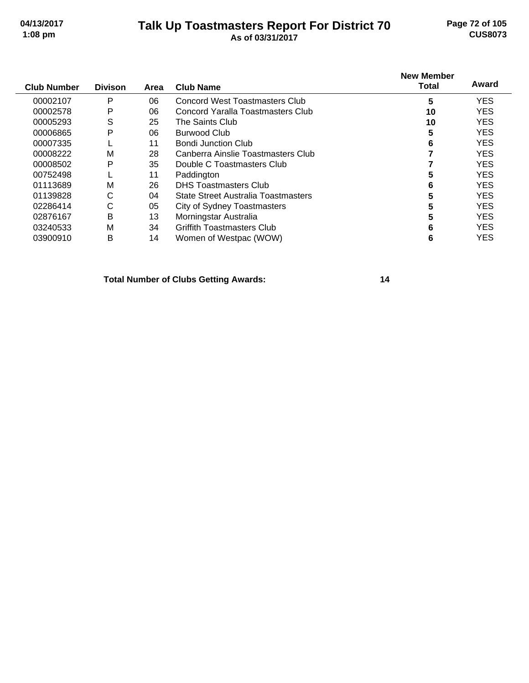#### **Talk Up Toastmasters Report For District 70 04/13/2017 Page 72 of 105 1:08 pm As of 03/31/2017 CUS8073**

|                |      |                                       | <b>New Member</b> |            |
|----------------|------|---------------------------------------|-------------------|------------|
| <b>Divison</b> | Area | <b>Club Name</b>                      | <b>Total</b>      | Award      |
| P              | 06   | <b>Concord West Toastmasters Club</b> | 5                 | <b>YES</b> |
| P              | 06   | Concord Yaralla Toastmasters Club     | 10                | <b>YES</b> |
| S              | 25   | The Saints Club                       | 10                | <b>YES</b> |
| P              | 06   | <b>Burwood Club</b>                   | 5                 | <b>YES</b> |
|                | 11   | <b>Bondi Junction Club</b>            | 6                 | <b>YES</b> |
| М              | 28   | Canberra Ainslie Toastmasters Club    |                   | <b>YES</b> |
| P              | 35   | Double C Toastmasters Club            |                   | <b>YES</b> |
|                | 11   | Paddington                            | 5                 | <b>YES</b> |
| М              | 26   | <b>DHS Toastmasters Club</b>          | 6                 | <b>YES</b> |
| C              | 04   | State Street Australia Toastmasters   | 5                 | <b>YES</b> |
| С              | 05   | <b>City of Sydney Toastmasters</b>    | 5                 | <b>YES</b> |
| B              | 13   | Morningstar Australia                 | 5                 | <b>YES</b> |
| М              | 34   | Griffith Toastmasters Club            | 6                 | <b>YES</b> |
| в              | 14   | Women of Westpac (WOW)                | 6                 | <b>YES</b> |
|                |      |                                       |                   |            |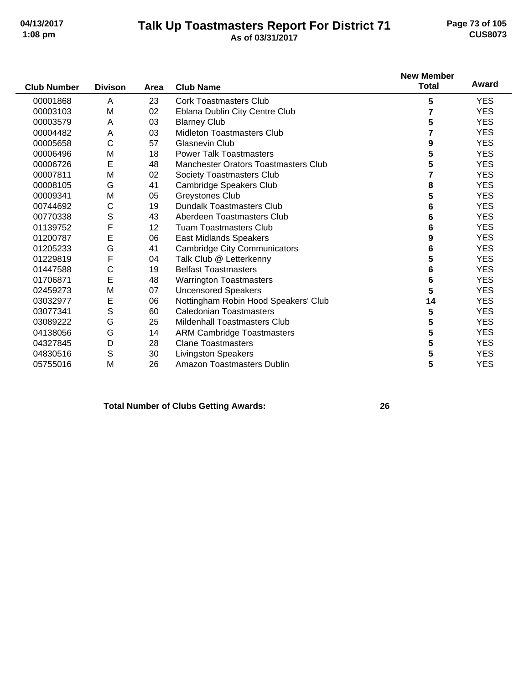#### **Talk Up Toastmasters Report For District 71 04/13/2017 Page 73 of 105 1:08 pm As of 03/31/2017 CUS8073**

|                    |                |      |                                             | <b>New Member</b> |            |
|--------------------|----------------|------|---------------------------------------------|-------------------|------------|
| <b>Club Number</b> | <b>Divison</b> | Area | <b>Club Name</b>                            | <b>Total</b>      | Award      |
| 00001868           | A              | 23   | <b>Cork Toastmasters Club</b>               | 5                 | <b>YES</b> |
| 00003103           | M              | 02   | Eblana Dublin City Centre Club              | 7                 | <b>YES</b> |
| 00003579           | A              | 03   | <b>Blarney Club</b>                         | 5                 | <b>YES</b> |
| 00004482           | Α              | 03   | <b>Midleton Toastmasters Club</b>           |                   | <b>YES</b> |
| 00005658           | C              | 57   | Glasnevin Club                              | 9                 | <b>YES</b> |
| 00006496           | M              | 18   | <b>Power Talk Toastmasters</b>              | 5                 | <b>YES</b> |
| 00006726           | E              | 48   | <b>Manchester Orators Toastmasters Club</b> | 5                 | <b>YES</b> |
| 00007811           | M              | 02   | Society Toastmasters Club                   | 7                 | <b>YES</b> |
| 00008105           | G              | 41   | Cambridge Speakers Club                     | 8                 | <b>YES</b> |
| 00009341           | M              | 05   | Greystones Club                             | 5                 | <b>YES</b> |
| 00744692           | С              | 19   | <b>Dundalk Toastmasters Club</b>            | 6                 | <b>YES</b> |
| 00770338           | S              | 43   | Aberdeen Toastmasters Club                  | 6                 | <b>YES</b> |
| 01139752           | F              | 12   | <b>Tuam Toastmasters Club</b>               | 6                 | <b>YES</b> |
| 01200787           | E              | 06   | <b>East Midlands Speakers</b>               | 9                 | <b>YES</b> |
| 01205233           | Ġ              | 41   | <b>Cambridge City Communicators</b>         | 6                 | <b>YES</b> |
| 01229819           | F              | 04   | Talk Club @ Letterkenny                     | 5                 | <b>YES</b> |
| 01447588           | C              | 19   | <b>Belfast Toastmasters</b>                 | 6                 | <b>YES</b> |
| 01706871           | E              | 48   | <b>Warrington Toastmasters</b>              | 6                 | <b>YES</b> |
| 02459273           | M              | 07   | <b>Uncensored Speakers</b>                  | 5                 | <b>YES</b> |
| 03032977           | E              | 06   | Nottingham Robin Hood Speakers' Club        | 14                | <b>YES</b> |
| 03077341           | S              | 60   | <b>Caledonian Toastmasters</b>              | 5                 | <b>YES</b> |
| 03089222           | G              | 25   | Mildenhall Toastmasters Club                | 5                 | <b>YES</b> |
| 04138056           | G              | 14   | <b>ARM Cambridge Toastmasters</b>           | 5                 | <b>YES</b> |
| 04327845           | D              | 28   | <b>Clane Toastmasters</b>                   | 5                 | <b>YES</b> |
| 04830516           | S              | 30   | <b>Livingston Speakers</b>                  | 5                 | <b>YES</b> |
| 05755016           | M              | 26   | Amazon Toastmasters Dublin                  | 5                 | <b>YES</b> |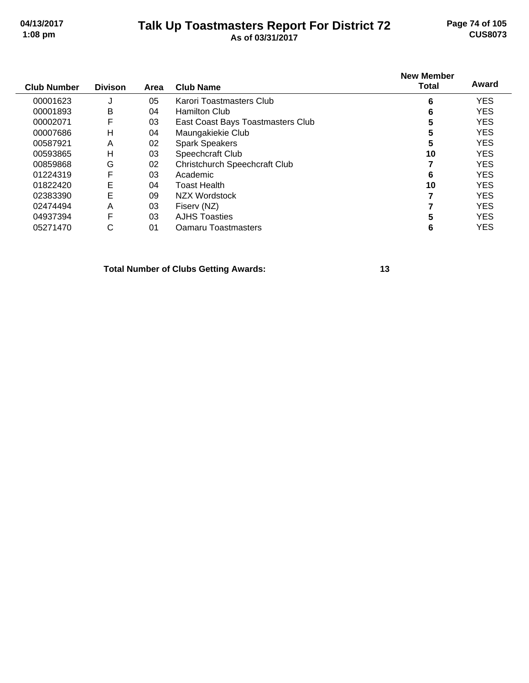#### **Talk Up Toastmasters Report For District 72 04/13/2017 Page 74 of 105 1:08 pm As of 03/31/2017 CUS8073**

| Club Number | <b>Divison</b> | Area | <b>Club Name</b>                     | <b>New Member</b><br>Total | Award      |  |
|-------------|----------------|------|--------------------------------------|----------------------------|------------|--|
| 00001623    | J              | 05   | Karori Toastmasters Club             | 6                          | <b>YES</b> |  |
| 00001893    | В              | 04   | <b>Hamilton Club</b>                 | 6                          | <b>YES</b> |  |
| 00002071    | F              | 03   | East Coast Bays Toastmasters Club    | 5                          | <b>YES</b> |  |
| 00007686    | н              | 04   | Maungakiekie Club                    | 5                          | <b>YES</b> |  |
| 00587921    | Α              | 02   | <b>Spark Speakers</b>                | 5                          | <b>YES</b> |  |
| 00593865    | н              | 03   | Speechcraft Club                     | 10                         | <b>YES</b> |  |
| 00859868    | G              | 02   | <b>Christchurch Speechcraft Club</b> |                            | <b>YES</b> |  |
| 01224319    | F              | 03   | Academic                             | 6                          | <b>YES</b> |  |

01822420 E 04 Toast Health<br>02383390 E 09 NZX Wordstock **10** 7 YES 02383390 E 09 NZX Wordstock **7** YES 02474494 A 03 Fiserv (NZ) **7** YES 04937394 F 03 AJHS Toasties **5** YES 05271470 C 01 Oamaru Toastmasters **6** YES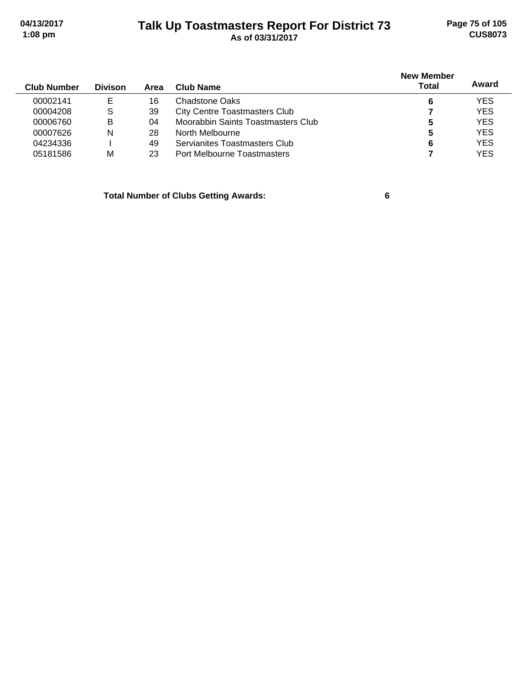## **Talk Up Toastmasters Report For District 73 04/13/2017 Page 75 of 105 1:08 pm As of 03/31/2017 CUS8073**

| <b>Club Number</b> | <b>Divison</b> | Area | Club Name                            | <b>New Member</b><br><b>Total</b> | Award      |
|--------------------|----------------|------|--------------------------------------|-----------------------------------|------------|
| 00002141           | Е              | 16   | Chadstone Oaks                       | 6                                 | <b>YES</b> |
| 00004208           | S.             | 39   | <b>City Centre Toastmasters Club</b> |                                   | <b>YES</b> |
| 00006760           | в              | 04   | Moorabbin Saints Toastmasters Club   | 5                                 | <b>YES</b> |
| 00007626           | N              | 28   | North Melbourne                      | 5                                 | <b>YES</b> |
| 04234336           |                | 49   | Servianites Toastmasters Club        | 6                                 | <b>YES</b> |
| 05181586           | М              | 23   | Port Melbourne Toastmasters          |                                   | <b>YES</b> |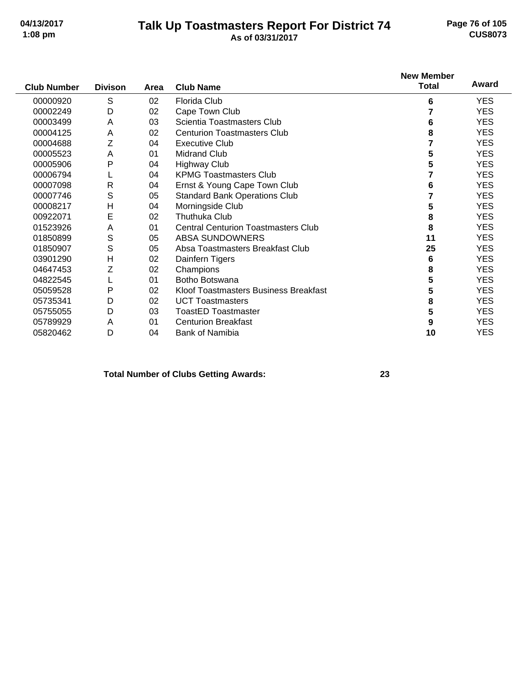#### **Talk Up Toastmasters Report For District 74 04/13/2017 Page 76 of 105 1:08 pm As of 03/31/2017 CUS8073**

|                    |                |      |                                            | <b>New Member</b> |            |
|--------------------|----------------|------|--------------------------------------------|-------------------|------------|
| <b>Club Number</b> | <b>Divison</b> | Area | <b>Club Name</b>                           | <b>Total</b>      | Award      |
| 00000920           | S              | 02   | Florida Club                               | 6                 | YES.       |
| 00002249           | D              | 02   | Cape Town Club                             |                   | <b>YES</b> |
| 00003499           | A              | 03   | Scientia Toastmasters Club                 | 6                 | <b>YES</b> |
| 00004125           | A              | 02   | <b>Centurion Toastmasters Club</b>         | 8                 | <b>YES</b> |
| 00004688           | Z              | 04   | <b>Executive Club</b>                      |                   | <b>YES</b> |
| 00005523           | A              | 01   | <b>Midrand Club</b>                        | 5                 | <b>YES</b> |
| 00005906           | P              | 04   | <b>Highway Club</b>                        | 5                 | <b>YES</b> |
| 00006794           | L              | 04   | <b>KPMG Toastmasters Club</b>              |                   | <b>YES</b> |
| 00007098           | $\mathsf{R}$   | 04   | Ernst & Young Cape Town Club               | 6                 | <b>YES</b> |
| 00007746           | S              | 05   | <b>Standard Bank Operations Club</b>       |                   | <b>YES</b> |
| 00008217           | Н              | 04   | Morningside Club                           | 5                 | <b>YES</b> |
| 00922071           | E              | 02   | Thuthuka Club                              | 8                 | <b>YES</b> |
| 01523926           | A              | 01   | <b>Central Centurion Toastmasters Club</b> | 8                 | <b>YES</b> |
| 01850899           | S              | 05   | <b>ABSA SUNDOWNERS</b>                     | 11                | <b>YES</b> |
| 01850907           | S              | 05   | Absa Toastmasters Breakfast Club           | 25                | YES.       |
| 03901290           | Η              | 02   | Dainfern Tigers                            | 6                 | <b>YES</b> |
| 04647453           | Z              | 02   | Champions                                  | 8                 | <b>YES</b> |
| 04822545           |                | 01   | Botho Botswana                             | 5                 | <b>YES</b> |
| 05059528           | Ρ              | 02   | Kloof Toastmasters Business Breakfast      | 5                 | <b>YES</b> |
| 05735341           | D              | 02   | <b>UCT Toastmasters</b>                    | 8                 | <b>YES</b> |
| 05755055           | D              | 03   | <b>ToastED Toastmaster</b>                 | 5                 | <b>YES</b> |
| 05789929           | Α              | 01   | <b>Centurion Breakfast</b>                 | 9                 | <b>YES</b> |
| 05820462           | D              | 04   | <b>Bank of Namibia</b>                     | 10                | <b>YES</b> |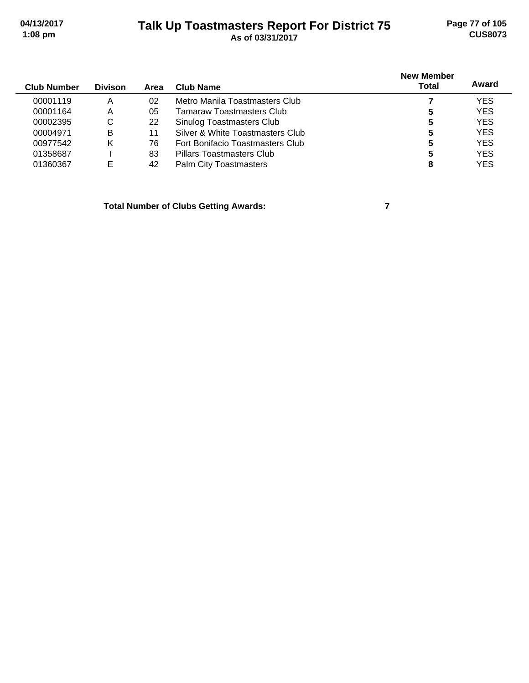### **Talk Up Toastmasters Report For District 75 04/13/2017 Page 77 of 105 1:08 pm As of 03/31/2017 CUS8073**

| <b>Club Number</b> | <b>Divison</b> | Area | <b>Club Name</b>                 | <b>New Member</b><br>Total | Award      |
|--------------------|----------------|------|----------------------------------|----------------------------|------------|
| 00001119           | Α              | 02   | Metro Manila Toastmasters Club   |                            | <b>YES</b> |
| 00001164           | Α              | 05   | Tamaraw Toastmasters Clubl       | 5                          | <b>YES</b> |
| 00002395           | С              | 22   | Sinulog Toastmasters Club        | 5                          | <b>YES</b> |
| 00004971           | B              | 11   | Silver & White Toastmasters Club | 5                          | <b>YES</b> |
| 00977542           | Κ              | 76   | Fort Bonifacio Toastmasters Club | 5                          | <b>YES</b> |
| 01358687           |                | 83   | <b>Pillars Toastmasters Club</b> | 5                          | <b>YES</b> |
| 01360367           | Е              | 42   | <b>Palm City Toastmasters</b>    | 8                          | <b>YES</b> |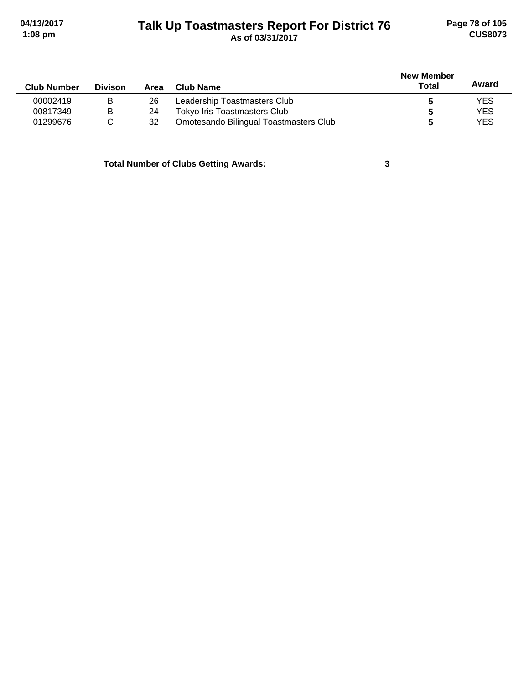### **Talk Up Toastmasters Report For District 76 04/13/2017 Page 78 of 105 1:08 pm As of 03/31/2017 CUS8073**

|                    |                |      |                                        | <b>New Member</b> |            |  |
|--------------------|----------------|------|----------------------------------------|-------------------|------------|--|
| <b>Club Number</b> | <b>Divison</b> | Area | <b>Club Name</b>                       | <b>Total</b>      | Award      |  |
| 00002419           | в              | 26   | Leadership Toastmasters Club           |                   | <b>YES</b> |  |
| 00817349           | в              | 24   | Tokyo Iris Toastmasters Club           |                   | <b>YES</b> |  |
| 01299676           |                | 32   | Omotesando Bilingual Toastmasters Club |                   | <b>YES</b> |  |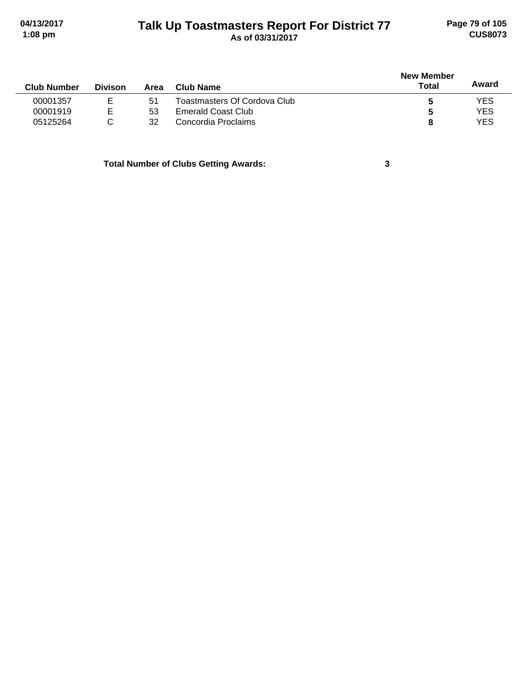### **Talk Up Toastmasters Report For District 77 04/13/2017 Page 79 of 105 1:08 pm As of 03/31/2017 CUS8073**

|                    |                |      |                              |              | <b>New Member</b> |  |  |
|--------------------|----------------|------|------------------------------|--------------|-------------------|--|--|
| <b>Club Number</b> | <b>Divison</b> | Area | Club Name                    | <b>Total</b> | Award             |  |  |
| 00001357           | Е              | -51  | Toastmasters Of Cordova Club |              | YES               |  |  |
| 00001919           | E              | 53   | Emerald Coast Club           | 5            | <b>YES</b>        |  |  |
| 05125264           | С              | 32   | Concordia Proclaims          |              | <b>YES</b>        |  |  |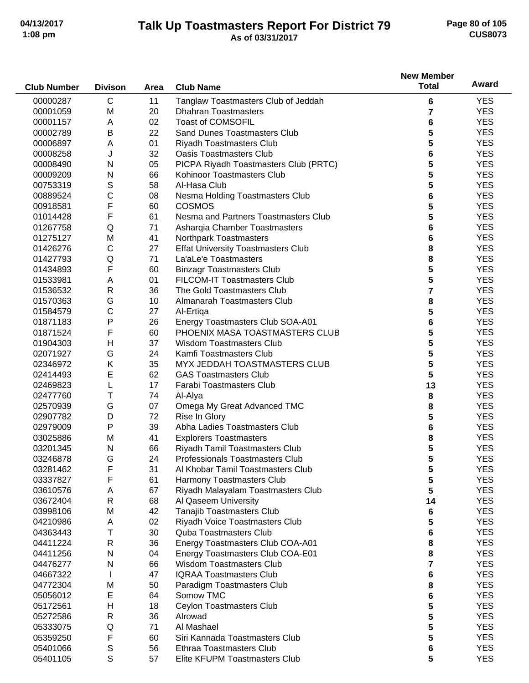#### **Talk Up Toastmasters Report For District 79 04/13/2017 Page 80 of 105 1:08 pm As of 03/31/2017 CUS8073**

|                    |                |          |                                                                    | <b>New Member</b> |            |
|--------------------|----------------|----------|--------------------------------------------------------------------|-------------------|------------|
| <b>Club Number</b> | <b>Divison</b> | Area     | <b>Club Name</b>                                                   | <b>Total</b>      | Award      |
| 00000287           | $\mathsf{C}$   | 11       | Tanglaw Toastmasters Club of Jeddah                                | 6                 | <b>YES</b> |
| 00001059           | M              | 20       | <b>Dhahran Toastmasters</b>                                        | 7                 | <b>YES</b> |
| 00001157           | A              | 02       | <b>Toast of COMSOFIL</b>                                           | 6                 | <b>YES</b> |
| 00002789           | B              | 22       | <b>Sand Dunes Toastmasters Club</b>                                | 5                 | <b>YES</b> |
| 00006897           | Α              | 01       | Riyadh Toastmasters Club                                           | 5                 | <b>YES</b> |
| 00008258           | J              | 32       | <b>Oasis Toastmasters Club</b>                                     | 6                 | <b>YES</b> |
| 00008490           | N              | 05       | PICPA Riyadh Toastmasters Club (PRTC)                              | 5                 | <b>YES</b> |
| 00009209           | N              | 66       | Kohinoor Toastmasters Club                                         | 5                 | <b>YES</b> |
| 00753319           | S              | 58       | Al-Hasa Club                                                       | 5                 | <b>YES</b> |
| 00889524           | С              | 08       | Nesma Holding Toastmasters Club                                    | 6                 | <b>YES</b> |
| 00918581           | F              | 60       | <b>COSMOS</b>                                                      | 5                 | <b>YES</b> |
| 01014428           | F              | 61       | Nesma and Partners Toastmasters Club                               | 5                 | <b>YES</b> |
| 01267758           | Q              | 71       | Asharqia Chamber Toastmasters                                      | 6                 | <b>YES</b> |
| 01275127           | M              | 41       | Northpark Toastmasters                                             | 6                 | <b>YES</b> |
| 01426276           | $\mathsf C$    | 27       | <b>Effat University Toastmasters Club</b>                          | 8                 | <b>YES</b> |
| 01427793           | Q              | 71       | La'aLe'e Toastmasters                                              | 8                 | <b>YES</b> |
| 01434893           | F              | 60       | <b>Binzagr Toastmasters Club</b>                                   | 5                 | <b>YES</b> |
| 01533981           | A              | 01       | FILCOM-IT Toastmasters Club                                        | 5                 | <b>YES</b> |
| 01536532           | $\mathsf R$    | 36       | The Gold Toastmasters Club                                         | $\overline{7}$    | <b>YES</b> |
| 01570363           | G              | 10       | Almanarah Toastmasters Club                                        |                   | <b>YES</b> |
|                    | $\mathsf{C}$   |          |                                                                    | 8<br>5            | <b>YES</b> |
| 01584579           | P              | 27       | Al-Ertiga                                                          |                   | <b>YES</b> |
| 01871183           | F              | 26       | Energy Toastmasters Club SOA-A01<br>PHOENIX MASA TOASTMASTERS CLUB | 6                 | <b>YES</b> |
| 01871524           | $\mathsf{H}$   | 60<br>37 | <b>Wisdom Toastmasters Club</b>                                    | 5                 | <b>YES</b> |
| 01904303           |                |          |                                                                    | 5                 |            |
| 02071927           | G              | 24       | Kamfi Toastmasters Club                                            | 5                 | <b>YES</b> |
| 02346972           | Κ              | 35       | MYX JEDDAH TOASTMASTERS CLUB                                       | 5                 | <b>YES</b> |
| 02414493           | E              | 62       | <b>GAS Toastmasters Club</b>                                       | 5                 | <b>YES</b> |
| 02469823           | L              | 17       | Farabi Toastmasters Club                                           | 13                | <b>YES</b> |
| 02477760           | Τ              | 74       | Al-Alya                                                            | 8                 | <b>YES</b> |
| 02570939           | G              | 07       | Omega My Great Advanced TMC                                        | 8                 | <b>YES</b> |
| 02907782           | D              | 72       | Rise In Glory                                                      | 5                 | <b>YES</b> |
| 02979009           | P              | 39       | Abha Ladies Toastmasters Club                                      | 6                 | <b>YES</b> |
| 03025886           | M              | 41       | <b>Explorers Toastmasters</b>                                      | 8                 | <b>YES</b> |
| 03201345           | N              | 66       | Riyadh Tamil Toastmasters Club                                     | 5                 | <b>YES</b> |
| 03246878           | G              | 24       | Professionals Toastmasters Club                                    | 5                 | <b>YES</b> |
| 03281462           | F              | 31       | Al Khobar Tamil Toastmasters Club                                  | 5                 | <b>YES</b> |
| 03337827           | F              | 61       | Harmony Toastmasters Club                                          | 5                 | <b>YES</b> |
| 03610576           | Α              | 67       | Riyadh Malayalam Toastmasters Club                                 | 5                 | <b>YES</b> |
| 03672404           | R              | 68       | Al Qaseem University                                               | 14                | <b>YES</b> |
| 03998106           | M              | 42       | Tanajib Toastmasters Club                                          | 6                 | <b>YES</b> |
| 04210986           | Α              | 02       | Riyadh Voice Toastmasters Club                                     | 5                 | <b>YES</b> |
| 04363443           | Т              | 30       | <b>Quba Toastmasters Club</b>                                      | 6                 | <b>YES</b> |
| 04411224           | R              | 36       | Energy Toastmasters Club COA-A01                                   | 8                 | <b>YES</b> |
| 04411256           | N              | 04       | Energy Toastmasters Club COA-E01                                   | 8                 | <b>YES</b> |
| 04476277           | N              | 66       | <b>Wisdom Toastmasters Club</b>                                    | 7                 | <b>YES</b> |
| 04667322           | L              | 47       | <b>IQRAA Toastmasters Club</b>                                     | 6                 | <b>YES</b> |
| 04772304           | M              | 50       | Paradigm Toastmasters Club                                         | 8                 | <b>YES</b> |
| 05056012           | E              | 64       | Somow TMC                                                          | 6                 | <b>YES</b> |
| 05172561           | $\mathsf{H}$   | 18       | Ceylon Toastmasters Club                                           | 5                 | <b>YES</b> |
| 05272586           | $\mathsf{R}$   | 36       | Alrowad                                                            | 5                 | <b>YES</b> |
| 05333075           | Q              | 71       | Al Mashael                                                         | 5                 | <b>YES</b> |
| 05359250           | F              | 60       | Siri Kannada Toastmasters Club                                     | 5                 | <b>YES</b> |
| 05401066           | $\mathbb S$    | 56       | Ethraa Toastmasters Club                                           | 6                 | <b>YES</b> |
| 05401105           | S              | 57       | Elite KFUPM Toastmasters Club                                      | 5                 | <b>YES</b> |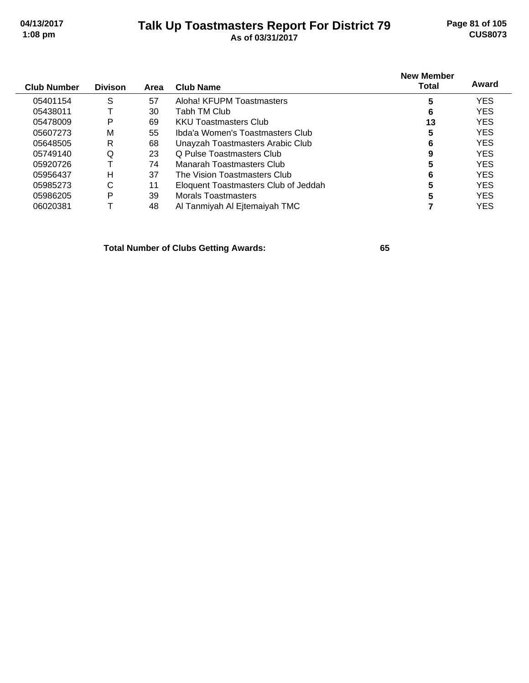#### **Talk Up Toastmasters Report For District 79 04/13/2017 Page 81 of 105 1:08 pm As of 03/31/2017 CUS8073**

| <b>Club Number</b> | <b>Divison</b> | Area | <b>Club Name</b>                     | <b>New Member</b><br><b>Total</b> | Award      |
|--------------------|----------------|------|--------------------------------------|-----------------------------------|------------|
| 05401154           | S              | 57   | Aloha! KFUPM Toastmasters            | 5                                 | <b>YES</b> |
| 05438011           |                | 30   | Tabh TM Club                         | 6                                 | <b>YES</b> |
| 05478009           | Р              | 69   | <b>KKU Toastmasters Club</b>         | 13                                | <b>YES</b> |
| 05607273           | м              | 55   | Ibda'a Women's Toastmasters Club     | 5                                 | <b>YES</b> |
| 05648505           | R              | 68   | Unayzah Toastmasters Arabic Club     | 6                                 | <b>YES</b> |
| 05749140           | Q              | 23   | O Pulse Toastmasters Club            | 9                                 | <b>YES</b> |
| 05920726           |                | 74   | Manarah Toastmasters Club            | 5                                 | <b>YES</b> |
| 05956437           | н              | 37   | The Vision Toastmasters Club         | 6                                 | <b>YES</b> |
| 05985273           | С              | 11   | Eloquent Toastmasters Club of Jeddah | 5                                 | <b>YES</b> |
| 05986205           | P              | 39   | Morals Toastmasters                  |                                   | <b>YES</b> |
| 06020381           |                | 48   | Al Tanmiyah Al Ejtemaiyah TMC        |                                   | YES        |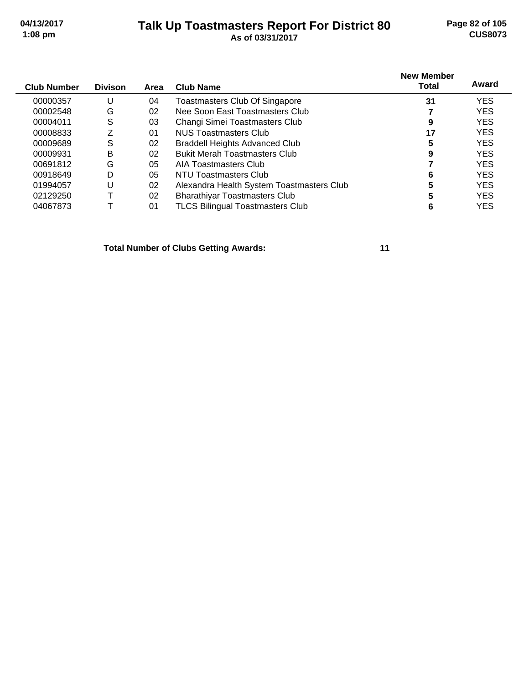#### **Talk Up Toastmasters Report For District 80 04/13/2017 Page 82 of 105 1:08 pm As of 03/31/2017 CUS8073**

| <b>Club Number</b> | <b>Divison</b> | Area | <b>Club Name</b>                          | <b>New Member</b><br><b>Total</b> | Award      |
|--------------------|----------------|------|-------------------------------------------|-----------------------------------|------------|
| 00000357           | U              | 04   | Toastmasters Club Of Singapore            | 31                                | <b>YES</b> |
| 00002548           | G              | 02   | Nee Soon East Toastmasters Club           |                                   | <b>YES</b> |
| 00004011           | S              | 03   | Changi Simei Toastmasters Club            | 9                                 | <b>YES</b> |
| 00008833           | 7              | 01   | NUS Toastmasters Club                     | 17                                | <b>YES</b> |
| 00009689           | S              | 02   | <b>Braddell Heights Advanced Club</b>     | 5                                 | <b>YES</b> |
| 00009931           | B              | 02   | <b>Bukit Merah Toastmasters Club</b>      | 9                                 | <b>YES</b> |
| 00691812           | G              | 05   | AIA Toastmasters Club                     |                                   | <b>YES</b> |
| 00918649           | D              | 05   | NTU Toastmasters Club                     | 6                                 | <b>YES</b> |
| 01994057           | U              | 02   | Alexandra Health System Toastmasters Club | 5                                 | <b>YES</b> |
| 02129250           |                | 02   | <b>Bharathiyar Toastmasters Club</b>      | 5                                 | <b>YES</b> |
| 04067873           |                | 01   | <b>TLCS Bilingual Toastmasters Club</b>   | 6                                 | <b>YES</b> |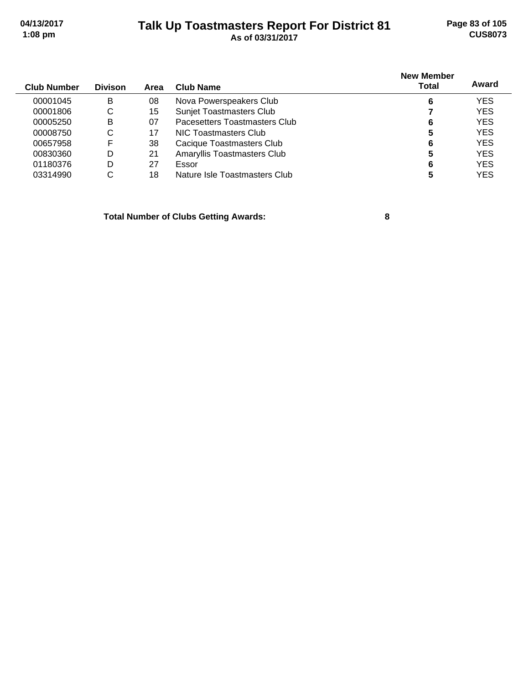### **Talk Up Toastmasters Report For District 81 04/13/2017 Page 83 of 105 1:08 pm As of 03/31/2017 CUS8073**

| <b>Club Number</b> | <b>Divison</b> | Area | Club Name                       | <b>New Member</b><br>Total | Award      |
|--------------------|----------------|------|---------------------------------|----------------------------|------------|
| 00001045           | B              | 08   | Nova Powerspeakers Club         | 6                          | <b>YES</b> |
| 00001806           | С              | 15   | <b>Sunjet Toastmasters Club</b> |                            | <b>YES</b> |
| 00005250           | B              | 07   | Pacesetters Toastmasters Club   | 6                          | <b>YES</b> |
| 00008750           | С              | 17   | NIC Toastmasters Club           | 5                          | <b>YES</b> |
| 00657958           | F              | 38   | Cacique Toastmasters Club       | 6                          | <b>YES</b> |
| 00830360           | D              | 21   | Amaryllis Toastmasters Club     | 5                          | <b>YES</b> |
| 01180376           | D              | 27   | Essor                           | 6                          | <b>YES</b> |
| 03314990           | С              | 18   | Nature Isle Toastmasters Club   |                            | <b>YES</b> |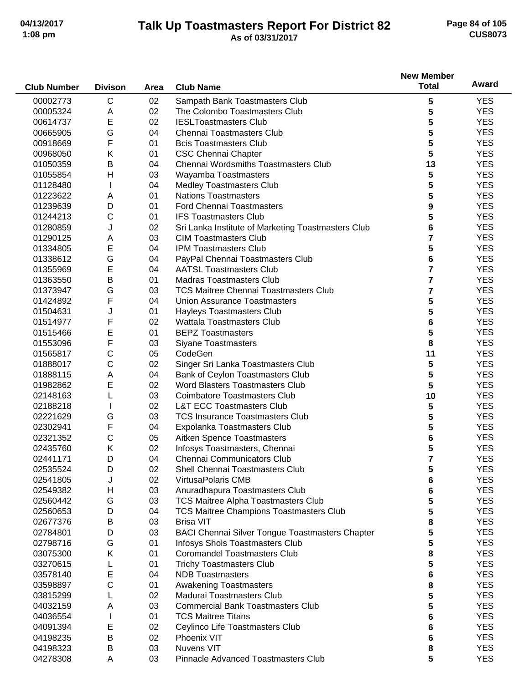#### **Talk Up Toastmasters Report For District 82 04/13/2017 Page 84 of 105 1:08 pm As of 03/31/2017 CUS8073**

|                    |                |      |                                                                            | <b>New Member</b>       |            |
|--------------------|----------------|------|----------------------------------------------------------------------------|-------------------------|------------|
| <b>Club Number</b> | <b>Divison</b> | Area | <b>Club Name</b>                                                           | <b>Total</b>            | Award      |
| 00002773           | C              | 02   | Sampath Bank Toastmasters Club                                             | 5                       | <b>YES</b> |
| 00005324           | Α              | 02   | The Colombo Toastmasters Club                                              | 5                       | <b>YES</b> |
| 00614737           | E              | 02   | <b>IESLToastmasters Club</b>                                               | 5                       | <b>YES</b> |
| 00665905           | G              | 04   | Chennai Toastmasters Club                                                  | 5                       | <b>YES</b> |
| 00918669           | F              | 01   | <b>Bcis Toastmasters Club</b>                                              | 5                       | <b>YES</b> |
| 00968050           | Κ              | 01   | <b>CSC Chennai Chapter</b>                                                 | 5                       | <b>YES</b> |
| 01050359           | B              | 04   | Chennai Wordsmiths Toastmasters Club                                       | 13                      | <b>YES</b> |
| 01055854           | Η              | 03   | Wayamba Toastmasters                                                       | 5                       | <b>YES</b> |
| 01128480           |                | 04   | <b>Medley Toastmasters Club</b>                                            | 5                       | <b>YES</b> |
| 01223622           | A              | 01   | <b>Nations Toastmasters</b>                                                | 5                       | <b>YES</b> |
| 01239639           | D              | 01   | <b>Ford Chennai Toastmasters</b>                                           | 9                       | <b>YES</b> |
| 01244213           | $\mathsf{C}$   | 01   | <b>IFS Toastmasters Club</b>                                               | 5                       | <b>YES</b> |
| 01280859           | J              | 02   | Sri Lanka Institute of Marketing Toastmasters Club                         | 6                       | <b>YES</b> |
| 01290125           | Α              | 03   | <b>CIM Toastmasters Club</b>                                               | 7                       | <b>YES</b> |
| 01334805           | E              | 04   | <b>IPM Toastmasters Club</b>                                               | 5                       | <b>YES</b> |
| 01338612           | G              | 04   | PayPal Chennai Toastmasters Club                                           | 6                       | <b>YES</b> |
| 01355969           | E              | 04   | <b>AATSL Toastmasters Club</b>                                             | $\overline{7}$          | <b>YES</b> |
| 01363550           | B              | 01   | <b>Madras Toastmasters Club</b>                                            | $\overline{\mathbf{r}}$ | <b>YES</b> |
| 01373947           | G              | 03   | <b>TCS Maitree Chennai Toastmasters Club</b>                               | 7                       | <b>YES</b> |
| 01424892           | F              | 04   | <b>Union Assurance Toastmasters</b>                                        | 5                       | <b>YES</b> |
| 01504631           |                | 01   |                                                                            | 5                       | <b>YES</b> |
| 01514977           | J<br>F         | 02   | Hayleys Toastmasters Club<br><b>Wattala Toastmasters Club</b>              |                         | <b>YES</b> |
| 01515466           | E              | 01   | <b>BEPZ Toastmasters</b>                                                   | 6<br>5                  | <b>YES</b> |
| 01553096           | F              | 03   | <b>Siyane Toastmasters</b>                                                 | 8                       | <b>YES</b> |
| 01565817           | С              | 05   | CodeGen                                                                    |                         | <b>YES</b> |
| 01888017           | $\mathsf{C}$   | 02   |                                                                            | 11                      | <b>YES</b> |
|                    |                | 04   | Singer Sri Lanka Toastmasters Club                                         | 5                       |            |
| 01888115           | Α<br>E         | 02   | Bank of Ceylon Toastmasters Club<br><b>Word Blasters Toastmasters Club</b> | 5                       | <b>YES</b> |
| 01982862           |                |      |                                                                            | 5                       | <b>YES</b> |
| 02148163           |                | 03   | <b>Coimbatore Toastmasters Club</b>                                        | 10                      | <b>YES</b> |
| 02188218           |                | 02   | <b>L&amp;T ECC Toastmasters Club</b>                                       | 5                       | <b>YES</b> |
| 02221629           | G              | 03   | <b>TCS Insurance Toastmasters Club</b>                                     | 5                       | <b>YES</b> |
| 02302941           | F              | 04   | Expolanka Toastmasters Club                                                | 5                       | <b>YES</b> |
| 02321352           | С              | 05   | Aitken Spence Toastmasters                                                 | 6                       | <b>YES</b> |
| 02435760           | Κ              | 02   | Infosys Toastmasters, Chennai                                              | 5                       | <b>YES</b> |
| 02441171           | D              | 04   | Chennai Communicators Club                                                 | 7                       | <b>YES</b> |
| 02535524           | D              | 02   | Shell Chennai Toastmasters Club                                            | 5                       | <b>YES</b> |
| 02541805           | J              | 02   | VirtusaPolaris CMB                                                         | 6                       | <b>YES</b> |
| 02549382           | Н              | 03   | Anuradhapura Toastmasters Club                                             | 6                       | <b>YES</b> |
| 02560442           | G              | 03   | TCS Maitree Alpha Toastmasters Club                                        | 5                       | <b>YES</b> |
| 02560653           | D              | 04   | <b>TCS Maitree Champions Toastmasters Club</b>                             | 5                       | <b>YES</b> |
| 02677376           | B              | 03   | <b>Brisa VIT</b>                                                           | 8                       | <b>YES</b> |
| 02784801           | D              | 03   | <b>BACI Chennai Silver Tongue Toastmasters Chapter</b>                     | 5                       | <b>YES</b> |
| 02798716           | G              | 01   | Infosys Shols Toastmasters Club                                            | 5                       | <b>YES</b> |
| 03075300           | Κ              | 01   | <b>Coromandel Toastmasters Club</b>                                        | 8                       | <b>YES</b> |
| 03270615           | L              | 01   | <b>Trichy Toastmasters Club</b>                                            | 5                       | <b>YES</b> |
| 03578140           | Е              | 04   | <b>NDB Toastmasters</b>                                                    | 6                       | <b>YES</b> |
| 03598897           | C              | 01   | <b>Awakening Toastmasters</b>                                              | 8                       | <b>YES</b> |
| 03815299           | L              | 02   | Madurai Toastmasters Club                                                  | 5                       | <b>YES</b> |
| 04032159           | Α              | 03   | <b>Commercial Bank Toastmasters Club</b>                                   | 5                       | <b>YES</b> |
| 04036554           | L              | 01   | <b>TCS Maitree Titans</b>                                                  | 6                       | <b>YES</b> |
| 04091394           | E              | 02   | Ceylinco Life Toastmasters Club                                            | 6                       | <b>YES</b> |
| 04198235           | B              | 02   | Phoenix VIT                                                                | 6                       | <b>YES</b> |
| 04198323           | B              | 03   | Nuvens VIT                                                                 | 8                       | <b>YES</b> |
| 04278308           | Α              | 03   | Pinnacle Advanced Toastmasters Club                                        | 5                       | <b>YES</b> |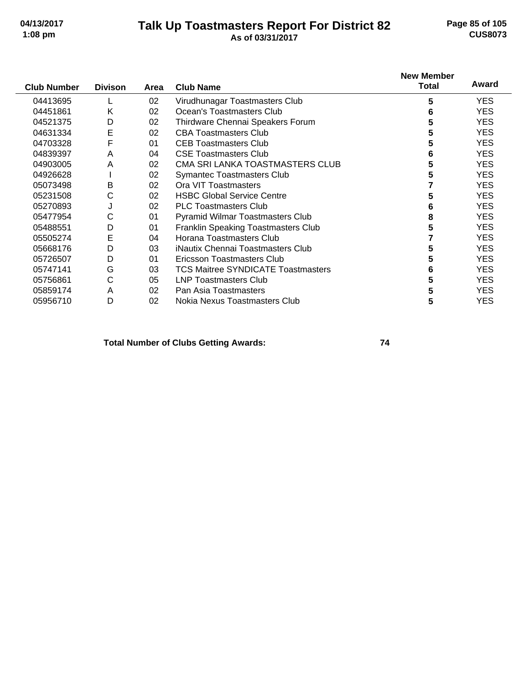#### **Talk Up Toastmasters Report For District 82 04/13/2017 Page 85 of 105 1:08 pm As of 03/31/2017 CUS8073**

| <b>Club Number</b> | <b>Divison</b> | Area | <b>Club Name</b>                           | <b>New Member</b><br>Total | Award      |
|--------------------|----------------|------|--------------------------------------------|----------------------------|------------|
|                    |                |      |                                            |                            |            |
| 04413695           |                | 02   | Virudhunagar Toastmasters Club             | 5                          | <b>YES</b> |
| 04451861           | K              | 02   | Ocean's Toastmasters Club                  | 6                          | <b>YES</b> |
| 04521375           | D              | 02   | Thirdware Chennai Speakers Forum           | 5                          | YES.       |
| 04631334           | E              | 02   | <b>CBA Toastmasters Club</b>               | 5                          | <b>YES</b> |
| 04703328           | F              | 01   | <b>CEB Toastmasters Club</b>               | 5                          | <b>YES</b> |
| 04839397           | A              | 04   | <b>CSE Toastmasters Club</b>               | 6                          | <b>YES</b> |
| 04903005           | Α              | 02   | CMA SRI LANKA TOASTMASTERS CLUB            | 5                          | <b>YES</b> |
| 04926628           |                | 02   | <b>Symantec Toastmasters Club</b>          | 5                          | <b>YES</b> |
| 05073498           | B              | 02   | Ora VIT Toastmasters                       |                            | <b>YES</b> |
| 05231508           | С              | 02   | <b>HSBC Global Service Centre</b>          | 5                          | <b>YES</b> |
| 05270893           | J              | 02   | <b>PLC Toastmasters Club</b>               | 6                          | <b>YES</b> |
| 05477954           | С              | 01   | Pyramid Wilmar Toastmasters Club           | 8                          | <b>YES</b> |
| 05488551           | D              | 01   | <b>Franklin Speaking Toastmasters Club</b> | 5                          | <b>YES</b> |
| 05505274           | E              | 04   | Horana Toastmasters Club                   |                            | <b>YES</b> |
| 05668176           | D              | 03   | iNautix Chennai Toastmasters Club          | 5                          | <b>YES</b> |
| 05726507           | D              | 01   | Ericsson Toastmasters Club                 | 5                          | <b>YES</b> |
| 05747141           | G              | 03   | <b>TCS Maitree SYNDICATE Toastmasters</b>  | 6                          | <b>YES</b> |
| 05756861           | C              | 05   | LNP Toastmasters Club                      | 5                          | <b>YES</b> |
| 05859174           | A              | 02   | Pan Asia Toastmasters                      | 5                          | <b>YES</b> |
| 05956710           | D              | 02   | Nokia Nexus Toastmasters Club              | 5                          | <b>YES</b> |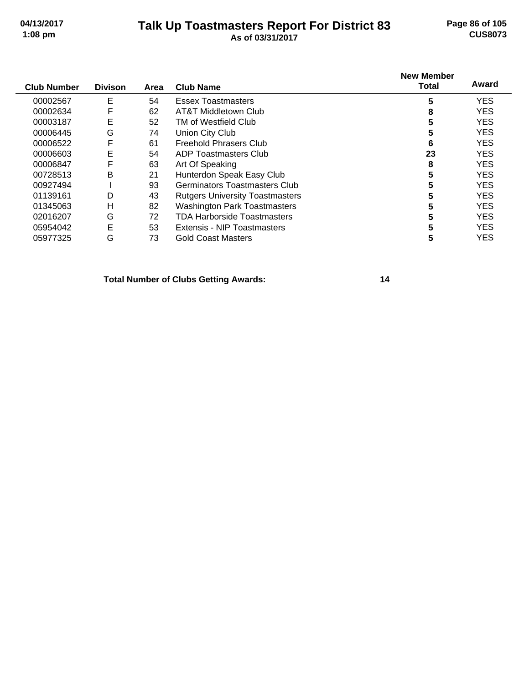#### **Talk Up Toastmasters Report For District 83 04/13/2017 Page 86 of 105 1:08 pm As of 03/31/2017 CUS8073**

| <b>Club Number</b> | <b>Divison</b> | Area | <b>Club Name</b>                       | <b>New Member</b><br><b>Total</b> | Award      |
|--------------------|----------------|------|----------------------------------------|-----------------------------------|------------|
| 00002567           | Ε              | 54   | <b>Essex Toastmasters</b>              | 5                                 | <b>YES</b> |
| 00002634           | F              | 62   | AT&T Middletown Club                   | 8                                 | <b>YES</b> |
| 00003187           | E              | 52   | TM of Westfield Club                   |                                   | <b>YES</b> |
| 00006445           | G              | 74   | Union City Club                        |                                   | <b>YES</b> |
| 00006522           | F              | 61   | <b>Freehold Phrasers Club</b>          | 6                                 | <b>YES</b> |
| 00006603           | E              | 54   | ADP Toastmasters Club                  | 23                                | <b>YES</b> |
| 00006847           | F              | 63   | Art Of Speaking                        | 8                                 | <b>YES</b> |
| 00728513           | В              | 21   | Hunterdon Speak Easy Club              | 5                                 | <b>YES</b> |
| 00927494           |                | 93   | <b>Germinators Toastmasters Club</b>   | 5                                 | <b>YES</b> |
| 01139161           | D              | 43   | <b>Rutgers University Toastmasters</b> | 5                                 | <b>YES</b> |
| 01345063           | н              | 82   | <b>Washington Park Toastmasters</b>    |                                   | <b>YES</b> |
| 02016207           | G              | 72   | TDA Harborside Toastmasters            | 5                                 | <b>YES</b> |
| 05954042           | E              | 53   | Extensis - NIP Toastmasters            | 5                                 | <b>YES</b> |
| 05977325           | G              | 73   | <b>Gold Coast Masters</b>              | 5                                 | <b>YES</b> |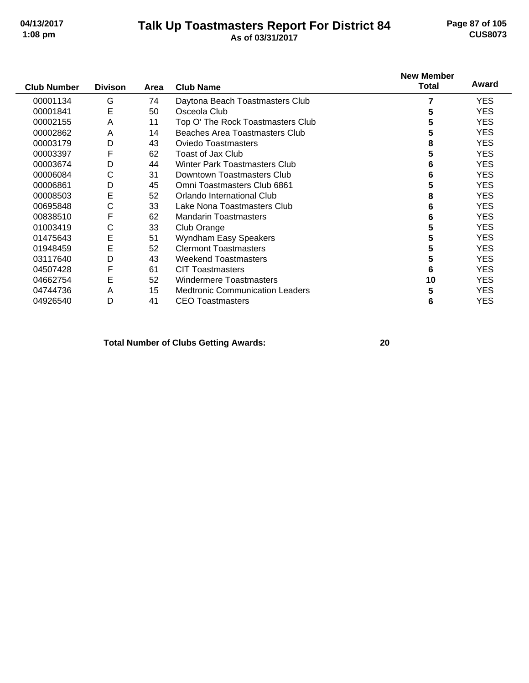#### **Talk Up Toastmasters Report For District 84 04/13/2017 Page 87 of 105 1:08 pm As of 03/31/2017 CUS8073**

|                    |                |      |                                        | <b>New Member</b> | Award      |
|--------------------|----------------|------|----------------------------------------|-------------------|------------|
| <b>Club Number</b> | <b>Divison</b> | Area | <b>Club Name</b>                       | <b>Total</b>      |            |
| 00001134           | G              | 74   | Daytona Beach Toastmasters Club        |                   | <b>YES</b> |
| 00001841           | E              | 50   | Osceola Club                           | 5                 | <b>YES</b> |
| 00002155           | Α              | 11   | Top O' The Rock Toastmasters Club      | 5                 | <b>YES</b> |
| 00002862           | A              | 14   | Beaches Area Toastmasters Club         | 5                 | <b>YES</b> |
| 00003179           | D              | 43   | <b>Oviedo Toastmasters</b>             | 8                 | <b>YES</b> |
| 00003397           | F              | 62   | Toast of Jax Club                      | 5                 | <b>YES</b> |
| 00003674           | D              | 44   | Winter Park Toastmasters Club          | 6                 | <b>YES</b> |
| 00006084           | С              | 31   | Downtown Toastmasters Club             | 6                 | <b>YES</b> |
| 00006861           | D              | 45   | Omni Toastmasters Club 6861            | 5                 | <b>YES</b> |
| 00008503           | E              | 52   | Orlando International Club             | 8                 | <b>YES</b> |
| 00695848           | С              | 33   | Lake Nona Toastmasters Club            | 6                 | <b>YES</b> |
| 00838510           | F              | 62   | <b>Mandarin Toastmasters</b>           | 6                 | <b>YES</b> |
| 01003419           | С              | 33   | Club Orange                            | 5                 | <b>YES</b> |
| 01475643           | E              | 51   | Wyndham Easy Speakers                  | 5                 | <b>YES</b> |
| 01948459           | E              | 52   | <b>Clermont Toastmasters</b>           | 5                 | <b>YES</b> |
| 03117640           | D              | 43   | <b>Weekend Toastmasters</b>            | 5                 | <b>YES</b> |
| 04507428           | F              | 61   | <b>CIT Toastmasters</b>                | 6                 | <b>YES</b> |
| 04662754           | Е              | 52   | <b>Windermere Toastmasters</b>         | 10                | <b>YES</b> |
| 04744736           | Α              | 15   | <b>Medtronic Communication Leaders</b> | 5                 | <b>YES</b> |
| 04926540           | D              | 41   | <b>CEO Toastmasters</b>                | 6                 | <b>YES</b> |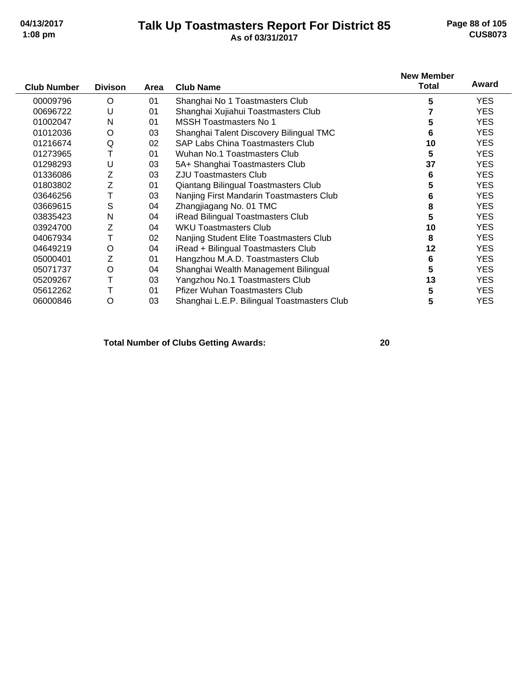#### **Talk Up Toastmasters Report For District 85 04/13/2017 Page 88 of 105 1:08 pm As of 03/31/2017 CUS8073**

|                    |                |      |                                             | <b>New Member</b> |            |
|--------------------|----------------|------|---------------------------------------------|-------------------|------------|
| <b>Club Number</b> | <b>Divison</b> | Area | <b>Club Name</b>                            | <b>Total</b>      | Award      |
| 00009796           | O              | 01   | Shanghai No 1 Toastmasters Club             | 5                 | <b>YES</b> |
| 00696722           | U              | 01   | Shanghai Xujiahui Toastmasters Club         |                   | <b>YES</b> |
| 01002047           | N              | 01   | <b>MSSH Toastmasters No 1</b>               | 5                 | <b>YES</b> |
| 01012036           | O              | 03   | Shanghai Talent Discovery Bilingual TMC     | 6                 | <b>YES</b> |
| 01216674           | Q              | 02   | <b>SAP Labs China Toastmasters Club</b>     | 10                | <b>YES</b> |
| 01273965           | Т              | 01   | Wuhan No.1 Toastmasters Club                | 5                 | <b>YES</b> |
| 01298293           | U              | 03   | 5A+ Shanghai Toastmasters Club              | 37                | <b>YES</b> |
| 01336086           | Z              | 03   | <b>ZJU Toastmasters Club</b>                | 6                 | <b>YES</b> |
| 01803802           | Ζ              | 01   | Qiantang Bilingual Toastmasters Club        | 5                 | <b>YES</b> |
| 03646256           |                | 03   | Nanjing First Mandarin Toastmasters Club    | 6                 | <b>YES</b> |
| 03669615           | S              | 04   | Zhangjiagang No. 01 TMC                     | 8                 | <b>YES</b> |
| 03835423           | $\mathsf{N}$   | 04   | iRead Bilingual Toastmasters Club           | 5                 | <b>YES</b> |
| 03924700           | Z              | 04   | <b>WKU Toastmasters Club</b>                | 10                | <b>YES</b> |
| 04067934           | Т              | 02   | Nanjing Student Elite Toastmasters Club     | 8                 | <b>YES</b> |
| 04649219           | O              | 04   | iRead + Bilingual Toastmasters Club         | 12                | <b>YES</b> |
| 05000401           | Z              | 01   | Hangzhou M.A.D. Toastmasters Club           | 6                 | <b>YES</b> |
| 05071737           | O              | 04   | Shanghai Wealth Management Bilingual        | 5                 | <b>YES</b> |
| 05209267           | Т              | 03   | Yangzhou No.1 Toastmasters Club             | 13                | <b>YES</b> |
| 05612262           |                | 01   | <b>Pfizer Wuhan Toastmasters Club</b>       | 5                 | <b>YES</b> |
| 06000846           | O              | 03   | Shanghai L.E.P. Bilingual Toastmasters Club | 5                 | <b>YES</b> |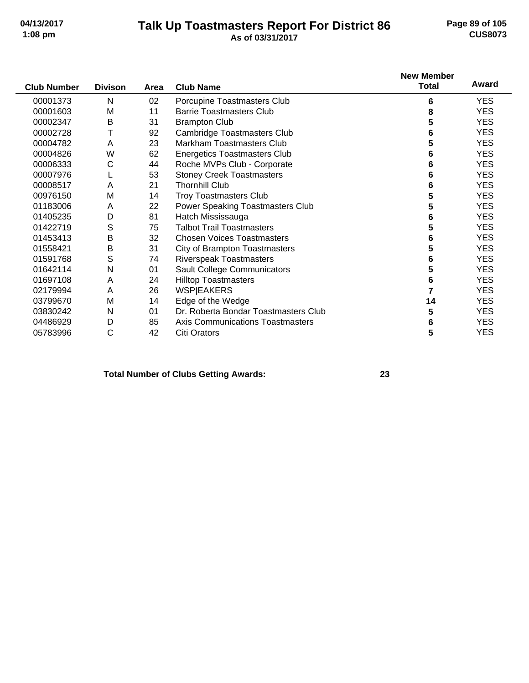#### **Talk Up Toastmasters Report For District 86 04/13/2017 Page 89 of 105 1:08 pm As of 03/31/2017 CUS8073**

|                    |                |      |                                      | <b>New Member</b> |            |
|--------------------|----------------|------|--------------------------------------|-------------------|------------|
| <b>Club Number</b> | <b>Divison</b> | Area | <b>Club Name</b>                     | <b>Total</b>      | Award      |
| 00001373           | N              | 02   | Porcupine Toastmasters Club          | 6                 | <b>YES</b> |
| 00001603           | M              | 11   | <b>Barrie Toastmasters Club</b>      | 8                 | <b>YES</b> |
| 00002347           | Β              | 31   | <b>Brampton Club</b>                 | 5                 | <b>YES</b> |
| 00002728           | Т              | 92   | Cambridge Toastmasters Club          | 6                 | <b>YES</b> |
| 00004782           | A              | 23   | <b>Markham Toastmasters Club</b>     | 5                 | <b>YES</b> |
| 00004826           | W              | 62   | <b>Energetics Toastmasters Club</b>  | 6                 | <b>YES</b> |
| 00006333           | С              | 44   | Roche MVPs Club - Corporate          | 6                 | <b>YES</b> |
| 00007976           |                | 53   | <b>Stoney Creek Toastmasters</b>     | 6                 | <b>YES</b> |
| 00008517           | Α              | 21   | <b>Thornhill Club</b>                | 6                 | <b>YES</b> |
| 00976150           | M              | 14   | <b>Troy Toastmasters Club</b>        | 5                 | <b>YES</b> |
| 01183006           | A              | 22   | Power Speaking Toastmasters Club     | 5                 | <b>YES</b> |
| 01405235           | D              | 81   | Hatch Mississauga                    | 6                 | <b>YES</b> |
| 01422719           | S              | 75   | <b>Talbot Trail Toastmasters</b>     | 5                 | <b>YES</b> |
| 01453413           | B              | 32   | <b>Chosen Voices Toastmasters</b>    | 6                 | <b>YES</b> |
| 01558421           | B              | 31   | <b>City of Brampton Toastmasters</b> | 5                 | <b>YES</b> |
| 01591768           | S              | 74   | Riverspeak Toastmasters              | 6                 | <b>YES</b> |
| 01642114           | N              | 01   | Sault College Communicators          | 5                 | <b>YES</b> |
| 01697108           | Α              | 24   | <b>Hilltop Toastmasters</b>          | 6                 | <b>YES</b> |
| 02179994           | A              | 26   | <b>WSPIEAKERS</b>                    | $\overline{7}$    | <b>YES</b> |
| 03799670           | M              | 14   | Edge of the Wedge                    | 14                | <b>YES</b> |
| 03830242           | N              | 01   | Dr. Roberta Bondar Toastmasters Club | 5                 | <b>YES</b> |
| 04486929           | D              | 85   | Axis Communications Toastmasters     | 6                 | <b>YES</b> |
| 05783996           | С              | 42   | <b>Citi Orators</b>                  | 5                 | <b>YES</b> |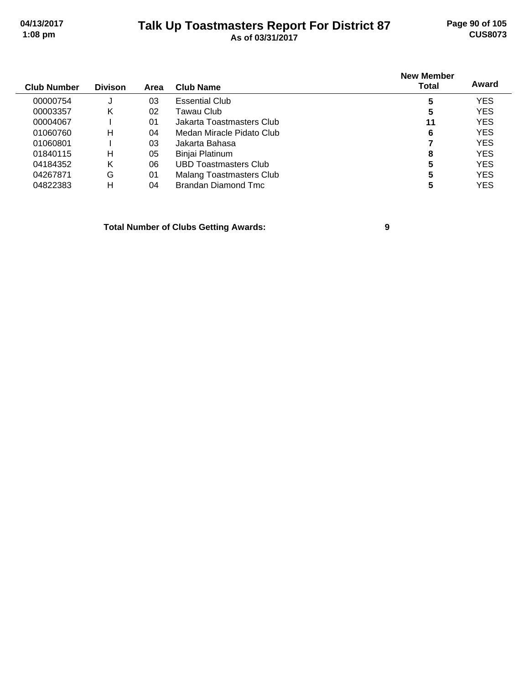### **Talk Up Toastmasters Report For District 87 04/13/2017 Page 90 of 105 1:08 pm As of 03/31/2017 CUS8073**

| <b>Club Number</b> | <b>Divison</b> | Area | <b>Club Name</b>          | <b>New Member</b><br><b>Total</b> | Award      |
|--------------------|----------------|------|---------------------------|-----------------------------------|------------|
| 00000754           | J              | 03   | <b>Essential Club</b>     | 5                                 | <b>YES</b> |
| 00003357           | κ              | 02   | Tawau Club.               | 5                                 | <b>YES</b> |
| 00004067           |                | 01   | Jakarta Toastmasters Club | 11                                | <b>YES</b> |
| 01060760           | н              | 04   | Medan Miracle Pidato Club | 6                                 | <b>YES</b> |
| 01060801           |                | 03   | Jakarta Bahasa            |                                   | <b>YES</b> |
| 01840115           | н              | 05   | Binjai Platinum           | 8                                 | <b>YES</b> |
| 04184352           | Κ              | 06   | UBD Toastmasters Club     | 5                                 | <b>YES</b> |
| 04267871           | G              | 01   | Malang Toastmasters Club  | 5                                 | <b>YES</b> |
| 04822383           | н              | 04   | Brandan Diamond Tmc       |                                   | <b>YES</b> |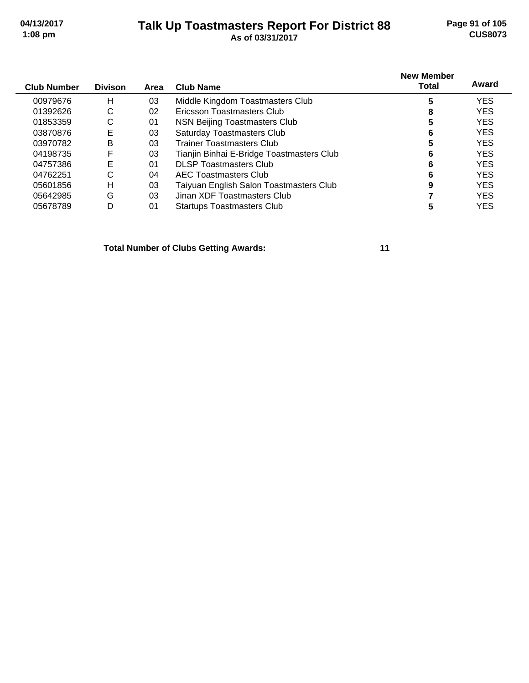#### **Talk Up Toastmasters Report For District 88 04/13/2017 Page 91 of 105 1:08 pm As of 03/31/2017 CUS8073**

| <b>Club Number</b> | <b>Divison</b> | Area | <b>Club Name</b>                          | <b>New Member</b><br>Total | Award      |
|--------------------|----------------|------|-------------------------------------------|----------------------------|------------|
| 00979676           | н              | 03   | Middle Kingdom Toastmasters Club          | 5                          | <b>YES</b> |
| 01392626           | С              | 02   | Ericsson Toastmasters Club                | 8                          | <b>YES</b> |
| 01853359           | С              | 01   | NSN Beijing Toastmasters Club             | 5                          | <b>YES</b> |
| 03870876           | Е              | 03   | <b>Saturday Toastmasters Club</b>         | 6                          | <b>YES</b> |
| 03970782           | B              | 03   | Trainer Toastmasters Club                 |                            | <b>YES</b> |
| 04198735           | F              | 03   | Tianjin Binhai E-Bridge Toastmasters Club | 6                          | <b>YES</b> |
| 04757386           | E              | 01   | <b>DLSP Toastmasters Club</b>             | 6                          | <b>YES</b> |
| 04762251           | С              | 04   | AEC Toastmasters Club                     |                            | <b>YES</b> |
| 05601856           | н              | 03   | Taiyuan English Salon Toastmasters Club   | 9                          | <b>YES</b> |
| 05642985           | G              | 03   | Jinan XDF Toastmasters Club               |                            | <b>YES</b> |
| 05678789           | D              | 01   | <b>Startups Toastmasters Club</b>         | 5                          | YES        |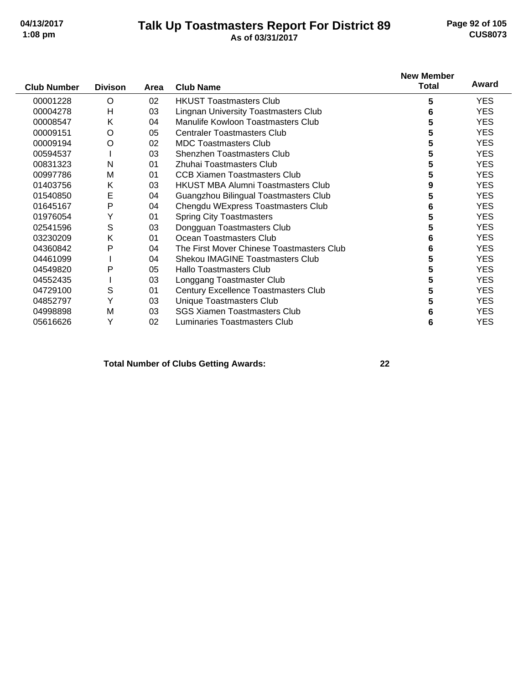#### **Talk Up Toastmasters Report For District 89 04/13/2017 Page 92 of 105 1:08 pm As of 03/31/2017 CUS8073**

|                    |                |      |                                             | <b>New Member</b> |            |
|--------------------|----------------|------|---------------------------------------------|-------------------|------------|
| <b>Club Number</b> | <b>Divison</b> | Area | <b>Club Name</b>                            | <b>Total</b>      | Award      |
| 00001228           | O              | 02   | <b>HKUST Toastmasters Club</b>              | 5                 | <b>YES</b> |
| 00004278           | H              | 03   | <b>Lingnan University Toastmasters Club</b> | 6                 | <b>YES</b> |
| 00008547           | Κ              | 04   | Manulife Kowloon Toastmasters Club          | 5                 | <b>YES</b> |
| 00009151           | O              | 05   | <b>Centraler Toastmasters Club</b>          | 5                 | <b>YES</b> |
| 00009194           | O              | 02   | <b>MDC Toastmasters Club</b>                | 5                 | <b>YES</b> |
| 00594537           |                | 03   | Shenzhen Toastmasters Club                  | 5                 | <b>YES</b> |
| 00831323           | N              | 01   | Zhuhai Toastmasters Club                    | 5                 | <b>YES</b> |
| 00997786           | M              | 01   | <b>CCB Xiamen Toastmasters Club</b>         | 5                 | <b>YES</b> |
| 01403756           | K              | 03   | <b>HKUST MBA Alumni Toastmasters Club</b>   | 9                 | <b>YES</b> |
| 01540850           | Е              | 04   | Guangzhou Bilingual Toastmasters Club       | 5                 | <b>YES</b> |
| 01645167           | P              | 04   | Chengdu WExpress Toastmasters Club          | 6                 | <b>YES</b> |
| 01976054           | Y              | 01   | <b>Spring City Toastmasters</b>             | 5                 | <b>YES</b> |
| 02541596           | S              | 03   | Dongguan Toastmasters Club                  | 5                 | <b>YES</b> |
| 03230209           | K              | 01   | Ocean Toastmasters Club                     | 6                 | <b>YES</b> |
| 04360842           | P              | 04   | The First Mover Chinese Toastmasters Club   | 6                 | <b>YES</b> |
| 04461099           |                | 04   | <b>Shekou IMAGINE Toastmasters Club</b>     | 5                 | <b>YES</b> |
| 04549820           | P              | 05   | <b>Hallo Toastmasters Club</b>              | 5                 | <b>YES</b> |
| 04552435           |                | 03   | Longgang Toastmaster Club                   | 5                 | <b>YES</b> |
| 04729100           | S              | 01   | Century Excellence Toastmasters Club        | 5                 | <b>YES</b> |
| 04852797           | Y              | 03   | Unique Toastmasters Club                    | 5                 | <b>YES</b> |
| 04998898           | M              | 03   | <b>SGS Xiamen Toastmasters Club</b>         | 6                 | <b>YES</b> |
| 05616626           | Y              | 02   | Luminaries Toastmasters Club                | 6                 | <b>YES</b> |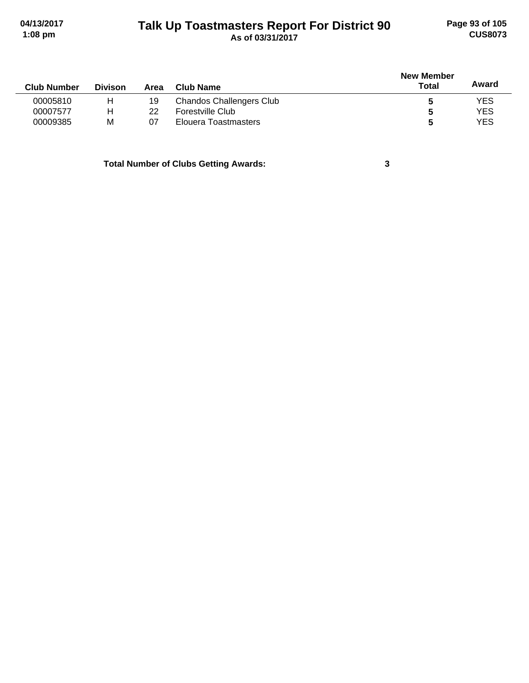# **Talk Up Toastmasters Report For District 90 04/13/2017 Page 93 of 105 1:08 pm As of 03/31/2017 CUS8073**

|                    |                |      |                                 | <b>New Member</b> |            |  |
|--------------------|----------------|------|---------------------------------|-------------------|------------|--|
| <b>Club Number</b> | <b>Divison</b> | Area | <b>Club Name</b>                | Total             | Award      |  |
| 00005810           | н              | 19   | <b>Chandos Challengers Club</b> |                   | <b>YES</b> |  |
| 00007577           | н              | 22   | Forestville Club                | b                 | <b>YES</b> |  |
| 00009385           | M              | 07   | Elouera Toastmasters            | 5                 | YES        |  |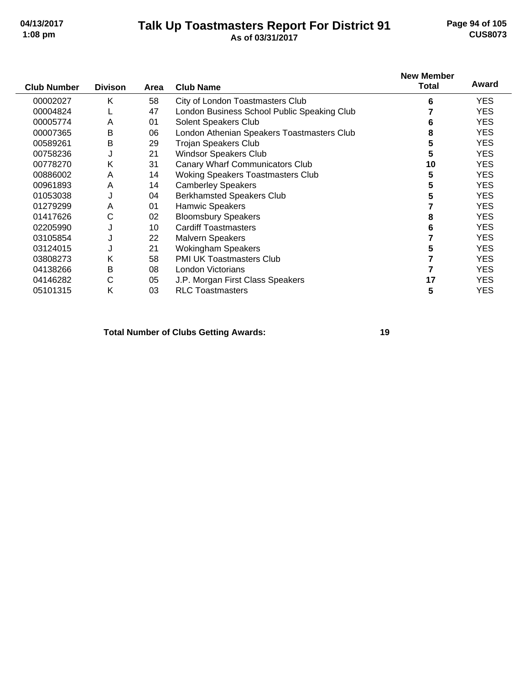#### **Talk Up Toastmasters Report For District 91 04/13/2017 Page 94 of 105 1:08 pm As of 03/31/2017 CUS8073**

| <b>Club Number</b> | <b>Divison</b> | Area | <b>Club Name</b>                            | <b>New Member</b><br>Total | Award      |
|--------------------|----------------|------|---------------------------------------------|----------------------------|------------|
| 00002027           | Κ              | 58   | City of London Toastmasters Club            | 6                          | <b>YES</b> |
| 00004824           |                | 47   | London Business School Public Speaking Club |                            | <b>YES</b> |
| 00005774           | A              | 01   | Solent Speakers Club                        | 6                          | <b>YES</b> |
| 00007365           | B              | 06   | London Athenian Speakers Toastmasters Club  | 8                          | <b>YES</b> |
| 00589261           | B              | 29   | <b>Trojan Speakers Club</b>                 | 5                          | <b>YES</b> |
| 00758236           | J              | 21   | Windsor Speakers Club                       | 5                          | <b>YES</b> |
| 00778270           | Κ              | 31   | Canary Wharf Communicators Club             | 10                         | <b>YES</b> |
| 00886002           | A              | 14   | <b>Woking Speakers Toastmasters Club</b>    | 5                          | <b>YES</b> |
| 00961893           | A              | 14   | <b>Camberley Speakers</b>                   | 5                          | <b>YES</b> |
| 01053038           | J              | 04   | <b>Berkhamsted Speakers Club</b>            | 5                          | <b>YES</b> |
| 01279299           | A              | 01   | Hamwic Speakers                             |                            | <b>YES</b> |
| 01417626           | С              | 02   | <b>Bloomsbury Speakers</b>                  | 8                          | <b>YES</b> |
| 02205990           | J              | 10   | <b>Cardiff Toastmasters</b>                 | 6                          | <b>YES</b> |
| 03105854           | J              | 22   | <b>Malvern Speakers</b>                     |                            | YES.       |
| 03124015           | J              | 21   | <b>Wokingham Speakers</b>                   | 5                          | <b>YES</b> |
| 03808273           | Κ              | 58   | PMI UK Toastmasters Club                    |                            | <b>YES</b> |
| 04138266           | B              | 08   | London Victorians                           |                            | <b>YES</b> |
| 04146282           | С              | 05   | J.P. Morgan First Class Speakers            | 17                         | <b>YES</b> |
| 05101315           | K              | 03   | <b>RLC Toastmasters</b>                     | 5                          | YES        |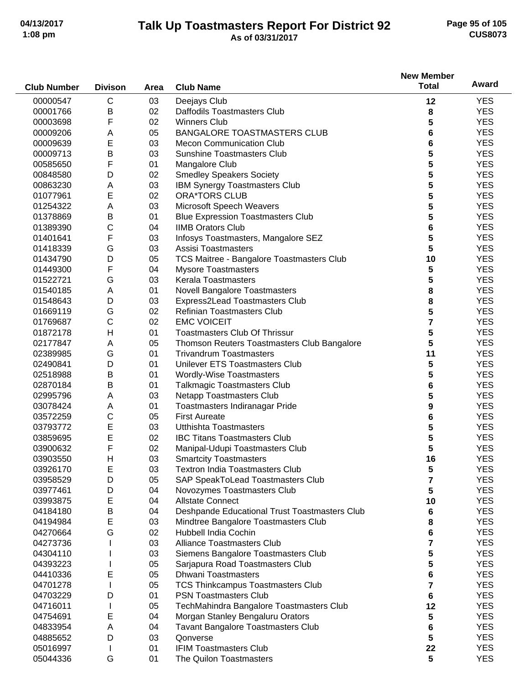# **Talk Up Toastmasters Report For District 92 04/13/2017 Page 95 of 105**

# **1:08 pm As of 03/31/2017 CUS8073**

|                    |                |      |                                               | <b>New Member</b> |            |
|--------------------|----------------|------|-----------------------------------------------|-------------------|------------|
| <b>Club Number</b> | <b>Divison</b> | Area | <b>Club Name</b>                              | <b>Total</b>      | Award      |
| 00000547           | C              | 03   | Deejays Club                                  | 12                | <b>YES</b> |
| 00001766           | B              | 02   | Daffodils Toastmasters Club                   | 8                 | <b>YES</b> |
| 00003698           | F              | 02   | <b>Winners Club</b>                           | 5                 | <b>YES</b> |
| 00009206           | A              | 05   | <b>BANGALORE TOASTMASTERS CLUB</b>            | 6                 | <b>YES</b> |
| 00009639           | E              | 03   | <b>Mecon Communication Club</b>               | 6                 | <b>YES</b> |
| 00009713           | B              | 03   | <b>Sunshine Toastmasters Club</b>             | 5                 | <b>YES</b> |
| 00585650           | F              | 01   | Mangalore Club                                | 5                 | <b>YES</b> |
| 00848580           | D              | 02   | <b>Smedley Speakers Society</b>               | 5                 | <b>YES</b> |
| 00863230           | Α              | 03   | IBM Synergy Toastmasters Club                 | 5                 | <b>YES</b> |
| 01077961           | E              | 02   | <b>ORA*TORS CLUB</b>                          | 5                 | <b>YES</b> |
| 01254322           | Α              | 03   | Microsoft Speech Weavers                      | 5                 | <b>YES</b> |
| 01378869           | B              | 01   | <b>Blue Expression Toastmasters Club</b>      | 5                 | <b>YES</b> |
| 01389390           | $\mathsf{C}$   | 04   | <b>IIMB Orators Club</b>                      | 6                 | <b>YES</b> |
| 01401641           | F              | 03   | Infosys Toastmasters, Mangalore SEZ           | 5                 | <b>YES</b> |
| 01418339           | G              | 03   | Assisi Toastmasters                           | 5                 | <b>YES</b> |
| 01434790           | D              | 05   | TCS Maitree - Bangalore Toastmasters Club     | 10                | <b>YES</b> |
| 01449300           | F              | 04   | <b>Mysore Toastmasters</b>                    | 5                 | <b>YES</b> |
| 01522721           | G              | 03   | <b>Kerala Toastmasters</b>                    | 5                 | <b>YES</b> |
| 01540185           | A              | 01   | <b>Novell Bangalore Toastmasters</b>          | 8                 | <b>YES</b> |
| 01548643           | D              | 03   | Express2Lead Toastmasters Club                | 8                 | <b>YES</b> |
| 01669119           | G              | 02   | <b>Refinian Toastmasters Club</b>             | 5                 | <b>YES</b> |
| 01769687           | C              | 02   | <b>EMC VOICEIT</b>                            | 7                 | <b>YES</b> |
| 01872178           | $\mathsf{H}$   | 01   | Toastmasters Club Of Thrissur                 | 5                 | <b>YES</b> |
| 02177847           | Α              | 05   | Thomson Reuters Toastmasters Club Bangalore   | 5                 | <b>YES</b> |
| 02389985           | G              | 01   | <b>Trivandrum Toastmasters</b>                | 11                | <b>YES</b> |
| 02490841           | D              | 01   | Unilever ETS Toastmasters Club                | 5                 | <b>YES</b> |
| 02518988           | B              | 01   | Wordly-Wise Toastmasters                      | 5                 | <b>YES</b> |
| 02870184           | B              | 01   | <b>Talkmagic Toastmasters Club</b>            | 6                 | <b>YES</b> |
| 02995796           | A              | 03   | <b>Netapp Toastmasters Club</b>               | 5                 | <b>YES</b> |
| 03078424           | Α              | 01   | Toastmasters Indiranagar Pride                | 9                 | <b>YES</b> |
| 03572259           | $\mathsf C$    | 05   | <b>First Aureate</b>                          | 6                 | <b>YES</b> |
| 03793772           | E              | 03   | <b>Utthishta Toastmasters</b>                 | 5                 | <b>YES</b> |
| 03859695           | E              | 02   | <b>IBC Titans Toastmasters Club</b>           | 5                 | <b>YES</b> |
| 03900632           | F              | 02   | Manipal-Udupi Toastmasters Club               | 5                 | <b>YES</b> |
| 03903550           | H              | 03   | <b>Smartcity Toastmasters</b>                 | 16                | <b>YES</b> |
| 03926170           | E              | 03   | <b>Textron India Toastmasters Club</b>        | 5                 | <b>YES</b> |
| 03958529           | D              | 05   | SAP SpeakToLead Toastmasters Club             | 7                 | <b>YES</b> |
| 03977461           | D              | 04   | Novozymes Toastmasters Club                   | 5                 | <b>YES</b> |
| 03993875           | Е              | 04   | <b>Allstate Connect</b>                       | 10                | <b>YES</b> |
| 04184180           | B              | 04   | Deshpande Educational Trust Toastmasters Club | 6                 | <b>YES</b> |
| 04194984           | E              | 03   | Mindtree Bangalore Toastmasters Club          | 8                 | <b>YES</b> |
| 04270664           | G              | 02   | Hubbell India Cochin                          | 6                 | <b>YES</b> |
| 04273736           |                | 03   | <b>Alliance Toastmasters Club</b>             | 7                 | <b>YES</b> |
| 04304110           |                | 03   | Siemens Bangalore Toastmasters Club           | 5                 | <b>YES</b> |
| 04393223           |                | 05   | Sarjapura Road Toastmasters Club              | 5                 | <b>YES</b> |
| 04410336           | E              | 05   | <b>Dhwani Toastmasters</b>                    | 6                 | <b>YES</b> |
| 04701278           |                | 05   | <b>TCS Thinkcampus Toastmasters Club</b>      | 7                 | <b>YES</b> |
| 04703229           | D              | 01   | <b>PSN Toastmasters Club</b>                  | 6                 | <b>YES</b> |
| 04716011           |                | 05   | TechMahindra Bangalore Toastmasters Club      | 12                | <b>YES</b> |
| 04754691           | Е              | 04   | Morgan Stanley Bengaluru Orators              | 5                 | <b>YES</b> |
| 04833954           | Α              | 04   | Tavant Bangalore Toastmasters Club            | 6                 | <b>YES</b> |
| 04885652           | D              | 03   | Qonverse                                      | 5                 | <b>YES</b> |
| 05016997           |                | 01   | <b>IFIM Toastmasters Club</b>                 | 22                | <b>YES</b> |
| 05044336           | G              | 01   | The Quilon Toastmasters                       | 5                 | <b>YES</b> |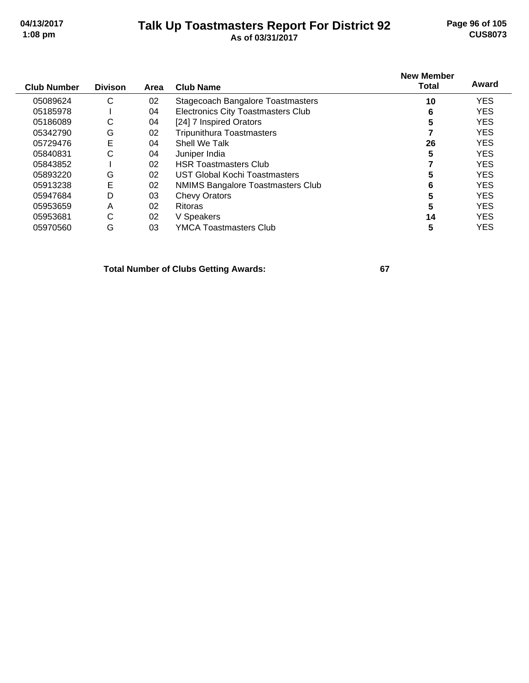#### **Talk Up Toastmasters Report For District 92 04/13/2017 Page 96 of 105 1:08 pm As of 03/31/2017 CUS8073**

|                    |                |      |                                           | <b>New Member</b> |            |
|--------------------|----------------|------|-------------------------------------------|-------------------|------------|
| <b>Club Number</b> | <b>Divison</b> | Area | <b>Club Name</b>                          | <b>Total</b>      | Award      |
| 05089624           | С              | 02   | <b>Stagecoach Bangalore Toastmasters</b>  | 10                | <b>YES</b> |
| 05185978           |                | 04   | <b>Electronics City Toastmasters Club</b> | 6                 | <b>YES</b> |
| 05186089           | С              | 04   | [24] 7 Inspired Orators                   | 5                 | <b>YES</b> |
| 05342790           | G              | 02   | <b>Tripunithura Toastmasters</b>          |                   | <b>YES</b> |
| 05729476           | Е              | 04   | Shell We Talk                             | 26                | <b>YES</b> |
| 05840831           | С              | 04   | Juniper India                             | 5                 | <b>YES</b> |
| 05843852           |                | 02   | <b>HSR Toastmasters Club</b>              |                   | <b>YES</b> |
| 05893220           | G              | 02   | UST Global Kochi Toastmasters             | 5                 | <b>YES</b> |
| 05913238           | E              | 02   | <b>NMIMS Bangalore Toastmasters Club</b>  | 6                 | <b>YES</b> |
| 05947684           | D              | 03   | <b>Chevy Orators</b>                      | 5                 | <b>YES</b> |
| 05953659           | Α              | 02   | <b>Ritoras</b>                            | 5                 | <b>YES</b> |
| 05953681           | С              | 02   | V Speakers                                | 14                | <b>YES</b> |
| 05970560           | G              | 03   | <b>YMCA Toastmasters Club</b>             | 5                 | <b>YES</b> |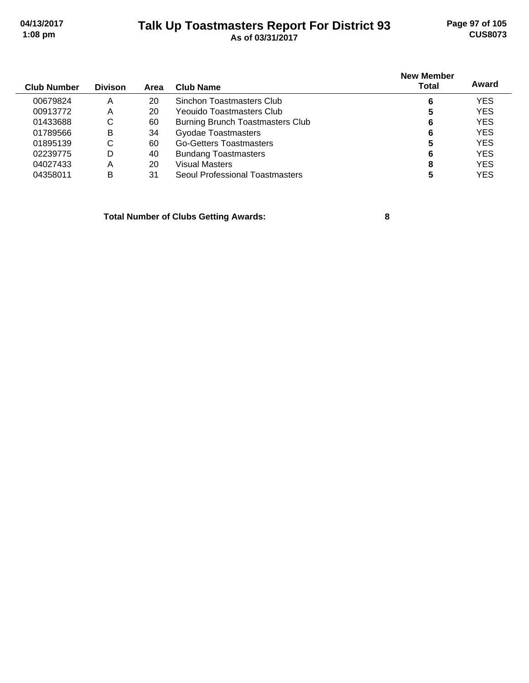### **Talk Up Toastmasters Report For District 93 04/13/2017 Page 97 of 105 1:08 pm As of 03/31/2017 CUS8073**

| <b>Club Number</b> | <b>Divison</b> | Area | Club Name                        | <b>New Member</b><br>Total | Award      |
|--------------------|----------------|------|----------------------------------|----------------------------|------------|
| 00679824           | A              | 20   | Sinchon Toastmasters Club        | 6                          | <b>YES</b> |
| 00913772           | Α              | 20   | Yeouido Toastmasters Club        | 5                          | <b>YES</b> |
| 01433688           | С              | 60   | Burning Brunch Toastmasters Club | 6                          | <b>YES</b> |
| 01789566           | B              | 34   | <b>Gyodae Toastmasters</b>       | 6                          | <b>YES</b> |
| 01895139           | С              | 60   | <b>Go-Getters Toastmasters</b>   |                            | <b>YES</b> |
| 02239775           | D              | 40   | <b>Bundang Toastmasters</b>      | 6                          | <b>YES</b> |
| 04027433           | Α              | 20   | Visual Masters                   | 8                          | <b>YES</b> |
| 04358011           | B              | 31   | Seoul Professional Toastmasters  | 5                          | <b>YES</b> |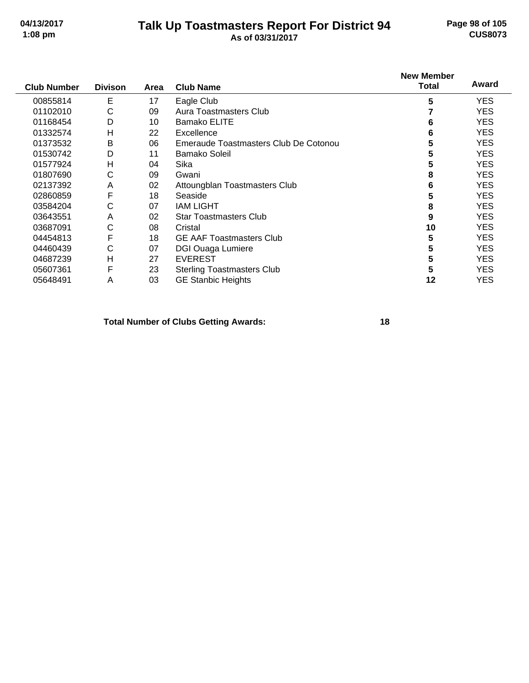### **Talk Up Toastmasters Report For District 94 04/13/2017 Page 98 of 105 1:08 pm As of 03/31/2017 CUS8073**

| <b>Club Number</b> | <b>Divison</b> | Area | <b>Club Name</b>                      | <b>New Member</b><br><b>Total</b> | Award      |
|--------------------|----------------|------|---------------------------------------|-----------------------------------|------------|
| 00855814           | Е              | 17   | Eagle Club                            | 5                                 | <b>YES</b> |
| 01102010           | С              | 09   | Aura Toastmasters Club                |                                   | YES.       |
| 01168454           | D              | 10   | <b>Bamako ELITE</b>                   | 6                                 | <b>YES</b> |
| 01332574           | H              | 22   | Excellence                            | 6                                 | YES.       |
| 01373532           | B              | 06   | Emeraude Toastmasters Club De Cotonou | 5                                 | <b>YES</b> |
| 01530742           | D              | 11   | <b>Bamako Soleil</b>                  | 5                                 | <b>YES</b> |
| 01577924           | Н              | 04   | Sika                                  | 5                                 | YES.       |
| 01807690           | C              | 09   | Gwani                                 | 8                                 | <b>YES</b> |
| 02137392           | A              | 02   | Attoungblan Toastmasters Club         | 6                                 | <b>YES</b> |
| 02860859           | F              | 18   | Seaside                               | 5                                 | <b>YES</b> |
| 03584204           | С              | 07   | <b>IAM LIGHT</b>                      | 8                                 | <b>YES</b> |
| 03643551           | A              | 02   | <b>Star Toastmasters Club</b>         | 9                                 | <b>YES</b> |
| 03687091           | $\mathsf{C}$   | 08   | Cristal                               | 10                                | <b>YES</b> |
| 04454813           | F              | 18   | <b>GE AAF Toastmasters Club</b>       | 5                                 | <b>YES</b> |
| 04460439           | С              | 07   | <b>DGI Ouaga Lumiere</b>              | 5                                 | <b>YES</b> |
| 04687239           | H              | 27   | <b>EVEREST</b>                        | 5                                 | <b>YES</b> |
| 05607361           | F              | 23   | <b>Sterling Toastmasters Club</b>     | 5                                 | <b>YES</b> |
| 05648491           | A              | 03   | <b>GE Stanbic Heights</b>             | 12                                | <b>YES</b> |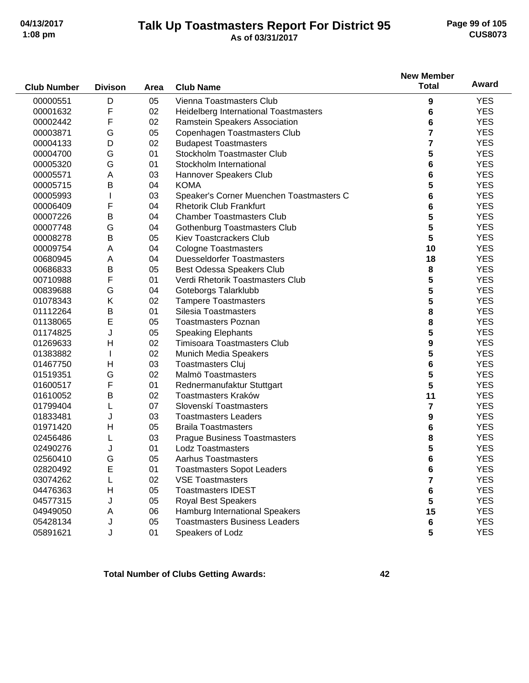#### **Talk Up Toastmasters Report For District 95 04/13/2017 Page 99 of 105 1:08 pm As of 03/31/2017 CUS8073**

|                    |                |      |                                          | <b>New Member</b>       |            |
|--------------------|----------------|------|------------------------------------------|-------------------------|------------|
| <b>Club Number</b> | <b>Divison</b> | Area | <b>Club Name</b>                         | <b>Total</b>            | Award      |
| 00000551           | D              | 05   | Vienna Toastmasters Club                 | 9                       | <b>YES</b> |
| 00001632           | F              | 02   | Heidelberg International Toastmasters    | 6                       | <b>YES</b> |
| 00002442           | F              | 02   | Ramstein Speakers Association            | 6                       | <b>YES</b> |
| 00003871           | G              | 05   | Copenhagen Toastmasters Club             | 7                       | <b>YES</b> |
| 00004133           | D              | 02   | <b>Budapest Toastmasters</b>             | 7                       | <b>YES</b> |
| 00004700           | G              | 01   | Stockholm Toastmaster Club               | 5                       | <b>YES</b> |
| 00005320           | G              | 01   | Stockholm International                  | 6                       | <b>YES</b> |
| 00005571           | Α              | 03   | Hannover Speakers Club                   | 6                       | <b>YES</b> |
| 00005715           | B              | 04   | <b>KOMA</b>                              | 5                       | <b>YES</b> |
| 00005993           |                | 03   | Speaker's Corner Muenchen Toastmasters C | 6                       | <b>YES</b> |
| 00006409           | F              | 04   | <b>Rhetorik Club Frankfurt</b>           | 6                       | <b>YES</b> |
| 00007226           | B              | 04   | <b>Chamber Toastmasters Club</b>         | 5                       | <b>YES</b> |
| 00007748           | G              | 04   | Gothenburg Toastmasters Club             | 5                       | <b>YES</b> |
| 00008278           | B              | 05   | <b>Kiev Toastcrackers Club</b>           | 5                       | <b>YES</b> |
| 00009754           | Α              | 04   | <b>Cologne Toastmasters</b>              | 10                      | <b>YES</b> |
| 00680945           | Α              | 04   | <b>Duesseldorfer Toastmasters</b>        | 18                      | <b>YES</b> |
| 00686833           | B              | 05   | Best Odessa Speakers Club                | 8                       | <b>YES</b> |
| 00710988           | F              | 01   | Verdi Rhetorik Toastmasters Club         | 5                       | <b>YES</b> |
| 00839688           | G              | 04   | Goteborgs Talarklubb                     | 5                       | <b>YES</b> |
| 01078343           | Κ              | 02   | <b>Tampere Toastmasters</b>              | 5                       | <b>YES</b> |
| 01112264           | B              | 01   | Silesia Toastmasters                     | 8                       | <b>YES</b> |
| 01138065           | E              | 05   | <b>Toastmasters Poznan</b>               | 8                       | <b>YES</b> |
| 01174825           | J              | 05   | <b>Speaking Elephants</b>                | 5                       | <b>YES</b> |
| 01269633           | Н              | 02   | <b>Timisoara Toastmasters Club</b>       | 9                       | <b>YES</b> |
| 01383882           |                | 02   | Munich Media Speakers                    | 5                       | <b>YES</b> |
| 01467750           | H              | 03   | <b>Toastmasters Cluj</b>                 | 6                       | <b>YES</b> |
| 01519351           | G              | 02   | Malmö Toastmasters                       | 5                       | <b>YES</b> |
| 01600517           | F              | 01   | Rednermanufaktur Stuttgart               | 5                       | <b>YES</b> |
| 01610052           | Β              | 02   | Toastmasters Kraków                      | 11                      | <b>YES</b> |
| 01799404           | L              | 07   | Slovenskí Toastmasters                   | $\overline{\mathbf{r}}$ | <b>YES</b> |
| 01833481           | J              | 03   | <b>Toastmasters Leaders</b>              | 9                       | <b>YES</b> |
| 01971420           | Η              | 05   | <b>Braila Toastmasters</b>               | 6                       | <b>YES</b> |
| 02456486           |                | 03   | <b>Prague Business Toastmasters</b>      | 8                       | <b>YES</b> |
| 02490276           |                | 01   | <b>Lodz Toastmasters</b>                 | 5                       | <b>YES</b> |
| 02560410           | G              | 05   | Aarhus Toastmasters                      | 6                       | <b>YES</b> |
| 02820492           | Е              | 01   | <b>Toastmasters Sopot Leaders</b>        | 6                       | <b>YES</b> |
| 03074262           |                | 02   | <b>VSE Toastmasters</b>                  | 7                       | <b>YES</b> |
| 04476363           | H              | 05   | <b>Toastmasters IDEST</b>                | 6                       | <b>YES</b> |
| 04577315           | J              | 05   | <b>Royal Best Speakers</b>               | 5                       | <b>YES</b> |
| 04949050           | Α              | 06   | Hamburg International Speakers           | 15                      | <b>YES</b> |
| 05428134           | J              | 05   | <b>Toastmasters Business Leaders</b>     | 6                       | <b>YES</b> |
| 05891621           | J              | 01   | Speakers of Lodz                         | 5                       | <b>YES</b> |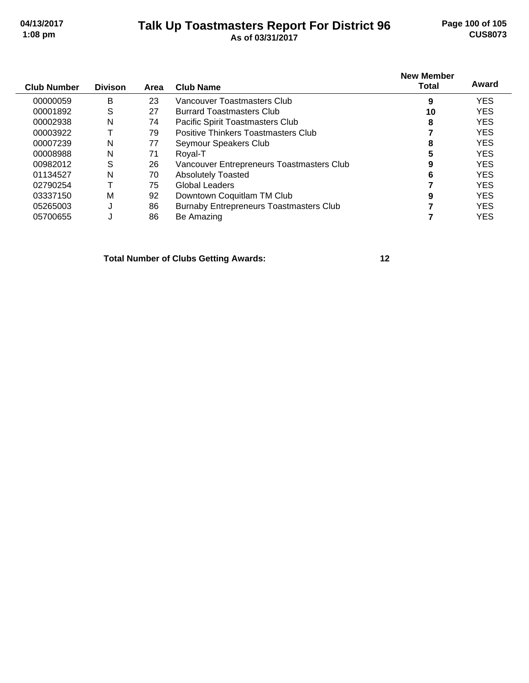#### **Talk Up Toastmasters Report For District 96 04/13/2017 Page 100 of 105 1:08 pm As of 03/31/2017 CUS8073**

| <b>Club Number</b> | <b>Divison</b> | Area | <b>Club Name</b>                               | <b>New Member</b><br><b>Total</b> | Award      |
|--------------------|----------------|------|------------------------------------------------|-----------------------------------|------------|
| 00000059           | B              | 23   | Vancouver Toastmasters Club                    | 9                                 | <b>YES</b> |
| 00001892           | S              | 27   | <b>Burrard Toastmasters Club</b>               | 10                                | <b>YES</b> |
| 00002938           | N              | 74   | Pacific Spirit Toastmasters Club               | 8                                 | <b>YES</b> |
| 00003922           |                | 79   | Positive Thinkers Toastmasters Club            |                                   | <b>YES</b> |
| 00007239           | N              | 77   | Seymour Speakers Club                          | 8                                 | <b>YES</b> |
| 00008988           | N              | 71   | Roval-T                                        | 5                                 | <b>YES</b> |
| 00982012           | S              | 26   | Vancouver Entrepreneurs Toastmasters Club      | 9                                 | <b>YES</b> |
| 01134527           | N              | 70   | <b>Absolutely Toasted</b>                      | 6                                 | <b>YES</b> |
| 02790254           |                | 75   | Global Leaders                                 |                                   | <b>YES</b> |
| 03337150           | М              | 92   | Downtown Coquitlam TM Club                     | 9                                 | <b>YES</b> |
| 05265003           | J              | 86   | <b>Burnaby Entrepreneurs Toastmasters Club</b> |                                   | <b>YES</b> |
| 05700655           | J              | 86   | Be Amazing                                     |                                   | <b>YES</b> |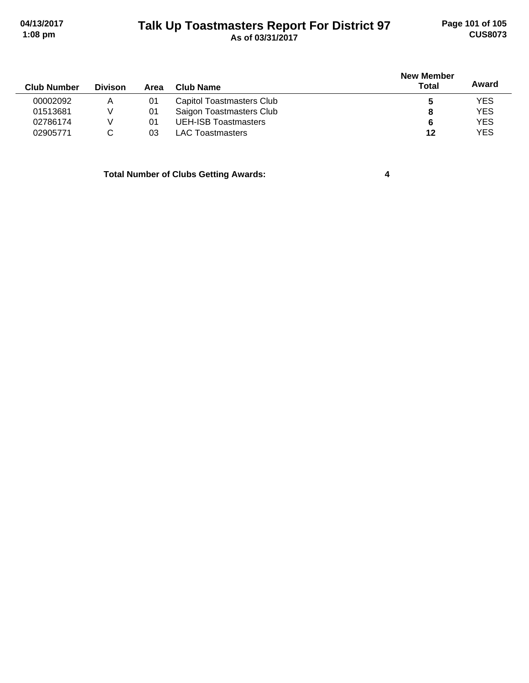## **Talk Up Toastmasters Report For District 97 04/13/2017 Page 101 of 105 1:08 pm As of 03/31/2017 CUS8073**

| <b>Club Number</b> | <b>Divison</b> | Area | Club Name                   | <b>New Member</b><br><b>Total</b> | Award      |
|--------------------|----------------|------|-----------------------------|-----------------------------------|------------|
| 00002092           | A              | 01   | Capitol Toastmasters Club   | 5                                 | <b>YES</b> |
| 01513681           | V              | 01   | Saigon Toastmasters Club    | 8                                 | <b>YES</b> |
| 02786174           | V              | 01   | <b>UEH-ISB Toastmasters</b> | 6                                 | <b>YES</b> |
| 02905771           |                | 03   | LAC Toastmasters            | 12                                | <b>YES</b> |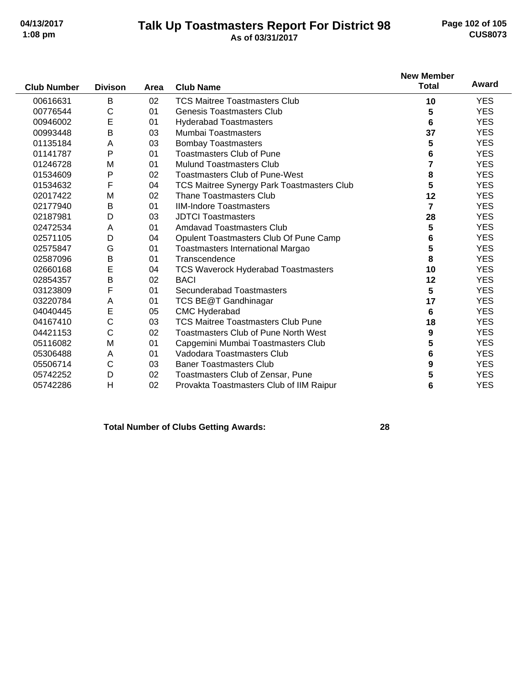#### **Talk Up Toastmasters Report For District 98 04/13/2017 Page 102 of 105 1:08 pm As of 03/31/2017 CUS8073**

| <b>Club Number</b> | <b>Divison</b> | Area | <b>Club Name</b>                                  | <b>New Member</b><br><b>Total</b> | Award      |
|--------------------|----------------|------|---------------------------------------------------|-----------------------------------|------------|
| 00616631           | B              | 02   | <b>TCS Maitree Toastmasters Club</b>              | 10                                | <b>YES</b> |
| 00776544           | С              | 01   | <b>Genesis Toastmasters Club</b>                  | 5                                 | <b>YES</b> |
| 00946002           | E              | 01   | <b>Hyderabad Toastmasters</b>                     | 6                                 | <b>YES</b> |
| 00993448           | B              | 03   | <b>Mumbai Toastmasters</b>                        | 37                                | <b>YES</b> |
| 01135184           | A              | 03   | <b>Bombay Toastmasters</b>                        | 5                                 | <b>YES</b> |
| 01141787           | P              | 01   | <b>Toastmasters Club of Pune</b>                  | 6                                 | <b>YES</b> |
| 01246728           | M              | 01   | <b>Mulund Toastmasters Club</b>                   | 7                                 | <b>YES</b> |
| 01534609           | P              | 02   | <b>Toastmasters Club of Pune-West</b>             | 8                                 | <b>YES</b> |
| 01534632           | F              | 04   | <b>TCS Maitree Synergy Park Toastmasters Club</b> | 5                                 | <b>YES</b> |
| 02017422           | M              | 02   | <b>Thane Toastmasters Club</b>                    | 12                                | <b>YES</b> |
| 02177940           | B              | 01   | <b>IIM-Indore Toastmasters</b>                    | $\overline{7}$                    | <b>YES</b> |
| 02187981           | D              | 03   | <b>JDTCI Toastmasters</b>                         | 28                                | <b>YES</b> |
| 02472534           | Α              | 01   | <b>Amdavad Toastmasters Club</b>                  | 5                                 | <b>YES</b> |
| 02571105           | D              | 04   | Opulent Toastmasters Club Of Pune Camp            | 6                                 | <b>YES</b> |
| 02575847           | G              | 01   | Toastmasters International Margao                 | 5                                 | <b>YES</b> |
| 02587096           | B              | 01   | Transcendence                                     | 8                                 | <b>YES</b> |
| 02660168           | E              | 04   | <b>TCS Waverock Hyderabad Toastmasters</b>        | 10                                | <b>YES</b> |
| 02854357           | B              | 02   | <b>BACI</b>                                       | 12                                | <b>YES</b> |
| 03123809           | F              | 01   | Secunderabad Toastmasters                         | 5                                 | <b>YES</b> |
| 03220784           | Α              | 01   | TCS BE@T Gandhinagar                              | 17                                | <b>YES</b> |
| 04040445           | E              | 05   | <b>CMC Hyderabad</b>                              | 6                                 | <b>YES</b> |
| 04167410           | C              | 03   | <b>TCS Maitree Toastmasters Club Pune</b>         | 18                                | <b>YES</b> |
| 04421153           | С              | 02   | <b>Toastmasters Club of Pune North West</b>       | 9                                 | <b>YES</b> |
| 05116082           | M              | 01   | Capgemini Mumbai Toastmasters Club                | 5                                 | <b>YES</b> |
| 05306488           | A              | 01   | Vadodara Toastmasters Club                        | 6                                 | <b>YES</b> |
| 05506714           | С              | 03   | <b>Baner Toastmasters Club</b>                    | 9                                 | <b>YES</b> |
| 05742252           | D              | 02   | Toastmasters Club of Zensar, Pune                 | 5                                 | <b>YES</b> |
| 05742286           | H              | 02   | Provakta Toastmasters Club of IIM Raipur          | 6                                 | <b>YES</b> |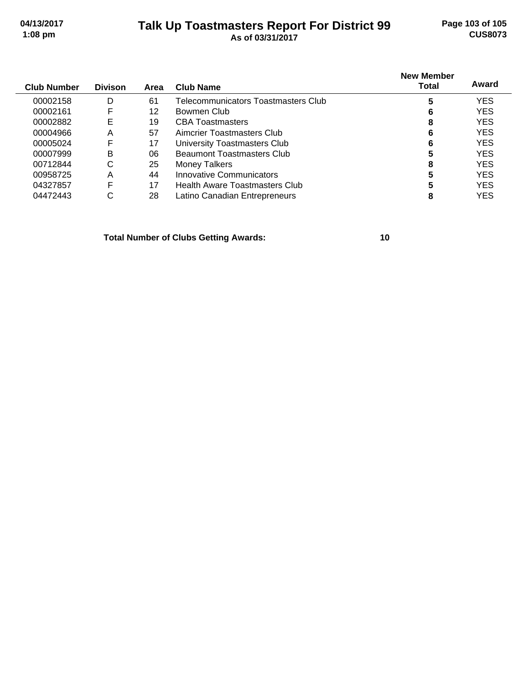#### **Talk Up Toastmasters Report For District 99 04/13/2017 Page 103 of 105 1:08 pm As of 03/31/2017 CUS8073**

| <b>Club Number</b> | <b>Divison</b> | Area | Club Name                             | <b>New Member</b><br>Total | Award      |
|--------------------|----------------|------|---------------------------------------|----------------------------|------------|
| 00002158           | D              | 61   | Telecommunicators Toastmasters Club   | 5                          | <b>YES</b> |
| 00002161           | F              | 12   | Bowmen Club                           |                            | <b>YES</b> |
| 00002882           | Е              | 19   | <b>CBA Toastmasters</b>               | 8                          | <b>YES</b> |
| 00004966           | A              | 57   | Aimcrier Toastmasters Club            | 6                          | <b>YES</b> |
| 00005024           | F              | 17   | University Toastmasters Club          | 6                          | <b>YES</b> |
| 00007999           | B              | 06   | <b>Beaumont Toastmasters Club</b>     | 5                          | <b>YES</b> |
| 00712844           | С              | 25   | <b>Money Talkers</b>                  | 8                          | <b>YES</b> |
| 00958725           | A              | 44   | Innovative Communicators              | 5                          | <b>YES</b> |
| 04327857           | F              | 17   | <b>Health Aware Toastmasters Club</b> | 5                          | <b>YES</b> |
| 04472443           | С              | 28   | Latino Canadian Entrepreneurs         | 8                          | YES        |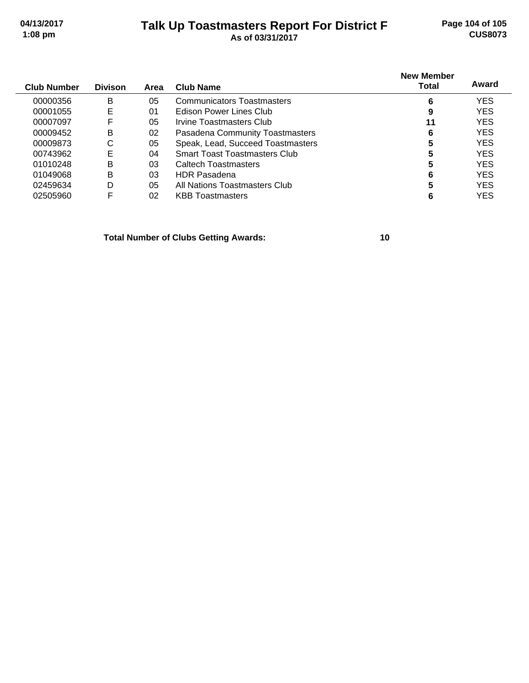## **Talk Up Toastmasters Report For District F 04/13/2017 Page 104 of 105 1:08 pm As of 03/31/2017 CUS8073**

| <b>Club Number</b> | <b>Divison</b> | Area | Club Name                            | <b>New Member</b><br>Total | Award      |
|--------------------|----------------|------|--------------------------------------|----------------------------|------------|
| 00000356           | в              | 05   | <b>Communicators Toastmasters</b>    | 6                          | <b>YES</b> |
| 00001055           | E              | 01   | Edison Power Lines Club              | 9                          | <b>YES</b> |
| 00007097           | F              | 05   | Irvine Toastmasters Club             | 11                         | <b>YES</b> |
| 00009452           | B              | 02   | Pasadena Community Toastmasters      | 6                          | <b>YES</b> |
| 00009873           | С              | 05   | Speak, Lead, Succeed Toastmasters    | 5                          | <b>YES</b> |
| 00743962           | E              | 04   | <b>Smart Toast Toastmasters Club</b> | 5                          | YES        |
| 01010248           | B              | 03   | Caltech Toastmasters                 |                            | <b>YES</b> |
| 01049068           | B              | 03   | <b>HDR Pasadena</b>                  | 6                          | <b>YES</b> |
| 02459634           | D              | 05   | All Nations Toastmasters Club        |                            | <b>YES</b> |
| 02505960           | F              | 02   | <b>KBB</b> Toastmasters              |                            | YES        |